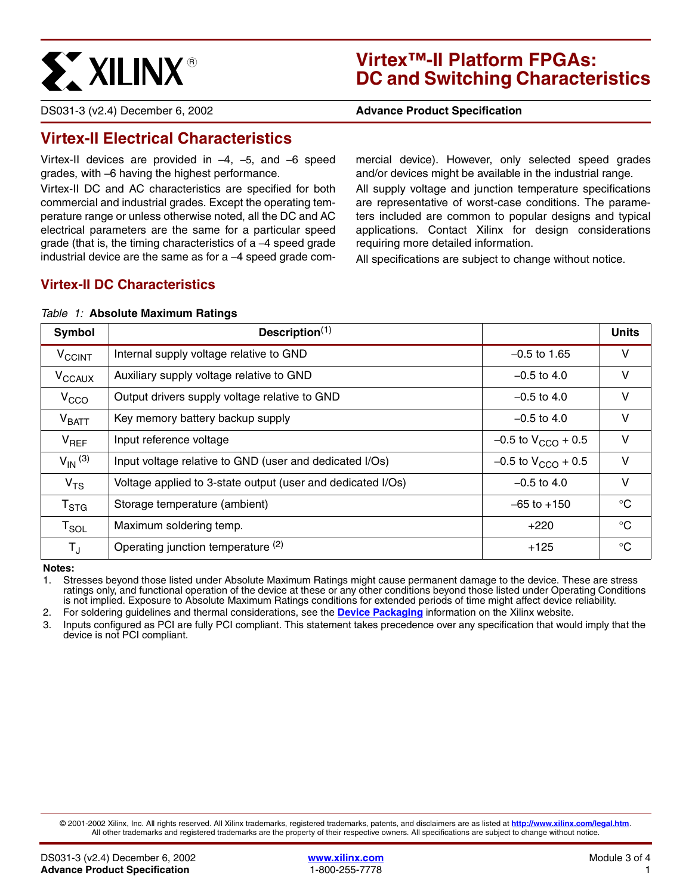

# **Virtex™-II Platform FPGAs: DC and Switching Characteristics**

DS031-3 (v2.4) December 6, 2002 **0 00 10 10 Advance Product Specification** 

# **Virtex-II Electrical Characteristics**

Virtex-II devices are provided in –4, –5, and –6 speed grades, with –6 having the highest performance.

Virtex-II DC and AC characteristics are specified for both commercial and industrial grades. Except the operating temperature range or unless otherwise noted, all the DC and AC electrical parameters are the same for a particular speed grade (that is, the timing characteristics of a –4 speed grade industrial device are the same as for a –4 speed grade commercial device). However, only selected speed grades and/or devices might be available in the industrial range.

All supply voltage and junction temperature specifications are representative of worst-case conditions. The parameters included are common to popular designs and typical applications. Contact Xilinx for design considerations requiring more detailed information.

All specifications are subject to change without notice.

## **Virtex-II DC Characteristics**

#### <span id="page-0-0"></span>*Table 1:* **Absolute Maximum Ratings**

| Symbol                      | Description $(1)$                                           |                           | <b>Units</b> |
|-----------------------------|-------------------------------------------------------------|---------------------------|--------------|
| <b>V<sub>CCINT</sub></b>    | Internal supply voltage relative to GND                     | $-0.5$ to 1.65            | V            |
| V <sub>CCAUX</sub>          | Auxiliary supply voltage relative to GND                    | $-0.5$ to 4.0             | V            |
| V <sub>CCO</sub>            | Output drivers supply voltage relative to GND               | $-0.5$ to 4.0             | V            |
| V <sub>BATT</sub>           | Key memory battery backup supply                            | $-0.5$ to 4.0             | $\vee$       |
| $V_{REF}$                   | Input reference voltage                                     | $-0.5$ to $V_{CCO}$ + 0.5 | $\vee$       |
| $V_{IN}$ (3)                | Input voltage relative to GND (user and dedicated I/Os)     | $-0.5$ to $V_{CCO}$ + 0.5 | V            |
| V <sub>TS</sub>             | Voltage applied to 3-state output (user and dedicated I/Os) | $-0.5$ to 4.0             | V            |
| $\mathsf{T}_{\textsf{STG}}$ | Storage temperature (ambient)                               | $-65$ to $+150$           | $^{\circ}C$  |
| $\mathsf{T}_{\mathsf{SOL}}$ | Maximum soldering temp.                                     | $+220$                    | $^{\circ}C$  |
| $\mathsf{T}_{\mathsf{J}}$   | Operating junction temperature (2)                          | $+125$                    | $^{\circ}$ C |

**Notes:** 

1. Stresses beyond those listed under Absolute Maximum Ratings might cause permanent damage to the device. These are stress ratings only, and functional operation of the device at these or any other conditions beyond those listed under Operating Conditions is not implied. Exposure to Absolute Maximum Ratings conditions for extended periods of time might affect device reliability.

2. For soldering guidelines and thermal considerations, see the **[Device Packaging](http://www.xilinx.com/publications/products/packaging/index.htm)** information on the Xilinx website.

3. Inputs configured as PCI are fully PCI compliant. This statement takes precedence over any specification that would imply that the device is not PCI compliant.

© 2001-2002 Xilinx, Inc. All rights reserved. All Xilinx trademarks, registered trademarks, patents, and disclaimers are as listed at **<http://www.xilinx.com/legal.htm>**. All other trademarks and registered trademarks are the property of their respective owners. All specifications are subject to change without notice.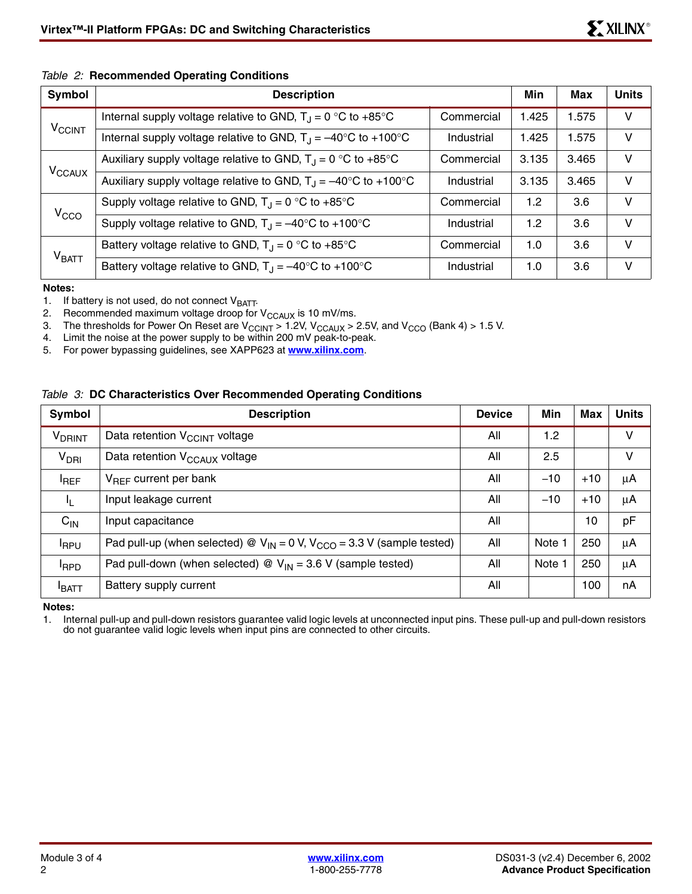### <span id="page-1-1"></span>*Table 2:* **Recommended Operating Conditions**

| Symbol                   | <b>Description</b>                                                              | Min        | <b>Max</b>       | <b>Units</b> |        |
|--------------------------|---------------------------------------------------------------------------------|------------|------------------|--------------|--------|
|                          | Internal supply voltage relative to GND, $T_{\rm J} = 0$ °C to +85°C            | Commercial | 1.425            | 1.575        | V      |
| <b>V<sub>CCINT</sub></b> | Internal supply voltage relative to GND, $T_{\rm J} = -40^{\circ}$ C to +100°C  | Industrial | 1.425            | 1.575        | V      |
|                          | Auxiliary supply voltage relative to GND, $T_{\rm J}$ = 0 °C to +85°C           | Commercial | 3.135            | 3.465        | $\vee$ |
| V <sub>CCAUX</sub>       | Auxiliary supply voltage relative to GND, $T_{\rm J} = -40^{\circ}$ C to +100°C | Industrial | 3.135            | 3.465        | $\vee$ |
| V <sub>CCO</sub>         | Supply voltage relative to GND, $T_1 = 0$ °C to +85°C                           | Commercial | 1.2 <sub>2</sub> | 3.6          | V      |
|                          | Supply voltage relative to GND, $T_{\rm J} = -40^{\circ}$ C to +100°C           | Industrial | 1.2              | 3.6          | $\vee$ |
|                          | Battery voltage relative to GND, $T_A = 0$ °C to +85°C                          | Commercial | 1.0              | 3.6          | $\vee$ |
| V <sub>BATT</sub>        | Battery voltage relative to GND, $T_A = -40^{\circ}C$ to +100°C                 | Industrial | 1.0              | 3.6          | $\vee$ |

**Notes:** 

1. If battery is not used, do not connect  $V_{\text{BAT}}$ .<br>2. Recommended maximum voltage droop for

2. Recommended maximum voltage droop for  $V_{CCAUX}$  is 10 mV/ms.<br>3. The thresholds for Power On Reset are  $V_{CCMIX} > 1.2V$ ,  $V_{CCMIX} > 1.2V$ 

3. The thresholds for Power On Reset are  $V_{\text{CCINT}} > 1.2V$ ,  $V_{\text{CCAUX}} > 2.5V$ , and  $V_{\text{CCO}}$  (Bank 4) > 1.5 V.<br>4. Limit the noise at the power supply to be within 200 mV peak-to-peak.

Limit the noise at the power supply to be within 200 mV peak-to-peak.

5. For power bypassing guidelines, see XAPP623 at **[www.xilinx.com](http://www.xilinx.com)**.

### <span id="page-1-0"></span>*Table 3:* **DC Characteristics Over Recommended Operating Conditions**

| Symbol             | <b>Description</b>                                                                  | <b>Device</b> | Min    | Max   | <b>Units</b> |
|--------------------|-------------------------------------------------------------------------------------|---------------|--------|-------|--------------|
| V <sub>DRINT</sub> | Data retention V <sub>CCINT</sub> voltage                                           | All           | 1.2    |       | V            |
| V <sub>DRI</sub>   | Data retention V <sub>CCAUX</sub> voltage                                           | All           | 2.5    |       | v            |
| <b>IREF</b>        | $V_{BFF}$ current per bank                                                          | All           | $-10$  | $+10$ | $\mu$ A      |
| IL.                | Input leakage current                                                               | All           | $-10$  | $+10$ | $\mu$ A      |
| $C_{IN}$           | Input capacitance                                                                   | All           |        | 10    | pF           |
| <b>IRPU</b>        | Pad pull-up (when selected) @ $V_{IN} = 0$ V, $V_{CCO} = 3.3$ V (sample tested)     | All           | Note   | 250   | μA           |
| <b>IRPD</b>        | Pad pull-down (when selected) $\mathcal{Q}$ V <sub>IN</sub> = 3.6 V (sample tested) | All           | Note 1 | 250   | μA           |
| <b>BATT</b>        | Battery supply current                                                              | All           |        | 100   | nA           |

**Notes:** 

1. Internal pull-up and pull-down resistors guarantee valid logic levels at unconnected input pins. These pull-up and pull-down resistors do not guarantee valid logic levels when input pins are connected to other circuits.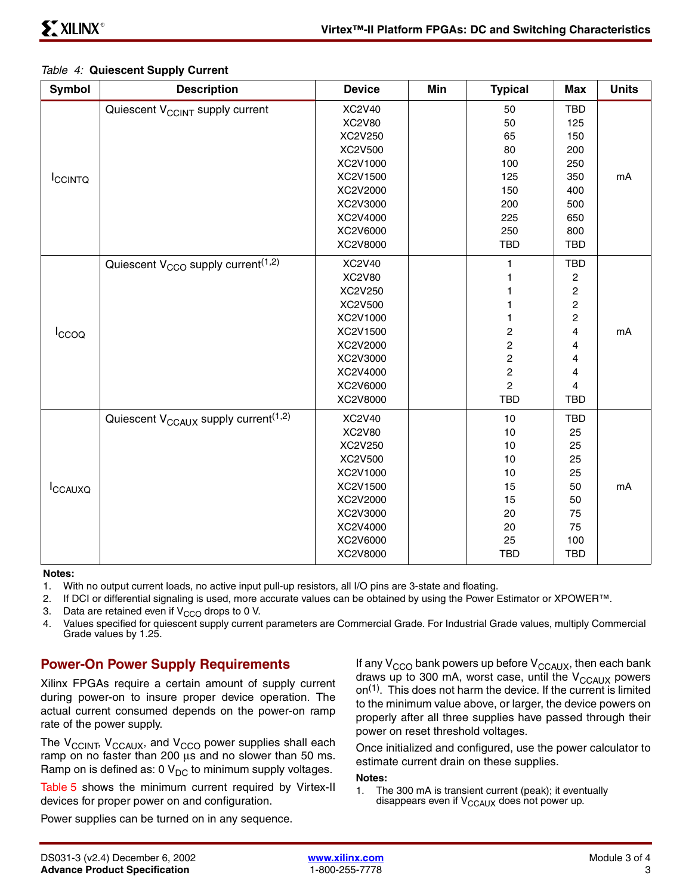<span id="page-2-0"></span>

| <b>Symbol</b>  | <b>Description</b>                                           | <b>Device</b> | Min | <b>Typical</b>          | <b>Max</b>              | <b>Units</b> |
|----------------|--------------------------------------------------------------|---------------|-----|-------------------------|-------------------------|--------------|
|                | Quiescent V <sub>CCINT</sub> supply current                  | <b>XC2V40</b> |     | 50                      | TBD                     |              |
|                |                                                              | XC2V80        |     | 50                      | 125                     |              |
|                |                                                              | XC2V250       |     | 65                      | 150                     |              |
|                |                                                              | XC2V500       |     | 80                      | 200                     |              |
|                |                                                              | XC2V1000      |     | 100                     | 250                     |              |
| <b>ICCINTQ</b> |                                                              | XC2V1500      |     | 125                     | 350                     | mA           |
|                |                                                              | XC2V2000      |     | 150                     | 400                     |              |
|                |                                                              | XC2V3000      |     | 200                     | 500                     |              |
|                |                                                              | XC2V4000      |     | 225                     | 650                     |              |
|                |                                                              | XC2V6000      |     | 250                     | 800                     |              |
|                |                                                              | XC2V8000      |     | <b>TBD</b>              | <b>TBD</b>              |              |
|                | Quiescent V <sub>CCO</sub> supply current <sup>(1,2)</sup>   | <b>XC2V40</b> |     | 1                       | <b>TBD</b>              |              |
|                |                                                              | <b>XC2V80</b> |     | 1                       | 2                       |              |
|                |                                                              | XC2V250       |     |                         | $\overline{\mathbf{c}}$ |              |
|                |                                                              | XC2V500       |     | 1                       | $\overline{\mathbf{c}}$ |              |
|                |                                                              | XC2V1000      |     | 1                       | 2                       |              |
| Iccoo          |                                                              | XC2V1500      |     | $\mathbf 2$             | 4                       | mA           |
|                |                                                              | XC2V2000      |     | $\overline{c}$          | 4                       |              |
|                |                                                              | XC2V3000      |     | $\overline{\mathbf{c}}$ | 4                       |              |
|                |                                                              | XC2V4000      |     | $\overline{c}$          | 4                       |              |
|                |                                                              | XC2V6000      |     | $\overline{c}$          | $\overline{\mathbf{4}}$ |              |
|                |                                                              | XC2V8000      |     | <b>TBD</b>              | <b>TBD</b>              |              |
|                | Quiescent $V_{\text{CCAUX}}$ supply current <sup>(1,2)</sup> | <b>XC2V40</b> |     | 10                      | TBD                     |              |
|                |                                                              | <b>XC2V80</b> |     | 10                      | 25                      |              |
|                |                                                              | XC2V250       |     | 10                      | 25                      |              |
|                |                                                              | XC2V500       |     | 10                      | 25                      |              |
|                |                                                              | XC2V1000      |     | 10                      | 25                      |              |
| ICCAUXQ        |                                                              | XC2V1500      |     | 15                      | 50                      | mA           |
|                |                                                              | XC2V2000      |     | 15                      | 50                      |              |
|                |                                                              | XC2V3000      |     | 20                      | 75                      |              |
|                |                                                              | XC2V4000      |     | 20                      | 75                      |              |
|                |                                                              | XC2V6000      |     | 25                      | 100                     |              |
|                |                                                              | XC2V8000      |     | <b>TBD</b>              | <b>TBD</b>              |              |

#### **Notes:**

- 1. With no output current loads, no active input pull-up resistors, all I/O pins are 3-state and floating.
- 2. If DCI or differential signaling is used, more accurate values can be obtained by using the Power Estimator or XPOWER™.
- 3. Data are retained even if  $V_{CCO}$  drops to 0 V.<br>4. Values specified for quiescent supply current
- 4. Values specified for quiescent supply current parameters are Commercial Grade. For Industrial Grade values, multiply Commercial Grade values by 1.25.

## **Power-On Power Supply Requirements**

Xilinx FPGAs require a certain amount of supply current during power-on to insure proper device operation. The actual current consumed depends on the power-on ramp rate of the power supply.

The  $V_{\text{CCINT}}$ ,  $V_{\text{CCAUX}}$ , and  $V_{\text{CCO}}$  power supplies shall each ramp on no faster than 200 µs and no slower than 50 ms. Ramp on is defined as: 0  $V_{DC}$  to minimum supply voltages.

[Table 5](#page-3-0) shows the minimum current required by Virtex-II devices for proper power on and configuration.

Power supplies can be turned on in any sequence.

If any  $V_{CCO}$  bank powers up before  $V_{CCAUX}$ , then each bank draws up to 300 mA, worst case, until the  $V_{\text{CCAUX}}$  powers on(1). This does not harm the device. If the current is limited to the minimum value above, or larger, the device powers on properly after all three supplies have passed through their power on reset threshold voltages.

Once initialized and configured, use the power calculator to estimate current drain on these supplies.

#### **Notes:**

1. The 300 mA is transient current (peak); it eventually disappears even if  $V_{\text{CCAUX}}$  does not power up.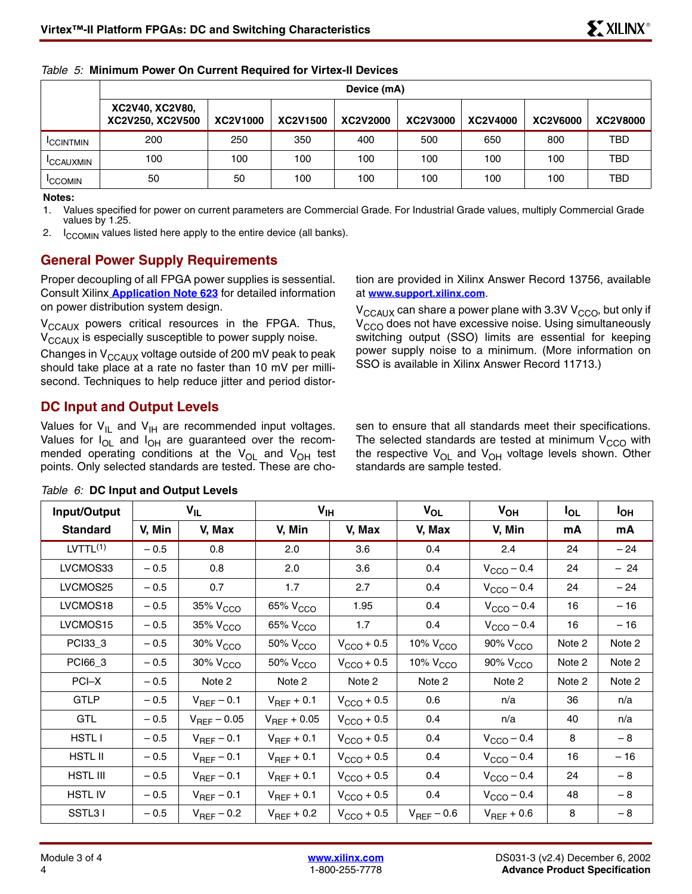|                  | Device (mA)                         |          |          |          |          |          |                 |            |  |  |
|------------------|-------------------------------------|----------|----------|----------|----------|----------|-----------------|------------|--|--|
|                  | XC2V40, XC2V80,<br>XC2V250, XC2V500 | XC2V1000 | XC2V1500 | XC2V2000 | XC2V3000 | XC2V4000 | <b>XC2V6000</b> | XC2V8000   |  |  |
| <b>CCINTMIN</b>  | 200                                 | 250      | 350      | 400      | 500      | 650      | 800             | <b>TBD</b> |  |  |
| <b>ICCAUXMIN</b> | 100                                 | 100      | 100      | 100      | 100      | 100      | 100             | <b>TBD</b> |  |  |
| <b>ICCOMIN</b>   | 50                                  | 50       | 100      | 100      | 100      | 100      | 100             | <b>TBD</b> |  |  |

### <span id="page-3-0"></span>*Table 5:* **Minimum Power On Current Required for Virtex-II Devices**

#### **Notes:**

1. Values specified for power on current parameters are Commercial Grade. For Industrial Grade values, multiply Commercial Grade values by 1.25.

2.  $I_{CCOMIN}$  values listed here apply to the entire device (all banks).

## **General Power Supply Requirements**

Proper decoupling of all FPGA power supplies is sessential. Consult Xilinx **Application Note 623** for detailed information on power distribution system design.

V<sub>CCAUX</sub> powers critical resources in the FPGA. Thus, V<sub>CCAUX</sub> is especially susceptible to power supply noise.

Changes in  $V_{\text{CCAUX}}$  voltage outside of 200 mV peak to peak should take place at a rate no faster than 10 mV per millisecond. Techniques to help reduce jitter and period distor-

### **DC Input and Output Levels**

Values for  $V_{\text{IL}}$  and  $V_{\text{IH}}$  are recommended input voltages. Values for  $I_{OL}$  and  $I_{OH}$  are guaranteed over the recommended operating conditions at the  $V_{OL}$  and  $V_{OH}$  test points. Only selected standards are tested. These are cho-

tion are provided in Xilinx Answer Record 13756, available at **[www.support.xilinx.com](http://www.support.xilinx.com)**.

 $V_{\text{CCAUX}}$  can share a power plane with 3.3V  $V_{\text{CCO}}$ , but only if  $V<sub>CCO</sub>$  does not have excessive noise. Using simultaneously switching output (SSO) limits are essential for keeping power supply noise to a minimum. (More information on SSO is available in Xilinx Answer Record 11713.)

sen to ensure that all standards meet their specifications. The selected standards are tested at minimum  $V_{CCO}$  with the respective  $V_{OL}$  and  $V_{OH}$  voltage levels shown. Other standards are sample tested.

| Input/Output         |        | $V_{IL}$             | V <sub>IH</sub>      |                        | $V_{OL}$             | $V_{OH}$               | $I_{OL}$ | <b>I<sub>OH</sub></b> |
|----------------------|--------|----------------------|----------------------|------------------------|----------------------|------------------------|----------|-----------------------|
| <b>Standard</b>      | V, Min | V, Max               | V, Min               | V, Max                 | V, Max               | V, Min                 | mA       | mA                    |
| LYTTL <sup>(1)</sup> | $-0.5$ | 0.8                  | 2.0                  | 3.6                    | 0.4                  | 2.4                    | 24       | $-24$                 |
| LVCMOS33             | $-0.5$ | 0.8                  | 2.0                  | 3.6                    | 0.4                  | $V_{\text{CCO}} - 0.4$ | 24       | $-24$                 |
| LVCMOS25             | $-0.5$ | 0.7                  | 1.7                  | 2.7                    | 0.4                  | $V_{\text{CCO}} - 0.4$ | 24       | $-24$                 |
| LVCMOS18             | $-0.5$ | 35% V <sub>CCO</sub> | 65% V <sub>CCO</sub> | 1.95                   | 0.4                  | $V_{\text{CCO}}$ – 0.4 | 16       | $-16$                 |
| LVCMOS15             | $-0.5$ | 35% V <sub>CCO</sub> | 65% V <sub>CCO</sub> | 1.7                    | 0.4                  | $V_{\text{CCO}}$ – 0.4 | 16       | $-16$                 |
| PCI33_3              | $-0.5$ | 30% V <sub>CCO</sub> | 50% V <sub>CCO</sub> | $V_{\text{CCO}} + 0.5$ | 10% $VCCO$           | 90% V <sub>CCO</sub>   | Note 2   | Note 2                |
| PCI66_3              | $-0.5$ | 30% V <sub>CCO</sub> | 50% V <sub>CCO</sub> | $V_{\text{CCO}} + 0.5$ | 10% V <sub>CCO</sub> | 90% V <sub>CCO</sub>   | Note 2   | Note 2                |
| PCI-X                | $-0.5$ | Note 2               | Note 2               | Note 2                 | Note 2               | Note 2                 | Note 2   | Note 2                |
| <b>GTLP</b>          | $-0.5$ | $V_{REF}$ – 0.1      | $V_{REF}$ + 0.1      | $V_{\text{CCO}} + 0.5$ | 0.6                  | n/a                    | 36       | n/a                   |
| <b>GTL</b>           | $-0.5$ | $V_{REF} - 0.05$     | $V_{REF} + 0.05$     | $V_{\text{CCO}} + 0.5$ | 0.4                  | n/a                    | 40       | n/a                   |
| <b>HSTLI</b>         | $-0.5$ | $V_{REF}$ – 0.1      | $V_{REF}$ + 0.1      | $V_{\text{CCO}} + 0.5$ | 0.4                  | $V_{\text{CCO}} - 0.4$ | 8        | $-8$                  |
| <b>HSTL II</b>       | $-0.5$ | $V_{REF}$ – 0.1      | $V_{REF}$ + 0.1      | $V_{\text{CCO}} + 0.5$ | 0.4                  | $V_{\text{CCO}}$ – 0.4 | 16       | $-16$                 |
| <b>HSTL III</b>      | $-0.5$ | $V_{REF}$ – 0.1      | $V_{REF}$ + 0.1      | $V_{\text{CCO}} + 0.5$ | 0.4                  | $V_{\text{CCO}} - 0.4$ | 24       | $-8$                  |
| <b>HSTL IV</b>       | $-0.5$ | $V_{REF}$ – 0.1      | $V_{REF}$ + 0.1      | $V_{\text{CCO}} + 0.5$ | 0.4                  | $V_{\text{CCO}}$ – 0.4 | 48       | $-8$                  |
| SSTL31               | $-0.5$ | $V_{REF}$ – 0.2      | $V_{REF}$ + 0.2      | $V_{\text{CCO}} + 0.5$ | $V_{REF}$ – 0.6      | $V_{\text{REF}}$ + 0.6 | 8        | $-8$                  |

### <span id="page-3-1"></span>*Table 6:* **DC Input and Output Levels**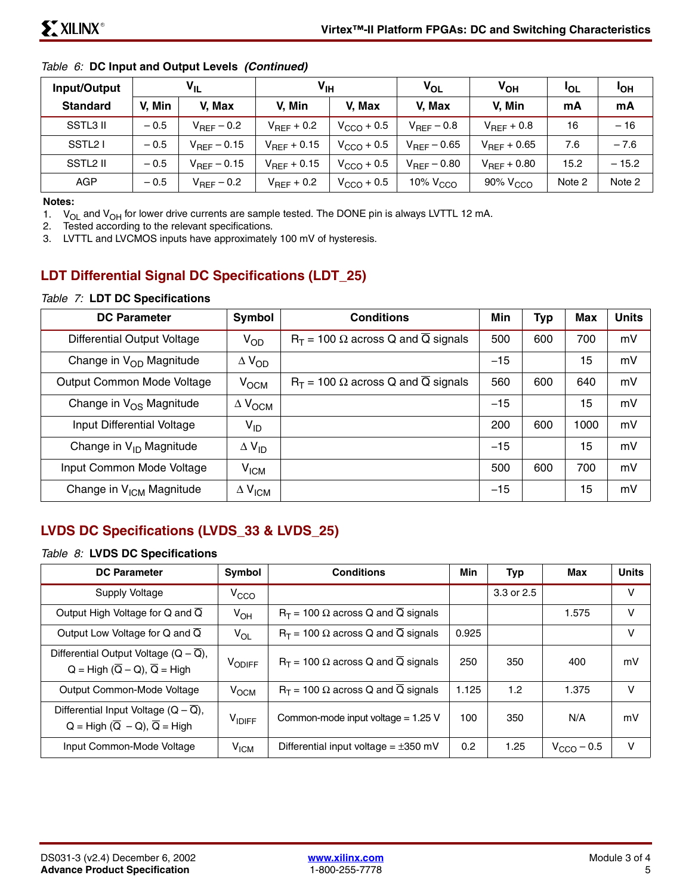| Input/Output         | $V_{IL}$ |                         |                  | $\mathsf{v}_{\scriptscriptstyle{\mathsf{IH}}}$ |                         | $V_{OH}$             | <b>IOL</b> | <b>IOH</b> |
|----------------------|----------|-------------------------|------------------|------------------------------------------------|-------------------------|----------------------|------------|------------|
| <b>Standard</b>      | V. Min   | V. Max                  | V. Min           | V. Max                                         | V. Max                  | V. Min               | mA         | mA         |
| SSTL3 II             | $-0.5$   | $V_{REF}-0.2$           | $V_{REF}$ + 0.2  | $VCCO + 0.5$                                   | $V_{\text{REF}}$ – 0.8  | $V_{REF}$ + 0.8      | 16         | $-16$      |
| SSTL <sub>2</sub> I  | $-0.5$   | $V_{\text{REF}} - 0.15$ | $V_{REF}$ + 0.15 | $V_{\text{CCO}}$ + 0.5                         | $V_{REF} - 0.65$        | $V_{REF} + 0.65$     | 7.6        | $-7.6$     |
| SSTL <sub>2</sub> II | $-0.5$   | $V_{\text{REF}} - 0.15$ | $V_{REF}$ + 0.15 | $VCCO + 0.5$                                   | $V_{\text{REF}}$ – 0.80 | $V_{REF}$ + 0.80     | 15.2       | $-15.2$    |
| AGP                  | $-0.5$   | $V_{REF}-0.2$           | $V_{REF}$ + 0.2  | $VCCO + 0.5$                                   | 10% V <sub>CCO</sub>    | 90% V <sub>CCO</sub> | Note 2     | Note 2     |

### *Table 6:* **DC Input and Output Levels** *(Continued)*

#### **Notes:**

1.  $V_{OL}$  and  $V_{OH}$  for lower drive currents are sample tested. The DONE pin is always LVTTL 12 mA.<br>2. Tested according to the relevant specifications.

Tested according to the relevant specifications.

3. LVTTL and LVCMOS inputs have approximately 100 mV of hysteresis.

## **LDT Differential Signal DC Specifications (LDT\_25)**

### *Table 7:* **LDT DC Specifications**

| <b>DC Parameter</b>                  | Symbol                    | <b>Conditions</b>                           | Min   | Typ | <b>Max</b> | <b>Units</b> |
|--------------------------------------|---------------------------|---------------------------------------------|-------|-----|------------|--------------|
| Differential Output Voltage          | $V_{OD}$                  | $R_T$ = 100 $\Omega$ across Q and Q signals | 500   | 600 | 700        | mV           |
| Change in $V_{OD}$ Magnitude         | $\Delta V_{OD}$           |                                             | $-15$ |     | 15         | mV           |
| Output Common Mode Voltage           | $V$ <sub>OCM</sub>        | $R_T$ = 100 $\Omega$ across Q and Q signals | 560   | 600 | 640        | mV           |
| Change in V <sub>OS</sub> Magnitude  | $\Delta$ $V_{\text{OCM}}$ |                                             | $-15$ |     | 15         | mV           |
| Input Differential Voltage           | V <sub>ID</sub>           |                                             | 200   | 600 | 1000       | mV           |
| Change in $V_{ID}$ Magnitude         | $\Delta$ V <sub>ID</sub>  |                                             | $-15$ |     | 15         | mV           |
| Input Common Mode Voltage            | V <sub>ICM</sub>          |                                             | 500   | 600 | 700        | mV           |
| Change in V <sub>ICM</sub> Magnitude | $\Delta$ V <sub>ICM</sub> |                                             | $-15$ |     | 15         | mV           |

## **LVDS DC Specifications (LVDS\_33 & LVDS\_25)**

### *Table 8:* **LVDS DC Specifications**

| <b>DC Parameter</b>                                                                                     | Symbol           | <b>Conditions</b>                                        | Min              | <b>Typ</b> | Max                    | <b>Units</b> |
|---------------------------------------------------------------------------------------------------------|------------------|----------------------------------------------------------|------------------|------------|------------------------|--------------|
| Supply Voltage                                                                                          | V <sub>CCO</sub> |                                                          |                  | 3.3 or 2.5 |                        | v            |
| Output High Voltage for Q and $\overline{Q}$                                                            | $V_{OH}$         | $R_T$ = 100 $\Omega$ across Q and $\overline{Q}$ signals |                  |            | 1.575                  | v            |
| Output Low Voltage for Q and $\overline{Q}$                                                             | $V_{OL}$         | $R_T$ = 100 $\Omega$ across Q and $\overline{Q}$ signals | 0.925            |            |                        | v            |
| Differential Output Voltage $(Q - Q)$ ,<br>$Q = High (\overline{Q} - Q), \overline{Q} = High$           | VODIFF           | $R_T$ = 100 $\Omega$ across Q and $\overline{Q}$ signals | 250              | 350        | 400                    | mV           |
| Output Common-Mode Voltage                                                                              | V <sub>OCM</sub> | $R_T$ = 100 $\Omega$ across Q and $\overline{Q}$ signals | 1.125            | 1.2        | 1.375                  | v            |
| Differential Input Voltage $(Q - \overline{Q})$ ,<br>$Q = High (\overline{Q} - Q), \overline{Q} = High$ | <b>VIDIFF</b>    | Common-mode input voltage = $1.25$ V                     | 100              | 350        | N/A                    | mV           |
| Input Common-Mode Voltage                                                                               | V <sub>ICM</sub> | Differential input voltage = $\pm 350$ mV                | 0.2 <sub>0</sub> | 1.25       | $V_{\text{CCO}} - 0.5$ | V            |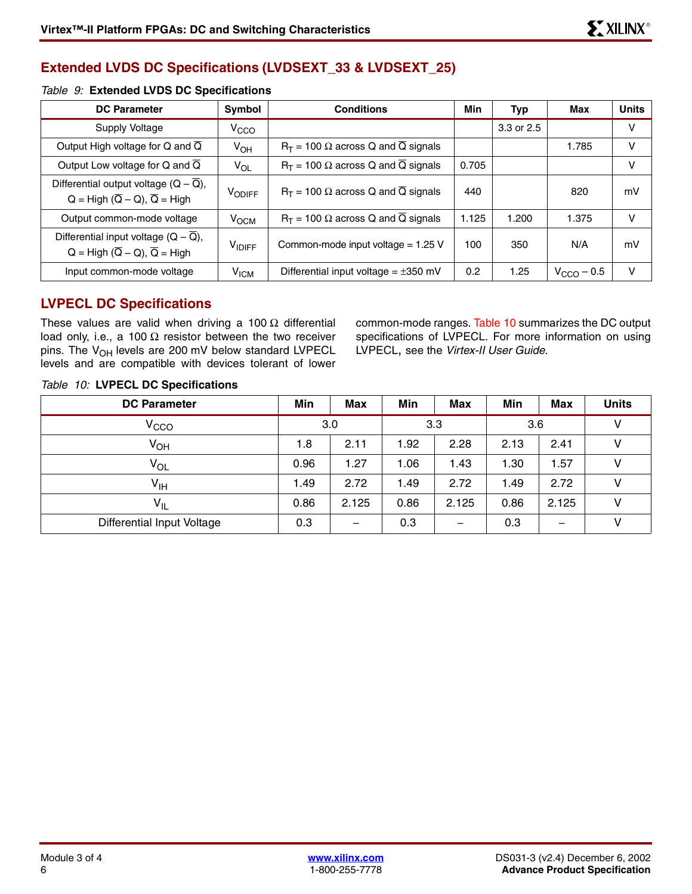## **Extended LVDS DC Specifications (LVDSEXT\_33 & LVDSEXT\_25)**

### *Table 9:* **Extended LVDS DC Specifications**

| <b>DC Parameter</b>                                                                                      | Symbol             | <b>Conditions</b>                                        | Min   | Typ        | Max                    | <b>Units</b> |
|----------------------------------------------------------------------------------------------------------|--------------------|----------------------------------------------------------|-------|------------|------------------------|--------------|
| Supply Voltage                                                                                           | V <sub>CCO</sub>   |                                                          |       | 3.3 or 2.5 |                        | v            |
| Output High voltage for Q and $\overline{Q}$                                                             | $V_{OH}$           | $R_T$ = 100 $\Omega$ across Q and $\overline{Q}$ signals |       |            | 1.785                  | v            |
| Output Low voltage for Q and $\overline{Q}$                                                              | $V_{OL}$           | $R_T$ = 100 $\Omega$ across Q and $\overline{Q}$ signals | 0.705 |            |                        | v            |
| Differential output voltage $(Q - \overline{Q})$ ,<br>$Q = High (\overline{Q} - Q), \overline{Q} = High$ | V <sub>ODIFF</sub> | $R_T$ = 100 $\Omega$ across Q and $\overline{Q}$ signals | 440   |            | 820                    | mV           |
| Output common-mode voltage                                                                               | V <sub>OCM</sub>   | $R_T$ = 100 $\Omega$ across Q and $\overline{Q}$ signals | 1.125 | 1.200      | 1.375                  | v            |
| Differential input voltage $(Q - \overline{Q})$ ,<br>$Q = High (\overline{Q} - Q), \overline{Q} = High$  | <b>VIDIFF</b>      | Common-mode input voltage = $1.25$ V                     | 100   | 350        | N/A                    | mV           |
| Input common-mode voltage                                                                                | V <sub>ICM</sub>   | Differential input voltage = $\pm 350$ mV                | 0.2   | 1.25       | $V_{\text{CCO}} - 0.5$ | v            |

## **LVPECL DC Specifications**

These values are valid when driving a 100  $\Omega$  differential load only, i.e., a 100  $\Omega$  resistor between the two receiver pins. The  $V_{OH}$  levels are 200 mV below standard LVPECL levels and are compatible with devices tolerant of lower common-mode ranges. [Table 10](#page-5-0) summarizes the DC output specifications of LVPECL. For more information on using LVPECL, see the *Virtex-II User Guide*.

| <b>DC Parameter</b>        | Min  | <b>Max</b>               | Min  | <b>Max</b>               | Min  | <b>Max</b> | <b>Units</b> |
|----------------------------|------|--------------------------|------|--------------------------|------|------------|--------------|
| $\rm v_{\rm CCD}$          |      | 3.0                      |      | 3.3                      | 3.6  |            | v            |
| V <sub>OH</sub>            | 1.8  | 2.11                     | 1.92 | 2.28                     | 2.13 | 2.41       | v            |
| $V_{OL}$                   | 0.96 | 1.27                     | 1.06 | 1.43                     | 1.30 | 1.57       |              |
| $\mathsf{V}_{\mathsf{IH}}$ | 1.49 | 2.72                     | 1.49 | 2.72                     | 1.49 | 2.72       |              |
| $V_{IL}$                   | 0.86 | 2.125                    | 0.86 | 2.125                    | 0.86 | 2.125      | ν            |
| Differential Input Voltage | 0.3  | $\overline{\phantom{0}}$ | 0.3  | $\overline{\phantom{0}}$ | 0.3  |            |              |

### <span id="page-5-0"></span>*Table 10:* **LVPECL DC Specifications**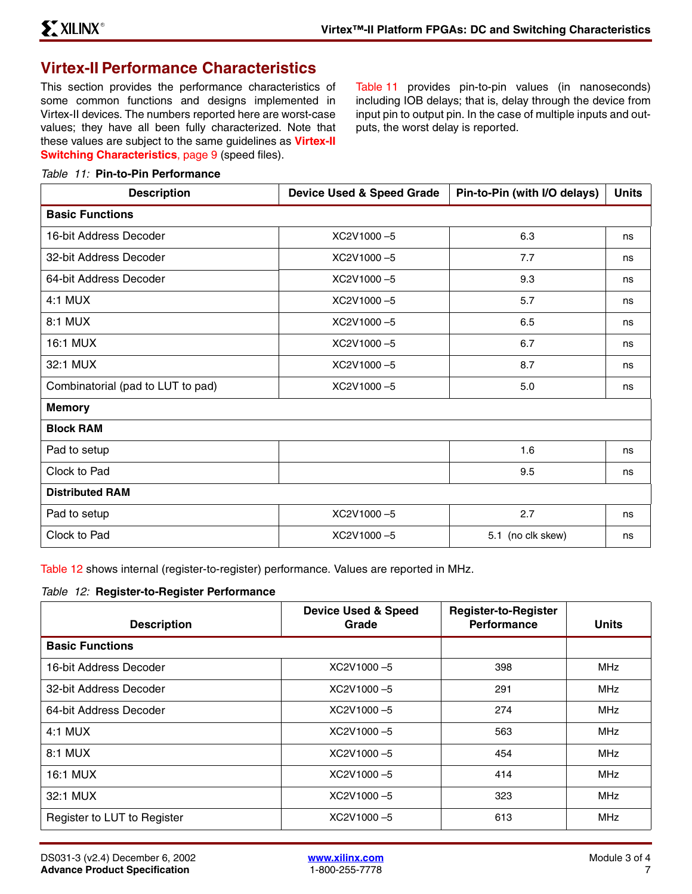## <span id="page-6-2"></span>**Virtex-II Performance Characteristics**

This section provides the performance characteristics of some common functions and designs implemented in Virtex-II devices. The numbers reported here are worst-case values; they have all been fully characterized. Note that these values are subject to the same guidelines as **[Virtex-II](#page-8-0) [Switching Characteristics](#page-8-0)**, page 9 (speed files).

[Table 11](#page-6-0) provides pin-to-pin values (in nanoseconds) including IOB delays; that is, delay through the device from input pin to output pin. In the case of multiple inputs and outputs, the worst delay is reported.

### <span id="page-6-0"></span>*Table 11:* **Pin-to-Pin Performance**

| <b>Description</b>                | <b>Device Used &amp; Speed Grade</b> | Pin-to-Pin (with I/O delays) | <b>Units</b> |
|-----------------------------------|--------------------------------------|------------------------------|--------------|
| <b>Basic Functions</b>            |                                      |                              |              |
| 16-bit Address Decoder            | XC2V1000-5                           | 6.3                          | ns           |
| 32-bit Address Decoder            | XC2V1000-5                           | 7.7                          | ns           |
| 64-bit Address Decoder            | XC2V1000-5                           | 9.3                          | ns           |
| 4:1 MUX                           | XC2V1000-5                           | 5.7                          | ns           |
| 8:1 MUX                           | XC2V1000-5                           | 6.5                          | ns           |
| 16:1 MUX                          | XC2V1000-5                           | 6.7                          | ns           |
| 32:1 MUX                          | XC2V1000-5                           | 8.7                          | ns           |
| Combinatorial (pad to LUT to pad) | XC2V1000-5                           | $5.0$                        | ns           |
| <b>Memory</b>                     |                                      |                              |              |
| <b>Block RAM</b>                  |                                      |                              |              |
| Pad to setup                      |                                      | 1.6                          | ns           |
| Clock to Pad                      |                                      | 9.5                          | ns           |
| <b>Distributed RAM</b>            |                                      |                              |              |
| Pad to setup                      | XC2V1000-5                           | 2.7                          | ns           |
| Clock to Pad                      | XC2V1000-5                           | 5.1 (no clk skew)            | ns           |

[Table 12](#page-6-1) shows internal (register-to-register) performance. Values are reported in MHz.

#### <span id="page-6-1"></span>*Table 12:* **Register-to-Register Performance**

| <b>Description</b>          | <b>Device Used &amp; Speed</b><br>Grade | <b>Register-to-Register</b><br><b>Performance</b> | <b>Units</b> |
|-----------------------------|-----------------------------------------|---------------------------------------------------|--------------|
| <b>Basic Functions</b>      |                                         |                                                   |              |
| 16-bit Address Decoder      | XC2V1000-5                              | 398                                               | <b>MHz</b>   |
| 32-bit Address Decoder      | XC2V1000-5                              | 291                                               | <b>MHz</b>   |
| 64-bit Address Decoder      | XC2V1000-5                              | 274                                               | <b>MHz</b>   |
| $4:1$ MUX                   | XC2V1000-5                              | 563                                               | <b>MHz</b>   |
| 8:1 MUX                     | XC2V1000-5                              | 454                                               | <b>MHz</b>   |
| 16:1 MUX                    | XC2V1000-5                              | 414                                               | <b>MHz</b>   |
| 32:1 MUX                    | XC2V1000-5                              | 323                                               | <b>MHz</b>   |
| Register to LUT to Register | XC2V1000-5                              | 613                                               | <b>MHz</b>   |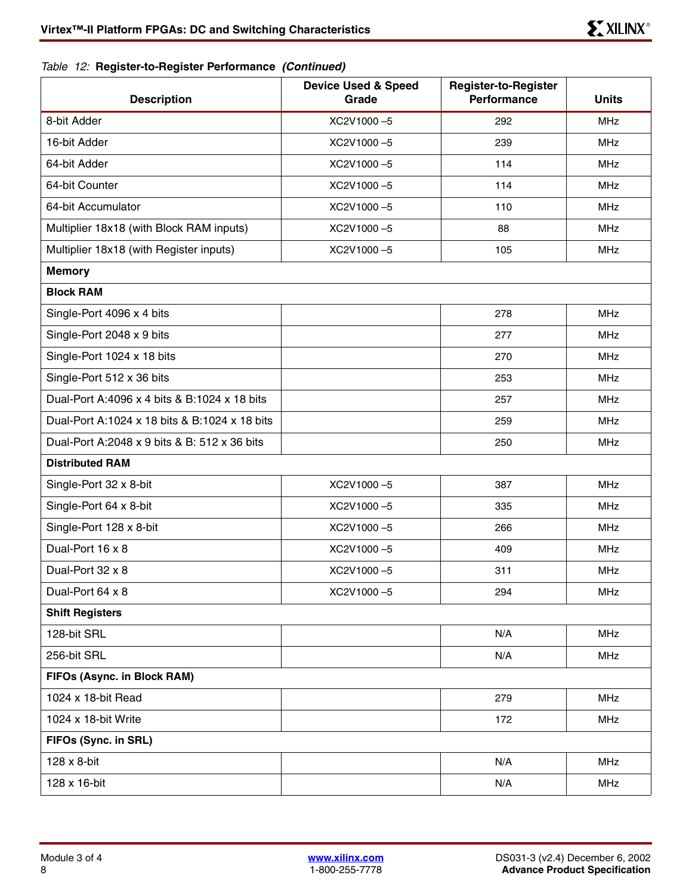## *Table 12:* **Register-to-Register Performance** *(Continued)*

| <b>Description</b>                            | <b>Device Used &amp; Speed</b><br>Grade | <b>Register-to-Register</b><br>Performance | <b>Units</b> |
|-----------------------------------------------|-----------------------------------------|--------------------------------------------|--------------|
| 8-bit Adder                                   | XC2V1000-5                              | 292                                        | <b>MHz</b>   |
| 16-bit Adder                                  | XC2V1000-5                              | 239                                        | <b>MHz</b>   |
| 64-bit Adder                                  | XC2V1000-5                              | 114                                        | <b>MHz</b>   |
| 64-bit Counter                                | XC2V1000-5                              | 114                                        | <b>MHz</b>   |
| 64-bit Accumulator                            | XC2V1000-5                              | 110                                        | <b>MHz</b>   |
| Multiplier 18x18 (with Block RAM inputs)      | XC2V1000-5                              | 88                                         | <b>MHz</b>   |
| Multiplier 18x18 (with Register inputs)       | XC2V1000-5                              | 105                                        | <b>MHz</b>   |
| <b>Memory</b>                                 |                                         |                                            |              |
| <b>Block RAM</b>                              |                                         |                                            |              |
| Single-Port 4096 x 4 bits                     |                                         | 278                                        | <b>MHz</b>   |
| Single-Port 2048 x 9 bits                     |                                         | 277                                        | <b>MHz</b>   |
| Single-Port 1024 x 18 bits                    |                                         | 270                                        | <b>MHz</b>   |
| Single-Port 512 x 36 bits                     |                                         | 253                                        | <b>MHz</b>   |
| Dual-Port A:4096 x 4 bits & B:1024 x 18 bits  |                                         | 257                                        | <b>MHz</b>   |
| Dual-Port A:1024 x 18 bits & B:1024 x 18 bits |                                         | 259                                        | <b>MHz</b>   |
| Dual-Port A:2048 x 9 bits & B: 512 x 36 bits  |                                         | 250                                        | <b>MHz</b>   |
| <b>Distributed RAM</b>                        |                                         |                                            |              |
| Single-Port 32 x 8-bit                        | XC2V1000-5                              | 387                                        | <b>MHz</b>   |
| Single-Port 64 x 8-bit                        | XC2V1000-5                              | 335                                        | <b>MHz</b>   |
| Single-Port 128 x 8-bit                       | XC2V1000-5                              | 266                                        | <b>MHz</b>   |
| Dual-Port 16 x 8                              | XC2V1000-5                              | 409                                        | <b>MHz</b>   |
| Dual-Port 32 x 8                              | XC2V1000-5                              | 311                                        | <b>MHz</b>   |
| Dual-Port 64 x 8                              | XC2V1000-5                              | 294                                        | MHz          |
| <b>Shift Registers</b>                        |                                         |                                            |              |
| 128-bit SRL                                   |                                         | N/A                                        | MHz          |
| 256-bit SRL                                   |                                         | N/A                                        | <b>MHz</b>   |
| FIFOs (Async. in Block RAM)                   |                                         |                                            |              |
| 1024 x 18-bit Read                            |                                         | 279                                        | <b>MHz</b>   |
| 1024 x 18-bit Write                           |                                         | 172                                        | MHz          |
| FIFOs (Sync. in SRL)                          |                                         |                                            |              |
| 128 x 8-bit                                   |                                         | N/A                                        | MHz          |
| 128 x 16-bit                                  |                                         | N/A                                        | MHz          |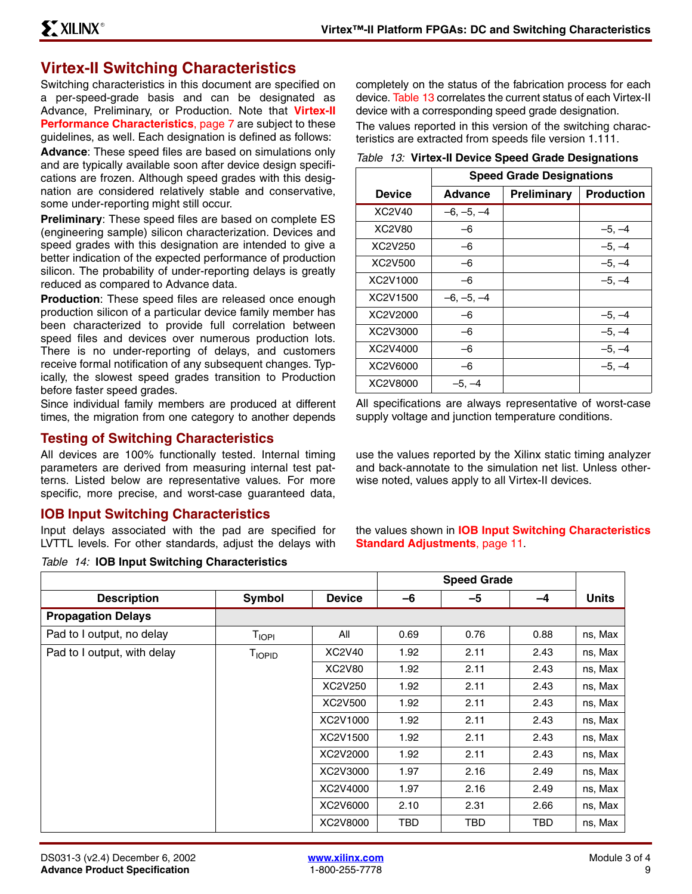# <span id="page-8-0"></span>**Virtex-II Switching Characteristics**

Switching characteristics in this document are specified on a per-speed-grade basis and can be designated as Advance, Preliminary, or Production. Note that **[Virtex-II](#page-6-2) [Performance Characteristics](#page-6-2)**, page 7 are subject to these guidelines, as well. Each designation is defined as follows:

**Advance**: These speed files are based on simulations only and are typically available soon after device design specifications are frozen. Although speed grades with this designation are considered relatively stable and conservative, some under-reporting might still occur.

**Preliminary**: These speed files are based on complete ES (engineering sample) silicon characterization. Devices and speed grades with this designation are intended to give a better indication of the expected performance of production silicon. The probability of under-reporting delays is greatly reduced as compared to Advance data.

**Production**: These speed files are released once enough production silicon of a particular device family member has been characterized to provide full correlation between speed files and devices over numerous production lots. There is no under-reporting of delays, and customers receive formal notification of any subsequent changes. Typically, the slowest speed grades transition to Production before faster speed grades.

Since individual family members are produced at different times, the migration from one category to another depends

## **Testing of Switching Characteristics**

All devices are 100% functionally tested. Internal timing parameters are derived from measuring internal test patterns. Listed below are representative values. For more specific, more precise, and worst-case guaranteed data,

## **IOB Input Switching Characteristics**

Input delays associated with the pad are specified for LVTTL levels. For other standards, adjust the delays with

*Table 14:* **IOB Input Switching Characteristics** 

 $\overline{1}$ 

completely on the status of the fabrication process for each device. [Table 13](#page-8-1) correlates the current status of each Virtex-II device with a corresponding speed grade designation.

The values reported in this version of the switching characteristics are extracted from speeds file version 1.111.

<span id="page-8-1"></span>*Table 13:* **Virtex-II Device Speed Grade Designations**

|               | <b>Speed Grade Designations</b> |             |                   |  |  |  |  |  |
|---------------|---------------------------------|-------------|-------------------|--|--|--|--|--|
| <b>Device</b> | Advance                         | Preliminary | <b>Production</b> |  |  |  |  |  |
| XC2V40        | $-6, -5, -4$                    |             |                   |  |  |  |  |  |
| XC2V80        | -6                              |             | $-5, -4$          |  |  |  |  |  |
| XC2V250       | -6                              |             | $-5, -4$          |  |  |  |  |  |
| XC2V500       | -6                              |             | $-5, -4$          |  |  |  |  |  |
| XC2V1000      | -6                              |             | $-5, -4$          |  |  |  |  |  |
| XC2V1500      | $-6, -5, -4$                    |             |                   |  |  |  |  |  |
| XC2V2000      | -6                              |             | $-5, -4$          |  |  |  |  |  |
| XC2V3000      | -6                              |             | $-5, -4$          |  |  |  |  |  |
| XC2V4000      | -6                              |             | $-5, -4$          |  |  |  |  |  |
| XC2V6000      | -6                              |             | $-5, -4$          |  |  |  |  |  |
| XC2V8000      | -5. –4                          |             |                   |  |  |  |  |  |

All specifications are always representative of worst-case supply voltage and junction temperature conditions.

use the values reported by the Xilinx static timing analyzer and back-annotate to the simulation net list. Unless otherwise noted, values apply to all Virtex-II devices.

the values shown in **[IOB Input Switching Characteristics](#page-10-0) [Standard Adjustments](#page-10-0)**, page 11.

 **Speed Grade**

|                             |                |               |      | speed Grade |            |              |
|-----------------------------|----------------|---------------|------|-------------|------------|--------------|
| <b>Description</b>          | Symbol         | <b>Device</b> | -6   | -5          | -4         | <b>Units</b> |
| <b>Propagation Delays</b>   |                |               |      |             |            |              |
| Pad to I output, no delay   | <b>TIOPI</b>   | All           | 0.69 | 0.76        | 0.88       | ns, Max      |
| Pad to I output, with delay | <b>T</b> IOPID | XC2V40        | 1.92 | 2.11        | 2.43       | ns, Max      |
|                             |                | XC2V80        | 1.92 | 2.11        | 2.43       | ns, Max      |
|                             |                | XC2V250       | 1.92 | 2.11        | 2.43       | ns, Max      |
|                             |                | XC2V500       | 1.92 | 2.11        | 2.43       | ns, Max      |
|                             |                | XC2V1000      | 1.92 | 2.11        | 2.43       | ns, Max      |
|                             |                | XC2V1500      | 1.92 | 2.11        | 2.43       | ns, Max      |
|                             |                | XC2V2000      | 1.92 | 2.11        | 2.43       | ns, Max      |
|                             |                | XC2V3000      | 1.97 | 2.16        | 2.49       | ns, Max      |
|                             |                | XC2V4000      | 1.97 | 2.16        | 2.49       | ns, Max      |
|                             |                | XC2V6000      | 2.10 | 2.31        | 2.66       | ns, Max      |
|                             |                | XC2V8000      | TBD  | TBD.        | <b>TBD</b> | ns, Max      |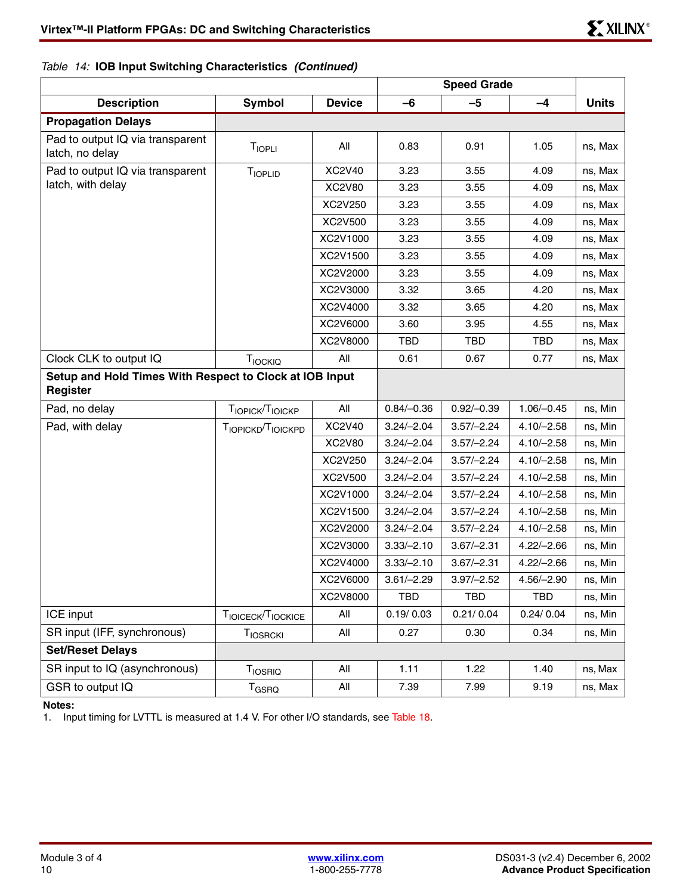## *Table 14:* **IOB Input Switching Characteristics** *(Continued)*

|                                                                     |                               |               | <b>Speed Grade</b> |              |              |              |
|---------------------------------------------------------------------|-------------------------------|---------------|--------------------|--------------|--------------|--------------|
| <b>Description</b>                                                  | <b>Symbol</b>                 | <b>Device</b> | $-6$               | $-5$         | $-4$         | <b>Units</b> |
| <b>Propagation Delays</b>                                           |                               |               |                    |              |              |              |
| Pad to output IQ via transparent<br>latch, no delay                 | TIOPLI                        | All           | 0.83               | 0.91         | 1.05         | ns, Max      |
| Pad to output IQ via transparent                                    | <b>TIOPLID</b>                | <b>XC2V40</b> | 3.23               | 3.55         | 4.09         | ns, Max      |
| latch, with delay                                                   |                               | <b>XC2V80</b> | 3.23               | 3.55         | 4.09         | ns, Max      |
|                                                                     |                               | XC2V250       | 3.23               | 3.55         | 4.09         | ns, Max      |
|                                                                     |                               | XC2V500       | 3.23               | 3.55         | 4.09         | ns, Max      |
|                                                                     |                               | XC2V1000      | 3.23               | 3.55         | 4.09         | ns, Max      |
|                                                                     |                               | XC2V1500      | 3.23               | 3.55         | 4.09         | ns, Max      |
|                                                                     |                               | XC2V2000      | 3.23               | 3.55         | 4.09         | ns, Max      |
|                                                                     |                               | XC2V3000      | 3.32               | 3.65         | 4.20         | ns, Max      |
|                                                                     |                               | XC2V4000      | 3.32               | 3.65         | 4.20         | ns, Max      |
|                                                                     |                               | XC2V6000      | 3.60               | 3.95         | 4.55         | ns, Max      |
|                                                                     |                               | XC2V8000      | <b>TBD</b>         | TBD          | TBD          | ns, Max      |
| Clock CLK to output IQ                                              | TIOCKIQ                       | All           | 0.61               | 0.67         | 0.77         | ns, Max      |
| Setup and Hold Times With Respect to Clock at IOB Input<br>Register |                               |               |                    |              |              |              |
| Pad, no delay                                                       | TIOPICK <sup>T</sup> IOICKP   | All           | $0.84/-0.36$       | $0.92/-0.39$ | $1.06/-0.45$ | ns, Min      |
| Pad, with delay                                                     | TIOPICKD <sup>T</sup> IOICKPD | XC2V40        | $3.24/-2.04$       | $3.57/-2.24$ | $4.10/-2.58$ | ns, Min      |
|                                                                     |                               | <b>XC2V80</b> | $3.24/-2.04$       | $3.57/-2.24$ | $4.10/-2.58$ | ns, Min      |
|                                                                     |                               | XC2V250       | $3.24/-2.04$       | $3.57/-2.24$ | $4.10/-2.58$ | ns, Min      |
|                                                                     |                               | XC2V500       | $3.24/-2.04$       | $3.57/-2.24$ | $4.10/-2.58$ | ns, Min      |
|                                                                     |                               | XC2V1000      | $3.24/-2.04$       | $3.57/-2.24$ | $4.10/-2.58$ | ns, Min      |
|                                                                     |                               | XC2V1500      | $3.24/-2.04$       | $3.57/-2.24$ | $4.10/-2.58$ | ns, Min      |
|                                                                     |                               | XC2V2000      | $3.24/-2.04$       | $3.57/-2.24$ | $4.10/-2.58$ | ns, Min      |
|                                                                     |                               | XC2V3000      | $3.33/-2.10$       | $3.67/-2.31$ | $4.22/-2.66$ | ns, Min      |
|                                                                     |                               | XC2V4000      | $3.33/-2.10$       | $3.67/-2.31$ | $4.22/-2.66$ | ns, Min      |
|                                                                     |                               | XC2V6000      | $3.61/-2.29$       | $3.97/-2.52$ | $4.56/-2.90$ | ns, Min      |
|                                                                     |                               | XC2V8000      | <b>TBD</b>         | <b>TBD</b>   | TBD          | ns, Min      |
| ICE input                                                           | TIOICECK <sup>T</sup> IOCKICE | All           | 0.19/0.03          | 0.21/0.04    | 0.24/0.04    | ns, Min      |
| SR input (IFF, synchronous)                                         | TIOSRCKI                      | All           | 0.27               | 0.30         | 0.34         | ns, Min      |
| <b>Set/Reset Delays</b>                                             |                               |               |                    |              |              |              |
| SR input to IQ (asynchronous)                                       | <b>T</b> <sub>IOSRIQ</sub>    | All           | 1.11               | 1.22         | 1.40         | ns, Max      |
| GSR to output IQ                                                    | <b>T<sub>GSRQ</sub></b>       | All           | 7.39               | 7.99         | 9.19         | ns, Max      |

#### **Notes:**

1. Input timing for LVTTL is measured at 1.4 V. For other I/O standards, see [Table 18.](#page-16-0)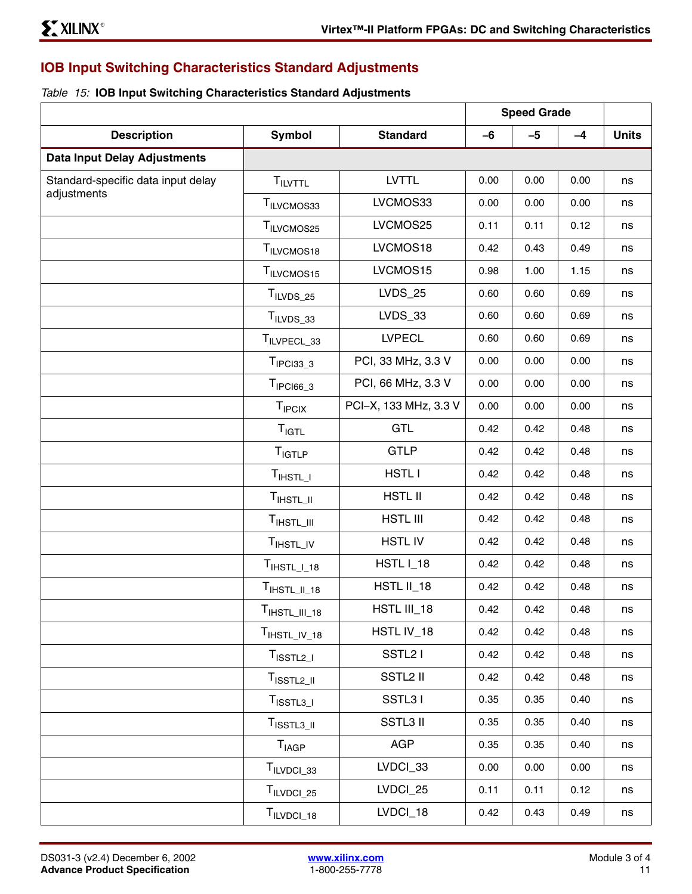## <span id="page-10-0"></span>**IOB Input Switching Characteristics Standard Adjustments**

### *Table 15:* **IOB Input Switching Characteristics Standard Adjustments**

|                                     |                           |                       |      | <b>Speed Grade</b> |      |              |
|-------------------------------------|---------------------------|-----------------------|------|--------------------|------|--------------|
| <b>Description</b>                  | <b>Symbol</b>             | <b>Standard</b>       | $-6$ | $-5$               | $-4$ | <b>Units</b> |
| <b>Data Input Delay Adjustments</b> |                           |                       |      |                    |      |              |
| Standard-specific data input delay  | <b>TILVTTL</b>            | <b>LVTTL</b>          | 0.00 | 0.00               | 0.00 | ns           |
| adjustments                         | T <sub>ILVCMOS33</sub>    | LVCMOS33              | 0.00 | 0.00               | 0.00 | ns           |
|                                     | T <sub>ILVCMOS25</sub>    | LVCMOS25              | 0.11 | 0.11               | 0.12 | ns           |
|                                     | T <sub>ILVCMOS18</sub>    | LVCMOS18              | 0.42 | 0.43               | 0.49 | ns           |
|                                     | TILVCMOS15                | LVCMOS15              | 0.98 | 1.00               | 1.15 | ns           |
|                                     | T <sub>ILVDS_25</sub>     | <b>LVDS_25</b>        | 0.60 | 0.60               | 0.69 | ns           |
|                                     | $T_{ILVDS_33}$            | $LVDS_33$             | 0.60 | 0.60               | 0.69 | ns           |
|                                     | TILVPECL_33               | <b>LVPECL</b>         | 0.60 | 0.60               | 0.69 | ns           |
|                                     | $TIPCI33_3$               | PCI, 33 MHz, 3.3 V    | 0.00 | 0.00               | 0.00 | ns           |
|                                     | $TIPCl66_3$               | PCI, 66 MHz, 3.3 V    | 0.00 | 0.00               | 0.00 | ns           |
|                                     | <b>T</b> <sub>IPCIX</sub> | PCI-X, 133 MHz, 3.3 V | 0.00 | 0.00               | 0.00 | ns           |
|                                     | $T_{IGTL}$                | GTL                   | 0.42 | 0.42               | 0.48 | ns           |
|                                     | $T_{IGTLP}$               | <b>GTLP</b>           | 0.42 | 0.42               | 0.48 | ns           |
|                                     | $T_{\text{IHSTL}$         | <b>HSTLI</b>          | 0.42 | 0.42               | 0.48 | ns           |
|                                     | T <sub>IHSTL</sub>        | <b>HSTL II</b>        | 0.42 | 0.42               | 0.48 | ns           |
|                                     | $T_{\text{IHSTL\_III}}$   | <b>HSTL III</b>       | 0.42 | 0.42               | 0.48 | ns           |
|                                     | T <sub>IHSTL_IV</sub>     | <b>HSTL IV</b>        | 0.42 | 0.42               | 0.48 | ns           |
|                                     | $TIHSTL_l18$              | HSTL I_18             | 0.42 | 0.42               | 0.48 | ns           |
|                                     | $TIHSTLII_18$             | HSTL II_18            | 0.42 | 0.42               | 0.48 | ns           |
|                                     | $TIHSTLIII_18$            | HSTL III_18           | 0.42 | 0.42               | 0.48 | ns           |
|                                     | $TIHSTLIV_18$             | HSTL IV_18            | 0.42 | 0.42               | 0.48 | ns           |
|                                     | $T_{\text{ISSTL2\_I}}$    | SSTL <sub>2</sub> I   | 0.42 | 0.42               | 0.48 | ns           |
|                                     | T <sub>ISSTL2_II</sub>    | <b>SSTL2 II</b>       | 0.42 | 0.42               | 0.48 | ns           |
|                                     | T <sub>ISSTL3</sub>       | SSTL31                | 0.35 | 0.35               | 0.40 | ns           |
|                                     | $T_{\text{ISSTL3\_II}}$   | <b>SSTL3 II</b>       | 0.35 | 0.35               | 0.40 | ns           |
|                                     | $T_{\sf IAGP}$            | <b>AGP</b>            | 0.35 | 0.35               | 0.40 | ns           |
|                                     | T <sub>ILVDCI_33</sub>    | LVDCI_33              | 0.00 | 0.00               | 0.00 | ns           |
|                                     | T <sub>ILVDCI_25</sub>    | LVDCI_25              | 0.11 | 0.11               | 0.12 | ns           |
|                                     | T <sub>ILVDCI_18</sub>    | LVDCI_18              | 0.42 | 0.43               | 0.49 | ns           |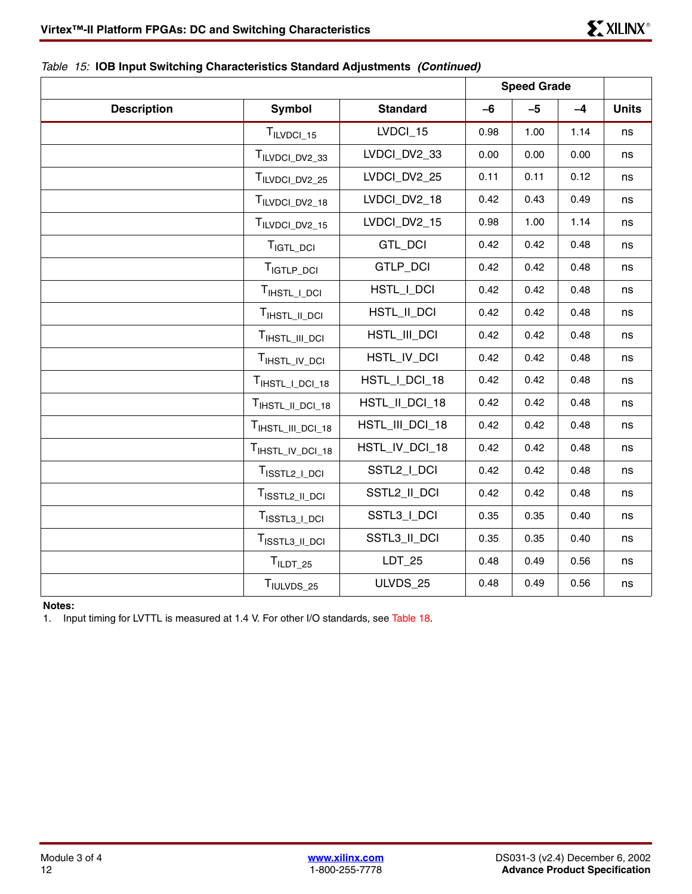### *Table 15:* **IOB Input Switching Characteristics Standard Adjustments** *(Continued)*

|                    |                              |                 |      | <b>Speed Grade</b> |      |              |
|--------------------|------------------------------|-----------------|------|--------------------|------|--------------|
| <b>Description</b> | <b>Symbol</b>                | <b>Standard</b> | $-6$ | $-5$               | $-4$ | <b>Units</b> |
|                    | $T_{ILVDCI\_15}$             | LVDCI_15        | 0.98 | 1.00               | 1.14 | ns           |
|                    | TILVDCI_DV2_33               | LVDCI DV2 33    | 0.00 | 0.00               | 0.00 | ns           |
|                    | TILVDCI_DV2_25               | LVDCI_DV2_25    | 0.11 | 0.11               | 0.12 | ns           |
|                    | T <sub>ILVDCI_DV2_18</sub>   | LVDCI_DV2_18    | 0.42 | 0.43               | 0.49 | ns           |
|                    | TILVDCI_DV2_15               | LVDCI DV2 15    | 0.98 | 1.00               | 1.14 | ns           |
|                    | T <sub>IGTL_DCI</sub>        | GTL_DCI         | 0.42 | 0.42               | 0.48 | ns           |
|                    | T <sub>IGTLP_DCI</sub>       | GTLP_DCI        | 0.42 | 0.42               | 0.48 | ns           |
|                    | TIHSTL_I_DCI                 | HSTL_I_DCI      | 0.42 | 0.42               | 0.48 | ns           |
|                    | TIHSTL_II_DCI                | HSTL_II_DCI     | 0.42 | 0.42               | 0.48 | ns           |
|                    | TIHSTL_III_DCI               | HSTL_III_DCI    | 0.42 | 0.42               | 0.48 | ns           |
|                    | TIHSTL_IV_DCI                | HSTL_IV_DCI     | 0.42 | 0.42               | 0.48 | ns           |
|                    | T <sub>IHSTL</sub> _I_DCI_18 | HSTL_I_DCI_18   | 0.42 | 0.42               | 0.48 | ns           |
|                    | TIHSTL_II_DCI_18             | HSTL_II_DCI_18  | 0.42 | 0.42               | 0.48 | ns           |
|                    | TIHSTL_III_DCI_18            | HSTL_III_DCI_18 | 0.42 | 0.42               | 0.48 | ns           |
|                    | TIHSTL_IV_DCI_18             | HSTL_IV_DCI_18  | 0.42 | 0.42               | 0.48 | ns           |
|                    | T <sub>ISSTL2_I_DCI</sub>    | SSTL2_I_DCI     | 0.42 | 0.42               | 0.48 | ns           |
|                    | T <sub>ISSTL2_II_DCI</sub>   | SSTL2_II_DCI    | 0.42 | 0.42               | 0.48 | ns           |
|                    | $TISSTL3$ $LDCI$             | SSTL3_I_DCI     | 0.35 | 0.35               | 0.40 | ns           |
|                    | T <sub>ISSTL3_II_DCI</sub>   | SSTL3_II_DCI    | 0.35 | 0.35               | 0.40 | ns           |
|                    | $TILDT_25$                   | $LDT_25$        | 0.48 | 0.49               | 0.56 | ns           |
|                    | TIULVDS_25                   | ULVDS_25        | 0.48 | 0.49               | 0.56 | $\sf{ns}$    |

#### **Notes:**

1. Input timing for LVTTL is measured at 1.4 V. For other I/O standards, see [Table 18.](#page-16-0)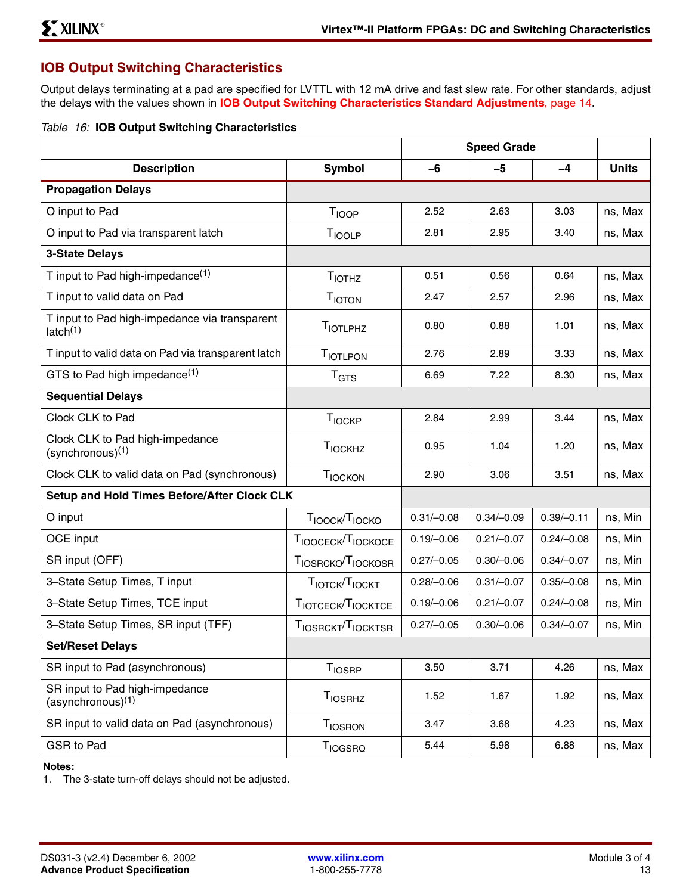## **IOB Output Switching Characteristics**

Output delays terminating at a pad are specified for LVTTL with 12 mA drive and fast slew rate. For other standards, adjust the delays with the values shown in **[IOB Output Switching Characteristics Standard Adjustments](#page-13-0)**, page 14.

|  |  |  |  |  | Table 16: IOB Output Switching Characteristics |
|--|--|--|--|--|------------------------------------------------|
|--|--|--|--|--|------------------------------------------------|

|                                                                       |                                        | <b>Speed Grade</b> |              |              |              |
|-----------------------------------------------------------------------|----------------------------------------|--------------------|--------------|--------------|--------------|
| <b>Description</b>                                                    | <b>Symbol</b>                          | $-6$               | $-5$         | $-4$         | <b>Units</b> |
| <b>Propagation Delays</b>                                             |                                        |                    |              |              |              |
| O input to Pad                                                        | T <sub>IOOP</sub>                      | 2.52               | 2.63         | 3.03         | ns, Max      |
| O input to Pad via transparent latch                                  | T <sub>IOOLP</sub>                     | 2.81               | 2.95         | 3.40         | ns, Max      |
| <b>3-State Delays</b>                                                 |                                        |                    |              |              |              |
| T input to Pad high-impedance <sup>(1)</sup>                          | T <sub>IOTHZ</sub>                     | 0.51               | 0.56         | 0.64         | ns, Max      |
| T input to valid data on Pad                                          | T <sub>IOTON</sub>                     | 2.47               | 2.57         | 2.96         | ns, Max      |
| T input to Pad high-impedance via transparent<br>latch <sup>(1)</sup> | <b>TIOTLPHZ</b>                        | 0.80               | 0.88         | 1.01         | ns, Max      |
| T input to valid data on Pad via transparent latch                    | <b>TIOTLPON</b>                        | 2.76               | 2.89         | 3.33         | ns, Max      |
| GTS to Pad high impedance <sup>(1)</sup>                              | T <sub>GTS</sub>                       | 6.69               | 7.22         | 8.30         | ns, Max      |
| <b>Sequential Delays</b>                                              |                                        |                    |              |              |              |
| Clock CLK to Pad                                                      | T <sub>IOCKP</sub>                     | 2.84               | 2.99         | 3.44         | ns, Max      |
| Clock CLK to Pad high-impedance<br>$(s$ ynchronous $)^{(1)}$          | TIOCKHZ                                | 0.95               | 1.04         | 1.20         | ns, Max      |
| Clock CLK to valid data on Pad (synchronous)                          | TIOCKON                                | 2.90               | 3.06         | 3.51         | ns, Max      |
| Setup and Hold Times Before/After Clock CLK                           |                                        |                    |              |              |              |
| O input                                                               | T <sub>IOOCK</sub> /T <sub>IOCKO</sub> | $0.31/-0.08$       | $0.34/-0.09$ | $0.39/-0.11$ | ns, Min      |
| OCE input                                                             | TIOOCECK <sup>T</sup> IOCKOCE          | $0.19/-0.06$       | $0.21/-0.07$ | $0.24/-0.08$ | ns, Min      |
| SR input (OFF)                                                        | TIOSRCKO <sup>T</sup> IOCKOSR          | $0.27/-0.05$       | $0.30/-0.06$ | $0.34/-0.07$ | ns, Min      |
| 3-State Setup Times, T input                                          | TIOTCK <sup>T</sup> IOCKT              | $0.28/-0.06$       | $0.31/-0.07$ | $0.35/-0.08$ | ns, Min      |
| 3-State Setup Times, TCE input                                        | TIOTCECK <sup>T</sup> IOCKTCE          | $0.19/-0.06$       | $0.21/-0.07$ | $0.24/-0.08$ | ns, Min      |
| 3-State Setup Times, SR input (TFF)                                   | TIOSRCKT <sup>T</sup> IOCKTSR          | $0.27/-0.05$       | $0.30/-0.06$ | $0.34/-0.07$ | ns, Min      |
| <b>Set/Reset Delays</b>                                               |                                        |                    |              |              |              |
| SR input to Pad (asynchronous)                                        | T <sub>IOSRP</sub>                     | 3.50               | 3.71         | 4.26         | ns, Max      |
| SR input to Pad high-impedance<br>$(asynchronous)^{(1)}$              | <b>T</b> <sub>IOSRHZ</sub>             | 1.52               | 1.67         | 1.92         | ns, Max      |
| SR input to valid data on Pad (asynchronous)                          | T <sub>IOSRON</sub>                    | 3.47               | 3.68         | 4.23         | ns, Max      |
| GSR to Pad                                                            | <b>TIOGSRQ</b>                         | 5.44               | 5.98         | 6.88         | ns, Max      |

#### **Notes:**

1. The 3-state turn-off delays should not be adjusted.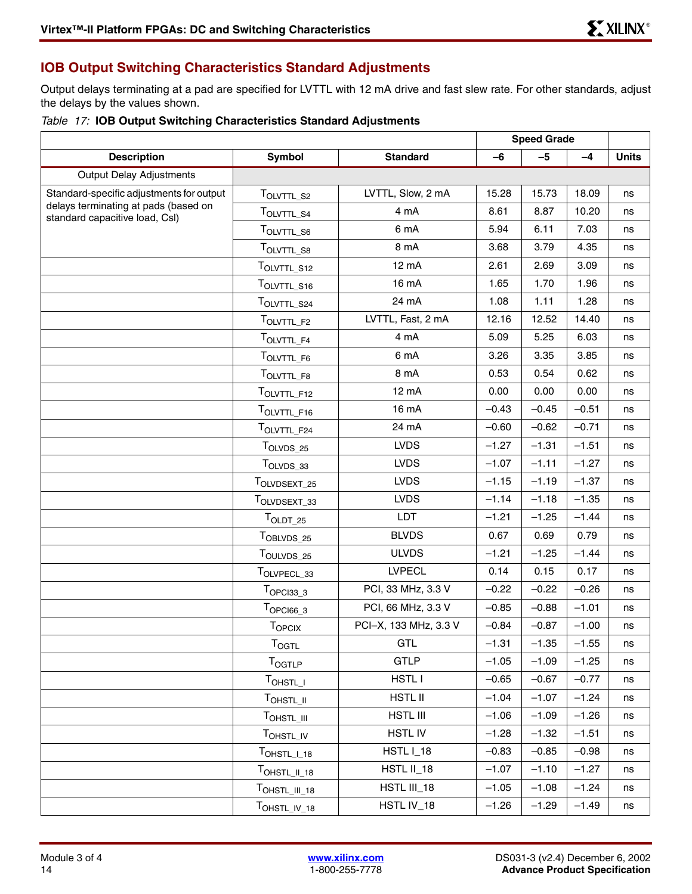## <span id="page-13-0"></span>**IOB Output Switching Characteristics Standard Adjustments**

Output delays terminating at a pad are specified for LVTTL with 12 mA drive and fast slew rate. For other standards, adjust the delays by the values shown.

|  |  |  |  |  | Table 17: IOB Output Switching Characteristics Standard Adjustments |  |  |
|--|--|--|--|--|---------------------------------------------------------------------|--|--|
|--|--|--|--|--|---------------------------------------------------------------------|--|--|

|                                                                        |                                      |                       | <b>Speed Grade</b> |         |         |              |
|------------------------------------------------------------------------|--------------------------------------|-----------------------|--------------------|---------|---------|--------------|
| <b>Description</b>                                                     | Symbol                               | <b>Standard</b>       | $-6$               | $-5$    | $-4$    | <b>Units</b> |
| <b>Output Delay Adjustments</b>                                        |                                      |                       |                    |         |         |              |
| Standard-specific adjustments for output                               | TOLVTTL_S2                           | LVTTL, Slow, 2 mA     | 15.28              | 15.73   | 18.09   | ns           |
| delays terminating at pads (based on<br>standard capacitive load, CsI) | TOLVTTL_S4                           | 4 mA                  | 8.61               | 8.87    | 10.20   | ns           |
|                                                                        | TOLVTTL_S6                           | 6 mA                  | 5.94               | 6.11    | 7.03    | ns           |
|                                                                        | TOLVTTL_S8                           | 8 mA                  | 3.68               | 3.79    | 4.35    | ns           |
|                                                                        | TOLVTTL_S12                          | 12 mA                 | 2.61               | 2.69    | 3.09    | ns           |
|                                                                        | TOLVTTL_S16                          | 16 mA                 | 1.65               | 1.70    | 1.96    | ns           |
|                                                                        | TOLVTTL_S24                          | 24 mA                 | 1.08               | 1.11    | 1.28    | ns           |
|                                                                        | TOLVTTL_F2                           | LVTTL, Fast, 2 mA     | 12.16              | 12.52   | 14.40   | ns           |
|                                                                        | TOLVTTL_F4                           | 4 mA                  | 5.09               | 5.25    | 6.03    | ns           |
|                                                                        | TOLVTTL_F6                           | 6 mA                  | 3.26               | 3.35    | 3.85    | ns           |
|                                                                        | TOLVTTL_F8                           | 8 mA                  | 0.53               | 0.54    | 0.62    | ns           |
|                                                                        | TOLVTTL_F12                          | 12 mA                 | 0.00               | 0.00    | 0.00    | ns           |
|                                                                        | TOLVTTL_F16                          | 16 mA                 | $-0.43$            | $-0.45$ | $-0.51$ | ns           |
|                                                                        | TOLVTTL_F24                          | 24 mA                 | $-0.60$            | $-0.62$ | $-0.71$ | ns           |
|                                                                        | TOLVDS_25                            | <b>LVDS</b>           | $-1.27$            | $-1.31$ | $-1.51$ | ns           |
|                                                                        | TOLVDS_33                            | <b>LVDS</b>           | $-1.07$            | $-1.11$ | $-1.27$ | ns           |
|                                                                        | TOLVDSEXT_25                         | <b>LVDS</b>           | $-1.15$            | $-1.19$ | $-1.37$ | ns           |
|                                                                        | TOLVDSEXT_33                         | <b>LVDS</b>           | $-1.14$            | $-1.18$ | $-1.35$ | ns           |
|                                                                        | $T_{OLDT_25}$                        | <b>LDT</b>            | $-1.21$            | $-1.25$ | $-1.44$ | ns           |
|                                                                        | TOBLVDS_25                           | <b>BLVDS</b>          | 0.67               | 0.69    | 0.79    | ns           |
|                                                                        | TOULVDS_25                           | <b>ULVDS</b>          | $-1.21$            | $-1.25$ | $-1.44$ | ns           |
|                                                                        | TOLVPECL_33                          | <b>LVPECL</b>         | 0.14               | 0.15    | 0.17    | ns           |
|                                                                        | $TOPC133_3$                          | PCI, 33 MHz, 3.3 V    | $-0.22$            | $-0.22$ | $-0.26$ | ns           |
|                                                                        | $T_{OPCl66\_3}$                      | PCI, 66 MHz, 3.3 V    | $-0.85$            | $-0.88$ | $-1.01$ | ns           |
|                                                                        | <b>TOPCIX</b>                        | PCI-X, 133 MHz, 3.3 V | $-0.84$            | $-0.87$ | $-1.00$ | ns           |
|                                                                        | $T_{\text{OGTL}}$                    | GTL                   | $-1.31$            | $-1.35$ | $-1.55$ | ns           |
|                                                                        | <b>TOGTLP</b>                        | <b>GTLP</b>           | $-1.05$            | $-1.09$ | $-1.25$ | ns           |
|                                                                        | TOHSTL_I                             | HSTL I                | $-0.65$            | $-0.67$ | $-0.77$ | ns           |
|                                                                        | TOHSTL_II                            | <b>HSTL II</b>        | $-1.04$            | $-1.07$ | $-1.24$ | ns           |
|                                                                        | TOHSTL_III                           | HSTL III              | $-1.06$            | $-1.09$ | $-1.26$ | ns           |
|                                                                        | TOHSTL_IV                            | <b>HSTLIV</b>         | $-1.28$            | $-1.32$ | $-1.51$ | ns           |
|                                                                        | $\mathsf{T}_{\mathsf{OHSTL\_I\_18}}$ | HSTL I_18             | $-0.83$            | $-0.85$ | $-0.98$ | ns           |
|                                                                        | TOHSTL_II_18                         | HSTL II_18            | $-1.07$            | $-1.10$ | $-1.27$ | ns           |
|                                                                        | TOHSTL_III_18                        | HSTL III_18           | $-1.05$            | $-1.08$ | $-1.24$ | ns           |
|                                                                        | TOHSTL_IV_18                         | HSTL IV_18            | $-1.26$            | $-1.29$ | $-1.49$ | ns           |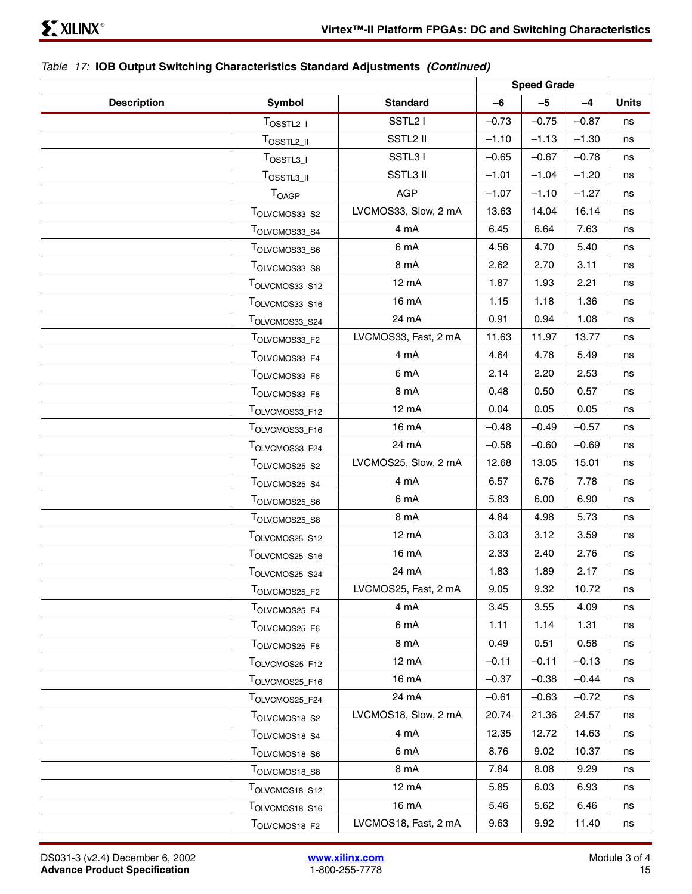### *Table 17:* **IOB Output Switching Characteristics Standard Adjustments** *(Continued)*

|                    |                           |                      | <b>Speed Grade</b> |         |         |              |
|--------------------|---------------------------|----------------------|--------------------|---------|---------|--------------|
| <b>Description</b> | <b>Symbol</b>             | <b>Standard</b>      | $-6$               | $-5$    | $-4$    | <b>Units</b> |
|                    | $T_{OSSTL2\_I}$           | SSTL <sub>2</sub> I  | $-0.73$            | $-0.75$ | $-0.87$ | ns           |
|                    | $T_{OSSTL2\_II}$          | SSTL2 II             | $-1.10$            | $-1.13$ | $-1.30$ | ns           |
|                    | $T_{OSSTL3\_I}$           | SSTL31               | $-0.65$            | $-0.67$ | $-0.78$ | ns           |
|                    | $T_{\text{OSSTL3\_II}}$   | SSTL3 II             | $-1.01$            | $-1.04$ | $-1.20$ | ns           |
|                    | T <sub>OAGP</sub>         | <b>AGP</b>           | $-1.07$            | $-1.10$ | $-1.27$ | ns           |
|                    | TOLVCMOS33_S2             | LVCMOS33, Slow, 2 mA | 13.63              | 14.04   | 16.14   | ns           |
|                    | TOLVCMOS33_S4             | 4 mA                 | 6.45               | 6.64    | 7.63    | ns           |
|                    | TOLVCMOS33_S6             | 6 mA                 | 4.56               | 4.70    | 5.40    | ns           |
|                    | TOLVCMOS33_S8             | 8 mA                 | 2.62               | 2.70    | 3.11    | ns           |
|                    | TOLVCMOS33_S12            | 12 mA                | 1.87               | 1.93    | 2.21    | ns           |
|                    | TOLVCMOS33 S16            | 16 mA                | 1.15               | 1.18    | 1.36    | ns           |
|                    | TOLVCMOS33_S24            | 24 mA                | 0.91               | 0.94    | 1.08    | ns           |
|                    | TOLVCMOS33_F2             | LVCMOS33, Fast, 2 mA | 11.63              | 11.97   | 13.77   | ns           |
|                    | TOLVCMOS33_F4             | 4 mA                 | 4.64               | 4.78    | 5.49    | ns           |
|                    | TOLVCMOS33_F6             | 6 mA                 | 2.14               | 2.20    | 2.53    | ns           |
|                    | TOLVCMOS33_F8             | 8 mA                 | 0.48               | 0.50    | 0.57    | ns           |
|                    | TOLVCMOS33_F12            | 12 mA                | 0.04               | 0.05    | 0.05    | ns           |
|                    | TOLVCMOS33_F16            | 16 mA                | $-0.48$            | $-0.49$ | $-0.57$ | ns           |
|                    | TOLVCMOS33_F24            | 24 mA                | $-0.58$            | $-0.60$ | $-0.69$ | ns           |
|                    | TOLVCMOS25_S2             | LVCMOS25, Slow, 2 mA | 12.68              | 13.05   | 15.01   | ns           |
|                    | TOLVCMOS25_S4             | 4 mA                 | 6.57               | 6.76    | 7.78    | ns           |
|                    | TOLVCMOS25_S6             | 6 mA                 | 5.83               | 6.00    | 6.90    | ns           |
|                    | TOLVCMOS25_S8             | 8 mA                 | 4.84               | 4.98    | 5.73    | ns           |
|                    | TOLVCMOS25_S12            | 12 mA                | 3.03               | 3.12    | 3.59    | ns           |
|                    | TOLVCMOS25_S16            | 16 mA                | 2.33               | 2.40    | 2.76    | ns           |
|                    | TOLVCMOS25_S24            | 24 mA                | 1.83               | 1.89    | 2.17    | ns           |
|                    | T <sub>OLVCMOS25_F2</sub> | LVCMOS25, Fast, 2 mA | 9.05               | 9.32    | 10.72   | ns           |
|                    | TOLVCMOS25_F4             | 4 mA                 | 3.45               | 3.55    | 4.09    | ns           |
|                    | TOLVCMOS25_F6             | 6 mA                 | 1.11               | 1.14    | 1.31    | ns           |
|                    | TOLVCMOS25_F8             | 8 mA                 | 0.49               | 0.51    | 0.58    | ns           |
|                    | TOLVCMOS25_F12            | 12 mA                | $-0.11$            | $-0.11$ | $-0.13$ | ns           |
|                    | TOLVCMOS25_F16            | 16 mA                | $-0.37$            | $-0.38$ | $-0.44$ | ns           |
|                    | TOLVCMOS25_F24            | 24 mA                | $-0.61$            | $-0.63$ | $-0.72$ | ns           |
|                    | TOLVCMOS18_S2             | LVCMOS18, Slow, 2 mA | 20.74              | 21.36   | 24.57   | ns           |
|                    | TOLVCMOS18_S4             | 4 mA                 | 12.35              | 12.72   | 14.63   | ns           |
|                    | TOLVCMOS18_S6             | 6 mA                 | 8.76               | 9.02    | 10.37   | ns           |
|                    | TOLVCMOS18_S8             | 8 mA                 | 7.84               | 8.08    | 9.29    | ns           |
|                    | TOLVCMOS18_S12            | 12 mA                | 5.85               | 6.03    | 6.93    | ns           |
|                    | TOLVCMOS18_S16            | 16 mA                | 5.46               | 5.62    | 6.46    | ns           |
|                    | TOLVCMOS18_F2             | LVCMOS18, Fast, 2 mA | 9.63               | 9.92    | 11.40   | ns           |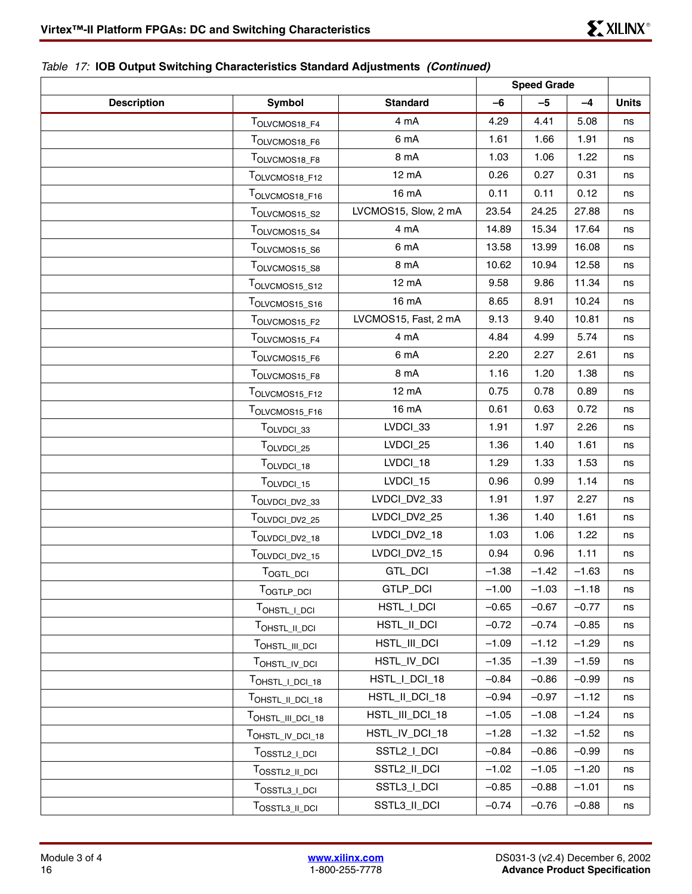## *Table 17:* **IOB Output Switching Characteristics Standard Adjustments** *(Continued)*

|                    |                                       |                      | <b>Speed Grade</b> |         |         |              |
|--------------------|---------------------------------------|----------------------|--------------------|---------|---------|--------------|
| <b>Description</b> | <b>Symbol</b>                         | <b>Standard</b>      | $-6$               | $-5$    | $-4$    | <b>Units</b> |
|                    | TOLVCMOS18_F4                         | 4 mA                 | 4.29               | 4.41    | 5.08    | ns           |
|                    | TOLVCMOS18_F6                         | 6 mA                 | 1.61               | 1.66    | 1.91    | ns           |
|                    | TOLVCMOS18_F8                         | 8 mA                 | 1.03               | 1.06    | 1.22    | ns           |
|                    | TOLVCMOS18_F12                        | 12 mA                | 0.26               | 0.27    | 0.31    | ns           |
|                    | TOLVCMOS18_F16                        | 16 mA                | 0.11               | 0.11    | 0.12    | ns           |
|                    | TOLVCMOS15_S2                         | LVCMOS15, Slow, 2 mA | 23.54              | 24.25   | 27.88   | ns           |
|                    | TOLVCMOS15_S4                         | 4 mA                 | 14.89              | 15.34   | 17.64   | ns           |
|                    | TOLVCMOS15_S6                         | 6 mA                 | 13.58              | 13.99   | 16.08   | ns           |
|                    | TOLVCMOS15_S8                         | 8 mA                 | 10.62              | 10.94   | 12.58   | ns           |
|                    | TOLVCMOS15_S12                        | 12 mA                | 9.58               | 9.86    | 11.34   | ns           |
|                    | TOLVCMOS15_S16                        | 16 mA                | 8.65               | 8.91    | 10.24   | ns           |
|                    | TOLVCMOS15_F2                         | LVCMOS15, Fast, 2 mA | 9.13               | 9.40    | 10.81   | ns           |
|                    | TOLVCMOS15_F4                         | 4 mA                 | 4.84               | 4.99    | 5.74    | ns           |
|                    | TOLVCMOS15 F6                         | 6 mA                 | 2.20               | 2.27    | 2.61    | ns           |
|                    | TOLVCMOS15 F8                         | 8 mA                 | 1.16               | 1.20    | 1.38    | ns           |
|                    | TOLVCMOS15_F12                        | 12 mA                | 0.75               | 0.78    | 0.89    | ns           |
|                    | TOLVCMOS15_F16                        | 16 mA                | 0.61               | 0.63    | 0.72    | ns           |
|                    | TOLVDCI_33                            | LVDCI_33             | 1.91               | 1.97    | 2.26    | ns           |
|                    | TOLVDCI_25                            | LVDCI_25             | 1.36               | 1.40    | 1.61    | ns           |
|                    | TOLVDCI_18                            | LVDCI_18             | 1.29               | 1.33    | 1.53    | ns           |
|                    | TOLVDCI_15                            | LVDCI_15             | 0.96               | 0.99    | 1.14    | ns           |
|                    | TOLVDCI_DV2_33                        | LVDCI_DV2_33         | 1.91               | 1.97    | 2.27    | ns           |
|                    | TOLVDCI_DV2_25                        | LVDCI_DV2_25         | 1.36               | 1.40    | 1.61    | ns           |
|                    | TOLVDCI_DV2_18                        | LVDCI_DV2_18         | 1.03               | 1.06    | 1.22    | ns           |
|                    | TOLVDCI_DV2_15                        | LVDCI_DV2_15         | 0.94               | 0.96    | 1.11    | ns           |
|                    | TOGTL DCI                             | GTL_DCI              | $-1.38$            | $-1.42$ | $-1.63$ | ns           |
|                    | T <sub>OGTLP_DCI</sub>                | GTLP_DCI             | $-1.00$            | $-1.03$ | $-1.18$ | ns           |
|                    | TOHSTL_I_DCI                          | HSTL_I_DCI           | $-0.65$            | $-0.67$ | $-0.77$ | ns           |
|                    | TOHSTL_II_DCI                         | HSTL_II_DCI          | $-0.72$            | $-0.74$ | $-0.85$ | ns           |
|                    | T <sub>OHSTL_III_DCI</sub>            | HSTL_III_DCI         | $-1.09$            | $-1.12$ | $-1.29$ | ns           |
|                    | T <sub>OHSTL_IV_DCI</sub>             | HSTL_IV_DCI          | $-1.35$            | $-1.39$ | $-1.59$ | ns           |
|                    | T <sub>OHSTL_I_DCI_18</sub>           | HSTL_I_DCI_18        | $-0.84$            | $-0.86$ | $-0.99$ | ns           |
|                    | TOHSTL_II_DCI_18                      | HSTL_II_DCI_18       | $-0.94$            | $-0.97$ | $-1.12$ | ns           |
|                    | TOHSTL_III_DCI_18                     | HSTL_III_DCI_18      | $-1.05$            | $-1.08$ | $-1.24$ | ns           |
|                    | TOHSTL_IV_DCI_18                      | HSTL_IV_DCI_18       | $-1.28$            | $-1.32$ | $-1.52$ | ns           |
|                    | TOSSTL2_I_DCI                         | SSTL2_I_DCI          | $-0.84$            | $-0.86$ | $-0.99$ | ns           |
|                    | TOSSTL2_II_DCI                        | SSTL2_II_DCI         | $-1.02$            | $-1.05$ | $-1.20$ | ns           |
|                    | T <sub>OSSTL3</sub> _ <sub>LDCI</sub> | SSTL3_I_DCI          | $-0.85$            | $-0.88$ | $-1.01$ | ns           |
|                    | TOSSTL3_II_DCI                        | SSTL3_II_DCI         | $-0.74$            | $-0.76$ | $-0.88$ | ns           |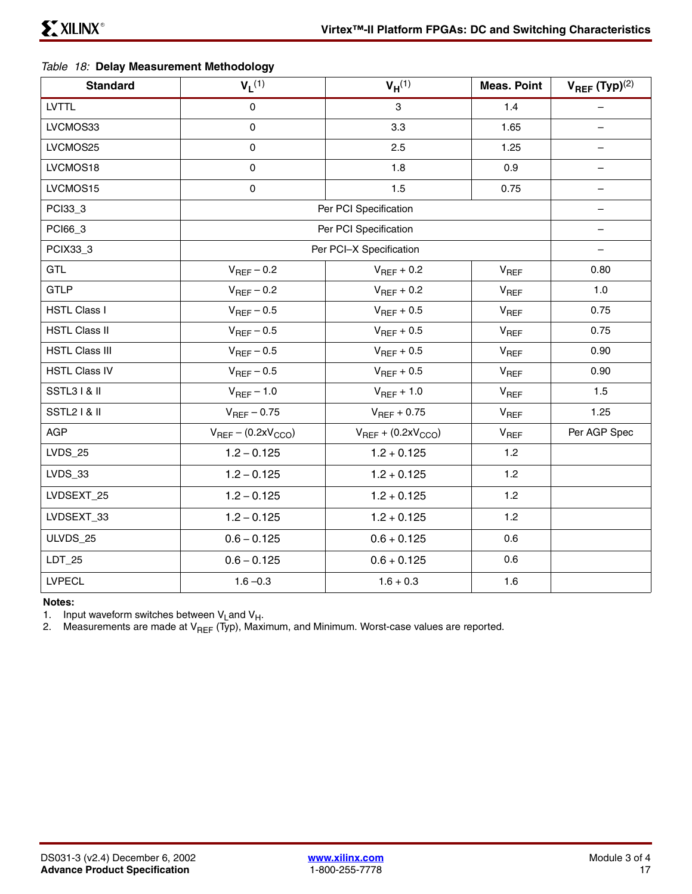### <span id="page-16-0"></span>*Table 18:* **Delay Measurement Methodology**

| <b>Standard</b>       | $V_L$ <sup>(1)</sup>          | $V_H^{(1)}$                   | <b>Meas. Point</b> | $V_{REF}$ (Typ) <sup>(2)</sup> |
|-----------------------|-------------------------------|-------------------------------|--------------------|--------------------------------|
| <b>LVTTL</b>          | $\mathbf 0$                   | 3                             | 1.4                |                                |
| LVCMOS33              | 0                             | 3.3                           | 1.65               |                                |
| LVCMOS25              | 0                             | 2.5                           | 1.25               | $\qquad \qquad -$              |
| LVCMOS18              | 0                             | 1.8                           | 0.9                |                                |
| LVCMOS15              | 0                             | 1.5                           | 0.75               | $\qquad \qquad -$              |
| PCI33_3               |                               | Per PCI Specification         |                    |                                |
| PCI66_3               |                               | Per PCI Specification         |                    | $\overline{\phantom{m}}$       |
| PCIX33_3              |                               | Per PCI-X Specification       |                    |                                |
| <b>GTL</b>            | $V_{REF}$ – 0.2               | $V_{REF}$ + 0.2               | $V_{REF}$          | 0.80                           |
| <b>GTLP</b>           | $V_{REF}$ – 0.2               | $V_{REF}$ + 0.2               | $V_{REF}$          | 1.0                            |
| <b>HSTL Class I</b>   | $V_{REF}$ – 0.5               | $V_{REF}$ + 0.5               | $V_{REF}$          | 0.75                           |
| <b>HSTL Class II</b>  | $V_{REF}$ – 0.5               | $V_{REF}$ + 0.5               | $V_{REF}$          | 0.75                           |
| <b>HSTL Class III</b> | $V_{REF}$ – 0.5               | $V_{REF}$ + 0.5               | $V_{REF}$          | 0.90                           |
| <b>HSTL Class IV</b>  | $V_{REF}$ – 0.5               | $V_{REF}$ + 0.5               | V <sub>REF</sub>   | 0.90                           |
| <b>SSTL31&amp; II</b> | $V_{REF}$ – 1.0               | $V_{REF}$ + 1.0               | $V_{REF}$          | 1.5                            |
| <b>SSTL21&amp; II</b> | $V_{REF}$ – 0.75              | $V_{REF}$ + 0.75              | $V_{REF}$          | 1.25                           |
| <b>AGP</b>            | $V_{REF}$ – (0.2x $V_{CCO}$ ) | $V_{REF}$ + (0.2x $V_{CCO}$ ) | $V_{REF}$          | Per AGP Spec                   |
| <b>LVDS_25</b>        | $1.2 - 0.125$                 | $1.2 + 0.125$                 | 1.2                |                                |
| LVDS_33               | $1.2 - 0.125$                 | $1.2 + 0.125$                 | 1.2                |                                |
| LVDSEXT_25            | $1.2 - 0.125$                 | $1.2 + 0.125$                 | 1.2                |                                |
| LVDSEXT_33            | $1.2 - 0.125$                 | $1.2 + 0.125$                 | 1.2                |                                |
| ULVDS_25              | $0.6 - 0.125$                 | $0.6 + 0.125$                 | 0.6                |                                |
| $LDT_25$              | $0.6 - 0.125$                 | $0.6 + 0.125$                 | 0.6                |                                |
| <b>LVPECL</b>         | $1.6 - 0.3$                   | $1.6 + 0.3$                   | 1.6                |                                |

**Notes:** 

1. Input waveform switches between  $V_{L}$ and  $V_{H}$ .

2. Measurements are made at V<sub>REF</sub> (Typ), Maximum, and Minimum. Worst-case values are reported.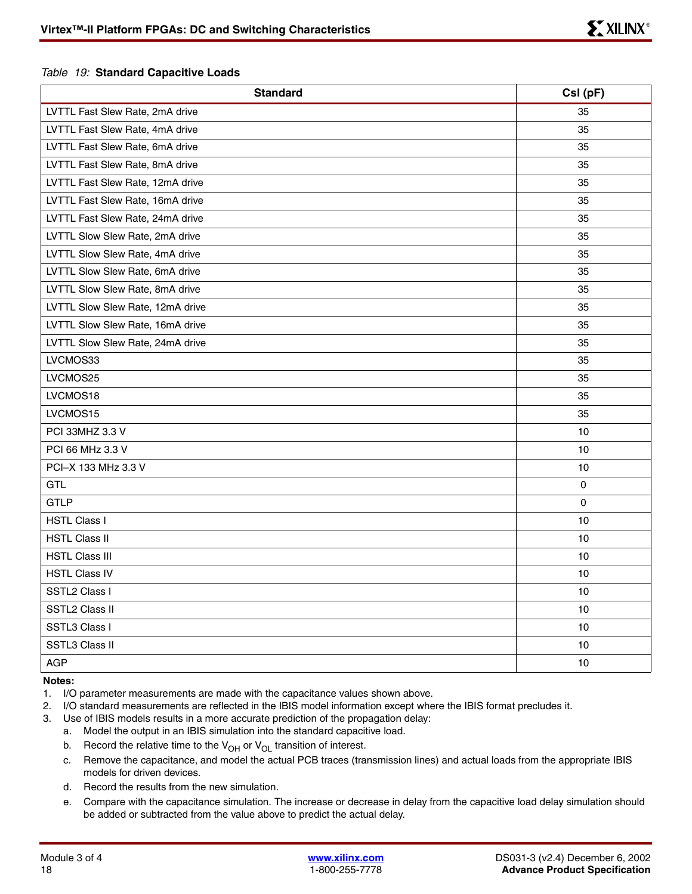#### *Table 19:* **Standard Capacitive Loads**

| <b>Standard</b>                  | CsI (pF) |
|----------------------------------|----------|
| LVTTL Fast Slew Rate, 2mA drive  | 35       |
| LVTTL Fast Slew Rate, 4mA drive  | 35       |
| LVTTL Fast Slew Rate, 6mA drive  | 35       |
| LVTTL Fast Slew Rate, 8mA drive  | 35       |
| LVTTL Fast Slew Rate, 12mA drive | 35       |
| LVTTL Fast Slew Rate, 16mA drive | 35       |
| LVTTL Fast Slew Rate, 24mA drive | 35       |
| LVTTL Slow Slew Rate, 2mA drive  | 35       |
| LVTTL Slow Slew Rate, 4mA drive  | 35       |
| LVTTL Slow Slew Rate, 6mA drive  | 35       |
| LVTTL Slow Slew Rate, 8mA drive  | 35       |
| LVTTL Slow Slew Rate, 12mA drive | 35       |
| LVTTL Slow Slew Rate, 16mA drive | 35       |
| LVTTL Slow Slew Rate, 24mA drive | 35       |
| LVCMOS33                         | 35       |
| LVCMOS25                         | 35       |
| LVCMOS18                         | 35       |
| LVCMOS15                         | 35       |
| PCI 33MHZ 3.3 V                  | 10       |
| PCI 66 MHz 3.3 V                 | 10       |
| PCI-X 133 MHz 3.3 V              | 10       |
| <b>GTL</b>                       | 0        |
| <b>GTLP</b>                      | 0        |
| <b>HSTL Class I</b>              | 10       |
| <b>HSTL Class II</b>             | 10       |
| <b>HSTL Class III</b>            | 10       |
| <b>HSTL Class IV</b>             | 10       |
| SSTL2 Class I                    | 10       |
| <b>SSTL2 Class II</b>            | 10       |
| SSTL3 Class I                    | 10       |
| SSTL3 Class II                   | 10       |
| AGP                              | 10       |

#### **Notes:**

- 1. I/O parameter measurements are made with the capacitance values shown above.
- 2. I/O standard measurements are reflected in the IBIS model information except where the IBIS format precludes it.
- 3. Use of IBIS models results in a more accurate prediction of the propagation delay:
	- a. Model the output in an IBIS simulation into the standard capacitive load.
	- b. Record the relative time to the  $V_{OH}$  or  $V_{OL}$  transition of interest.
	- c. Remove the capacitance, and model the actual PCB traces (transmission lines) and actual loads from the appropriate IBIS models for driven devices.
	- d. Record the results from the new simulation.
	- e. Compare with the capacitance simulation. The increase or decrease in delay from the capacitive load delay simulation should be added or subtracted from the value above to predict the actual delay.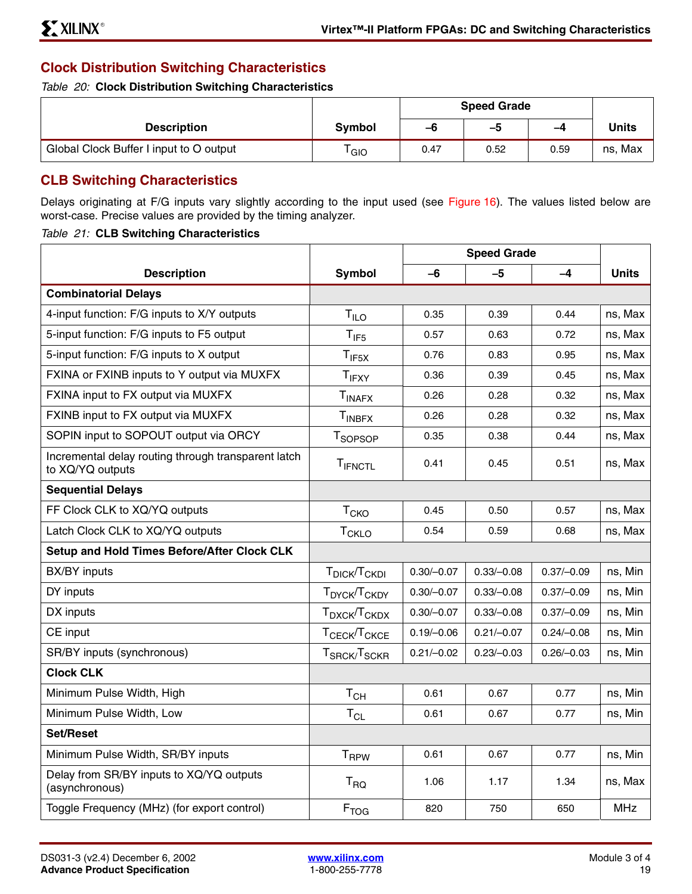## **Clock Distribution Switching Characteristics**

*Table 20:* **Clock Distribution Switching Characteristics**

|                                         |        | <b>Speed Grade</b> |      |      |         |
|-----------------------------------------|--------|--------------------|------|------|---------|
| <b>Description</b>                      | Symbol | -6                 | -5   | -4   | Units   |
| Global Clock Buffer I input to O output | GIO    | 0.47               | 0.52 | 0.59 | ns, Max |

## **CLB Switching Characteristics**

Delays originating at F/G inputs vary slightly according to the input used (see Figure 16). The values listed below are worst-case. Precise values are provided by the timing analyzer.

### *Table 21:* **CLB Switching Characteristics**

|                                                                         |                                      | <b>Speed Grade</b> |              |              |              |
|-------------------------------------------------------------------------|--------------------------------------|--------------------|--------------|--------------|--------------|
| <b>Description</b>                                                      | <b>Symbol</b>                        | -6                 | -5           | $-4$         | <b>Units</b> |
| <b>Combinatorial Delays</b>                                             |                                      |                    |              |              |              |
| 4-input function: F/G inputs to X/Y outputs                             | $T_{ILO}$                            | 0.35               | 0.39         | 0.44         | ns, Max      |
| 5-input function: F/G inputs to F5 output                               | $T_{IF5}$                            | 0.57               | 0.63         | 0.72         | ns, Max      |
| 5-input function: F/G inputs to X output                                | $T_{IF5X}$                           | 0.76               | 0.83         | 0.95         | ns, Max      |
| FXINA or FXINB inputs to Y output via MUXFX                             | $T_{IFXY}$                           | 0.36               | 0.39         | 0.45         | ns, Max      |
| FXINA input to FX output via MUXFX                                      | $T_{INAFX}$                          | 0.26               | 0.28         | 0.32         | ns, Max      |
| FXINB input to FX output via MUXFX                                      | $T_{INBFX}$                          | 0.26               | 0.28         | 0.32         | ns, Max      |
| SOPIN input to SOPOUT output via ORCY                                   | T <sub>SOPSOP</sub>                  | 0.35               | 0.38         | 0.44         | ns, Max      |
| Incremental delay routing through transparent latch<br>to XQ/YQ outputs | TIFNCTL                              | 0.41               | 0.45         | 0.51         | ns, Max      |
| <b>Sequential Delays</b>                                                |                                      |                    |              |              |              |
| FF Clock CLK to XQ/YQ outputs                                           | T <sub>CKO</sub>                     | 0.45               | 0.50         | 0.57         | ns, Max      |
| Latch Clock CLK to XQ/YQ outputs                                        | <b>T<sub>CKLO</sub></b>              | 0.54               | 0.59         | 0.68         | ns, Max      |
| Setup and Hold Times Before/After Clock CLK                             |                                      |                    |              |              |              |
| BX/BY inputs                                                            | T <sub>DICK</sub> /T <sub>CKDI</sub> | $0.30/-0.07$       | $0.33/-0.08$ | $0.37/-0.09$ | ns, Min      |
| DY inputs                                                               | T <sub>DYCK</sub> /T <sub>CKDY</sub> | $0.30/-0.07$       | $0.33/-0.08$ | $0.37/-0.09$ | ns, Min      |
| DX inputs                                                               | T <sub>DXCK</sub> /T <sub>CKDX</sub> | $0.30/-0.07$       | $0.33/-0.08$ | $0.37/-0.09$ | ns, Min      |
| CE input                                                                | T <sub>CECK</sub> /T <sub>CKCE</sub> | $0.19/-0.06$       | $0.21/-0.07$ | $0.24/-0.08$ | ns, Min      |
| SR/BY inputs (synchronous)                                              | $T_{SRCK}/T_{SCKR}$                  | $0.21/-0.02$       | $0.23/-0.03$ | $0.26/-0.03$ | ns, Min      |
| <b>Clock CLK</b>                                                        |                                      |                    |              |              |              |
| Minimum Pulse Width, High                                               | $T_{CH}$                             | 0.61               | 0.67         | 0.77         | ns, Min      |
| Minimum Pulse Width, Low                                                | $T_{CL}$                             | 0.61               | 0.67         | 0.77         | ns, Min      |
| <b>Set/Reset</b>                                                        |                                      |                    |              |              |              |
| Minimum Pulse Width, SR/BY inputs                                       | <b>T</b> <sub>RPW</sub>              | 0.61               | 0.67         | 0.77         | ns, Min      |
| Delay from SR/BY inputs to XQ/YQ outputs<br>(asynchronous)              | $T_{\text{RQ}}$                      | 1.06               | 1.17         | 1.34         | ns, Max      |
| Toggle Frequency (MHz) (for export control)                             | F <sub>TOG</sub>                     | 820                | 750          | 650          | <b>MHz</b>   |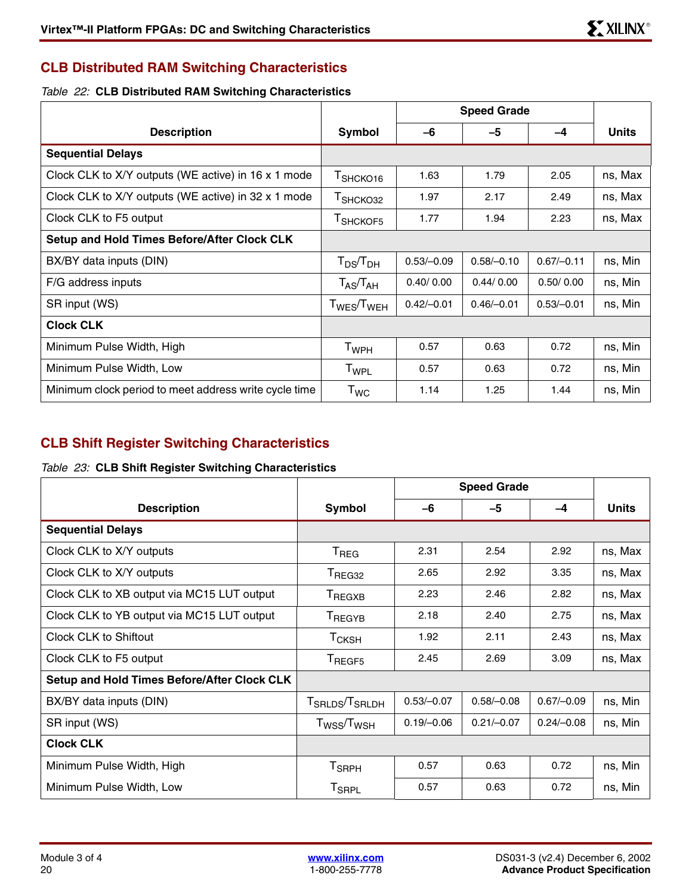## **CLB Distributed RAM Switching Characteristics**

### *Table 22:* **CLB Distributed RAM Switching Characteristics**

|                                                       |                                                       | <b>Speed Grade</b> |              |              |              |
|-------------------------------------------------------|-------------------------------------------------------|--------------------|--------------|--------------|--------------|
| <b>Description</b>                                    | Symbol                                                | -6                 | -5           | -4           | <b>Units</b> |
| <b>Sequential Delays</b>                              |                                                       |                    |              |              |              |
| Clock CLK to X/Y outputs (WE active) in 16 x 1 mode   | T <sub>SHCKO16</sub>                                  | 1.63               | 1.79         | 2.05         | ns, Max      |
| Clock CLK to X/Y outputs (WE active) in 32 x 1 mode   | T <sub>SHCKO32</sub>                                  | 1.97               | 2.17         | 2.49         | ns, Max      |
| Clock CLK to F5 output                                | T <sub>SHCKOF5</sub>                                  | 1.77               | 1.94         | 2.23         | ns, Max      |
| Setup and Hold Times Before/After Clock CLK           |                                                       |                    |              |              |              |
| BX/BY data inputs (DIN)                               | $T_{DS}/T_{DH}$                                       | $0.53/-0.09$       | $0.58/-0.10$ | $0.67/-0.11$ | ns, Min      |
| F/G address inputs                                    | $\mathsf{T}_{\mathsf{AS}}\!/\mathsf{T}_{\mathsf{AH}}$ | 0.40/0.00          | 0.44/0.00    | 0.50/0.00    | ns, Min      |
| SR input (WS)                                         | T <sub>WES</sub> /T <sub>WEH</sub>                    | $0.42/-0.01$       | $0.46/-0.01$ | $0.53/-0.01$ | ns, Min      |
| <b>Clock CLK</b>                                      |                                                       |                    |              |              |              |
| Minimum Pulse Width, High                             | T <sub>WPH</sub>                                      | 0.57               | 0.63         | 0.72         | ns, Min      |
| Minimum Pulse Width, Low                              | T <sub>WPL</sub>                                      | 0.57               | 0.63         | 0.72         | ns, Min      |
| Minimum clock period to meet address write cycle time | $T_{WC}$                                              | 1.14               | 1.25         | 1.44         | ns, Min      |

## **CLB Shift Register Switching Characteristics**

### <span id="page-19-0"></span>*Table 23:* **CLB Shift Register Switching Characteristics**

|                                                    |                                        | <b>Speed Grade</b> |              |              |              |
|----------------------------------------------------|----------------------------------------|--------------------|--------------|--------------|--------------|
| <b>Description</b>                                 | Symbol                                 | -6                 | $-5$         | $-4$         | <b>Units</b> |
| <b>Sequential Delays</b>                           |                                        |                    |              |              |              |
| Clock CLK to X/Y outputs                           | $T_{\sf REG}$                          | 2.31               | 2.54         | 2.92         | ns, Max      |
| Clock CLK to X/Y outputs                           | $\mathsf{T}_{\mathsf{REG32}}$          | 2.65               | 2.92         | 3.35         | ns, Max      |
| Clock CLK to XB output via MC15 LUT output         | T <sub>REGXB</sub>                     | 2.23               | 2.46         | 2.82         | ns, Max      |
| Clock CLK to YB output via MC15 LUT output         | T <sub>REGYB</sub>                     | 2.18               | 2.40         | 2.75         | ns, Max      |
| Clock CLK to Shiftout                              | $\mathsf{T}_{\mathsf{CKSH}}$           | 1.92               | 2.11         | 2.43         | ns, Max      |
| Clock CLK to F5 output                             | T <sub>REGF5</sub>                     | 2.45               | 2.69         | 3.09         | ns, Max      |
| <b>Setup and Hold Times Before/After Clock CLK</b> |                                        |                    |              |              |              |
| BX/BY data inputs (DIN)                            | T <sub>SRLDS</sub> /T <sub>SRLDH</sub> | $0.53/-0.07$       | $0.58/-0.08$ | $0.67/-0.09$ | ns, Min      |
| SR input (WS)                                      | $T_{\rm WSS}/T_{\rm WSH}$              | $0.19/-0.06$       | $0.21/-0.07$ | $0.24/-0.08$ | ns, Min      |
| <b>Clock CLK</b>                                   |                                        |                    |              |              |              |
| Minimum Pulse Width, High                          | T <sub>SRPH</sub>                      | 0.57               | 0.63         | 0.72         | ns, Min      |
| Minimum Pulse Width, Low                           | T <sub>SRPL</sub>                      | 0.57               | 0.63         | 0.72         | ns, Min      |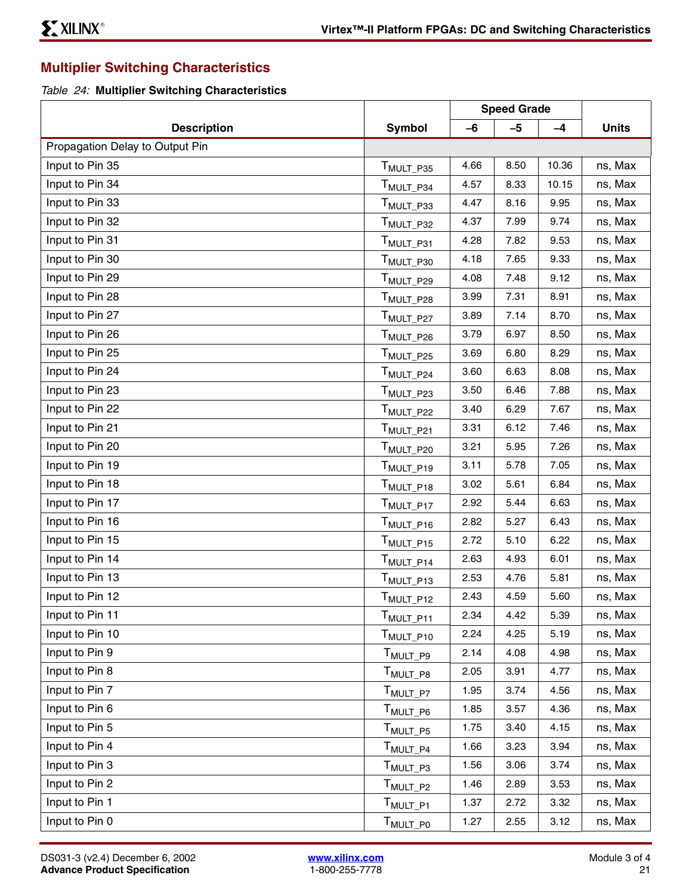## **Multiplier Switching Characteristics**

*Table 24:* **Multiplier Switching Characteristics**

|                                 |                                   | <b>Speed Grade</b> |      |       |              |
|---------------------------------|-----------------------------------|--------------------|------|-------|--------------|
| <b>Description</b>              | <b>Symbol</b>                     | $-6$               | $-5$ | $-4$  | <b>Units</b> |
| Propagation Delay to Output Pin |                                   |                    |      |       |              |
| Input to Pin 35                 | T <sub>MULT_P35</sub>             | 4.66               | 8.50 | 10.36 | ns, Max      |
| Input to Pin 34                 | T <sub>MULT P34</sub>             | 4.57               | 8.33 | 10.15 | ns, Max      |
| Input to Pin 33                 | T <sub>MULT_P33</sub>             | 4.47               | 8.16 | 9.95  | ns, Max      |
| Input to Pin 32                 | T <sub>MULT_P32</sub>             | 4.37               | 7.99 | 9.74  | ns, Max      |
| Input to Pin 31                 | T <sub>MULT_P31</sub>             | 4.28               | 7.82 | 9.53  | ns, Max      |
| Input to Pin 30                 | T <sub>MULT_P30</sub>             | 4.18               | 7.65 | 9.33  | ns, Max      |
| Input to Pin 29                 | T <sub>MULT_P29</sub>             | 4.08               | 7.48 | 9.12  | ns, Max      |
| Input to Pin 28                 | T <sub>MULT_P28</sub>             | 3.99               | 7.31 | 8.91  | ns, Max      |
| Input to Pin 27                 | T <sub>MULT_P27</sub>             | 3.89               | 7.14 | 8.70  | ns, Max      |
| Input to Pin 26                 | T <sub>MULT_P26</sub>             | 3.79               | 6.97 | 8.50  | ns, Max      |
| Input to Pin 25                 | T <sub>MULT_P25</sub>             | 3.69               | 6.80 | 8.29  | ns, Max      |
| Input to Pin 24                 | T <sub>MULT_P24</sub>             | 3.60               | 6.63 | 8.08  | ns, Max      |
| Input to Pin 23                 | T <sub>MULT_P23</sub>             | 3.50               | 6.46 | 7.88  | ns, Max      |
| Input to Pin 22                 | T <sub>MULT_P22</sub>             | 3.40               | 6.29 | 7.67  | ns, Max      |
| Input to Pin 21                 | T <sub>MULT_P21</sub>             | 3.31               | 6.12 | 7.46  | ns, Max      |
| Input to Pin 20                 | T <sub>MULT_P20</sub>             | 3.21               | 5.95 | 7.26  | ns, Max      |
| Input to Pin 19                 | T <sub>MULT_P19</sub>             | 3.11               | 5.78 | 7.05  | ns, Max      |
| Input to Pin 18                 | T <sub>MULT_P18</sub>             | 3.02               | 5.61 | 6.84  | ns, Max      |
| Input to Pin 17                 | T <sub>MULT_P17</sub>             | 2.92               | 5.44 | 6.63  | ns, Max      |
| Input to Pin 16                 | T <sub>MULT_P16</sub>             | 2.82               | 5.27 | 6.43  | ns, Max      |
| Input to Pin 15                 | T <sub>MULT_P15</sub>             | 2.72               | 5.10 | 6.22  | ns, Max      |
| Input to Pin 14                 | T <sub>MULT_P14</sub>             | 2.63               | 4.93 | 6.01  | ns, Max      |
| Input to Pin 13                 | T <sub>MULT_P13</sub>             | 2.53               | 4.76 | 5.81  | ns, Max      |
| Input to Pin 12                 | T <sub>MULT_P12</sub>             | 2.43               | 4.59 | 5.60  | ns, Max      |
| Input to Pin 11                 | T <sub>MULT_P11</sub>             | 2.34               | 4.42 | 5.39  | ns, Max      |
| Input to Pin 10                 | $\mathsf{T}_{\mathsf{MULT\_P10}}$ | 2.24               | 4.25 | 5.19  | ns, Max      |
| Input to Pin 9                  | T <sub>MULT_P9</sub>              | 2.14               | 4.08 | 4.98  | ns, Max      |
| Input to Pin 8                  | $\mathsf{T}_{\mathsf{MULT\_P8}}$  | 2.05               | 3.91 | 4.77  | ns, Max      |
| Input to Pin 7                  | T <sub>MULT_P7</sub>              | 1.95               | 3.74 | 4.56  | ns, Max      |
| Input to Pin 6                  | T <sub>MULT_P6</sub>              | 1.85               | 3.57 | 4.36  | ns, Max      |
| Input to Pin 5                  | T <sub>MULT_P5</sub>              | 1.75               | 3.40 | 4.15  | ns, Max      |
| Input to Pin 4                  | $T_{\text{MULT}_P4}$              | 1.66               | 3.23 | 3.94  | ns, Max      |
| Input to Pin 3                  | T <sub>MULT_P3</sub>              | 1.56               | 3.06 | 3.74  | ns, Max      |
| Input to Pin 2                  | T <sub>MULT_P2</sub>              | 1.46               | 2.89 | 3.53  | ns, Max      |
| Input to Pin 1                  | T <sub>MULT_P1</sub>              | 1.37               | 2.72 | 3.32  | ns, Max      |
| Input to Pin 0                  | T <sub>MULT_P0</sub>              | 1.27               | 2.55 | 3.12  | ns, Max      |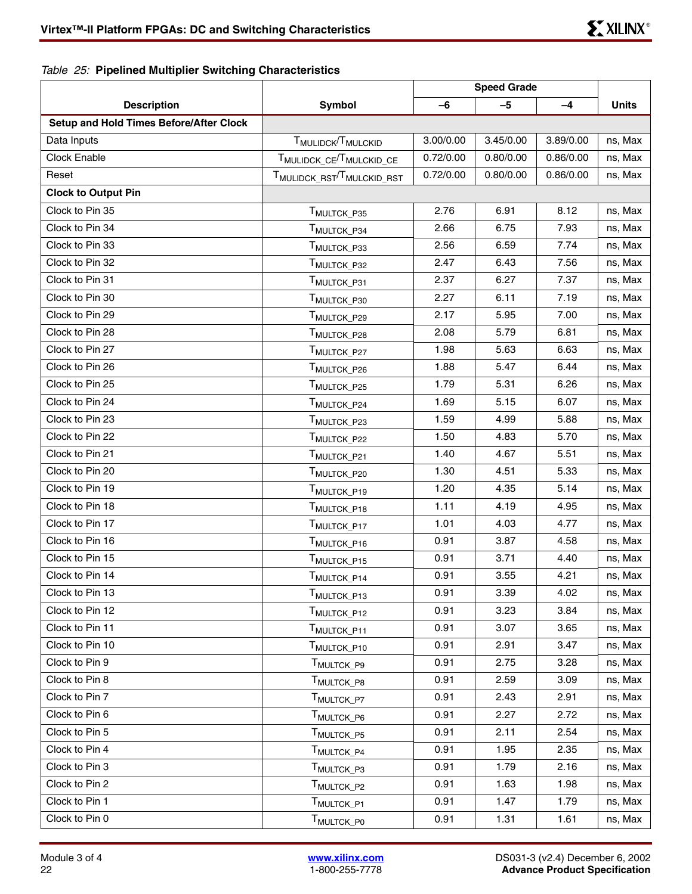## *Table 25:* **Pipelined Multiplier Switching Characteristics**

|                                                |                                            | <b>Speed Grade</b> |           |           |              |
|------------------------------------------------|--------------------------------------------|--------------------|-----------|-----------|--------------|
| <b>Description</b>                             | Symbol                                     | $-6$               | $-5$      | -4        | <b>Units</b> |
| <b>Setup and Hold Times Before/After Clock</b> |                                            |                    |           |           |              |
| Data Inputs                                    | T <sub>MULIDCK</sub> /T <sub>MULCKID</sub> | 3.00/0.00          | 3.45/0.00 | 3.89/0.00 | ns, Max      |
| <b>Clock Enable</b>                            | TMULIDCK_CE <sup>/T</sup> MULCKID_CE       | 0.72/0.00          | 0.80/0.00 | 0.86/0.00 | ns, Max      |
| Reset                                          | TMULIDCK_RST <sup>/T</sup> MULCKID_RST     | 0.72/0.00          | 0.80/0.00 | 0.86/0.00 | ns, Max      |
| <b>Clock to Output Pin</b>                     |                                            |                    |           |           |              |
| Clock to Pin 35                                | T <sub>MULTCK_P35</sub>                    | 2.76               | 6.91      | 8.12      | ns, Max      |
| Clock to Pin 34                                | T <sub>MULTCK_P34</sub>                    | 2.66               | 6.75      | 7.93      | ns, Max      |
| Clock to Pin 33                                | T <sub>MULTCK_P33</sub>                    | 2.56               | 6.59      | 7.74      | ns, Max      |
| Clock to Pin 32                                | T <sub>MULTCK_P32</sub>                    | 2.47               | 6.43      | 7.56      | ns, Max      |
| Clock to Pin 31                                | T <sub>MULTCK_P31</sub>                    | 2.37               | 6.27      | 7.37      | ns, Max      |
| Clock to Pin 30                                | T <sub>MULTCK_P30</sub>                    | 2.27               | 6.11      | 7.19      | ns, Max      |
| Clock to Pin 29                                | T <sub>MULTCK_P29</sub>                    | 2.17               | 5.95      | 7.00      | ns, Max      |
| Clock to Pin 28                                | T <sub>MULTCK_P28</sub>                    | 2.08               | 5.79      | 6.81      | ns, Max      |
| Clock to Pin 27                                | T <sub>MULTCK_P27</sub>                    | 1.98               | 5.63      | 6.63      | ns, Max      |
| Clock to Pin 26                                | T <sub>MULTCK_P26</sub>                    | 1.88               | 5.47      | 6.44      | ns, Max      |
| Clock to Pin 25                                | T <sub>MULTCK_P25</sub>                    | 1.79               | 5.31      | 6.26      | ns, Max      |
| Clock to Pin 24                                | T <sub>MULTCK_P24</sub>                    | 1.69               | 5.15      | 6.07      | ns, Max      |
| Clock to Pin 23                                | T <sub>MULTCK_P23</sub>                    | 1.59               | 4.99      | 5.88      | ns, Max      |
| Clock to Pin 22                                | T <sub>MULTCK_P22</sub>                    | 1.50               | 4.83      | 5.70      | ns, Max      |
| Clock to Pin 21                                | TMULTCK_P21                                | 1.40               | 4.67      | 5.51      | ns, Max      |
| Clock to Pin 20                                | T <sub>MULTCK_P20</sub>                    | 1.30               | 4.51      | 5.33      | ns, Max      |
| Clock to Pin 19                                | T <sub>MULTCK</sub> P <sub>19</sub>        | 1.20               | 4.35      | 5.14      | ns, Max      |
| Clock to Pin 18                                | T <sub>MULTCK_P18</sub>                    | 1.11               | 4.19      | 4.95      | ns, Max      |
| Clock to Pin 17                                | T <sub>MULTCK_P17</sub>                    | 1.01               | 4.03      | 4.77      | ns, Max      |
| Clock to Pin 16                                | T <sub>MULTCK_P16</sub>                    | 0.91               | 3.87      | 4.58      | ns, Max      |
| Clock to Pin 15                                | TMULTCK_P15                                | 0.91               | 3.71      | 4.40      | ns, Max      |
| Clock to Pin 14                                | TMULTCK_P14                                | 0.91               | 3.55      | 4.21      | ns, Max      |
| Clock to Pin 13                                | T <sub>MULTCK</sub> _P13                   | 0.91               | 3.39      | 4.02      | ns, Max      |
| Clock to Pin 12                                | T <sub>MULTCK_P12</sub>                    | 0.91               | 3.23      | 3.84      | ns, Max      |
| Clock to Pin 11                                | T <sub>MULTCK_P11</sub>                    | 0.91               | 3.07      | 3.65      | ns, Max      |
| Clock to Pin 10                                | T <sub>MULTCK_P10</sub>                    | 0.91               | 2.91      | 3.47      | ns, Max      |
| Clock to Pin 9                                 | T <sub>MULTCK_P9</sub>                     | 0.91               | 2.75      | 3.28      | ns, Max      |
| Clock to Pin 8                                 | T <sub>MULTCK_P8</sub>                     | 0.91               | 2.59      | 3.09      | ns, Max      |
| Clock to Pin 7                                 | T <sub>MULTCK_P7</sub>                     | 0.91               | 2.43      | 2.91      | ns, Max      |
| Clock to Pin 6                                 | TMULTCK P6                                 | 0.91               | 2.27      | 2.72      | ns, Max      |
| Clock to Pin 5                                 | T <sub>MULTCK_P5</sub>                     | 0.91               | 2.11      | 2.54      | ns, Max      |
| Clock to Pin 4                                 | T <sub>MULTCK_P4</sub>                     | 0.91               | 1.95      | 2.35      | ns, Max      |
| Clock to Pin 3                                 | T <sub>MULTCK</sub> <sub>P3</sub>          | 0.91               | 1.79      | 2.16      | ns, Max      |
| Clock to Pin 2                                 | T <sub>MULTCK_P2</sub>                     | 0.91               | 1.63      | 1.98      | ns, Max      |
| Clock to Pin 1                                 | T <sub>MULTCK_P1</sub>                     | 0.91               | 1.47      | 1.79      | ns, Max      |
| Clock to Pin 0                                 | T <sub>MULTCK_P0</sub>                     | 0.91               | 1.31      | 1.61      | ns, Max      |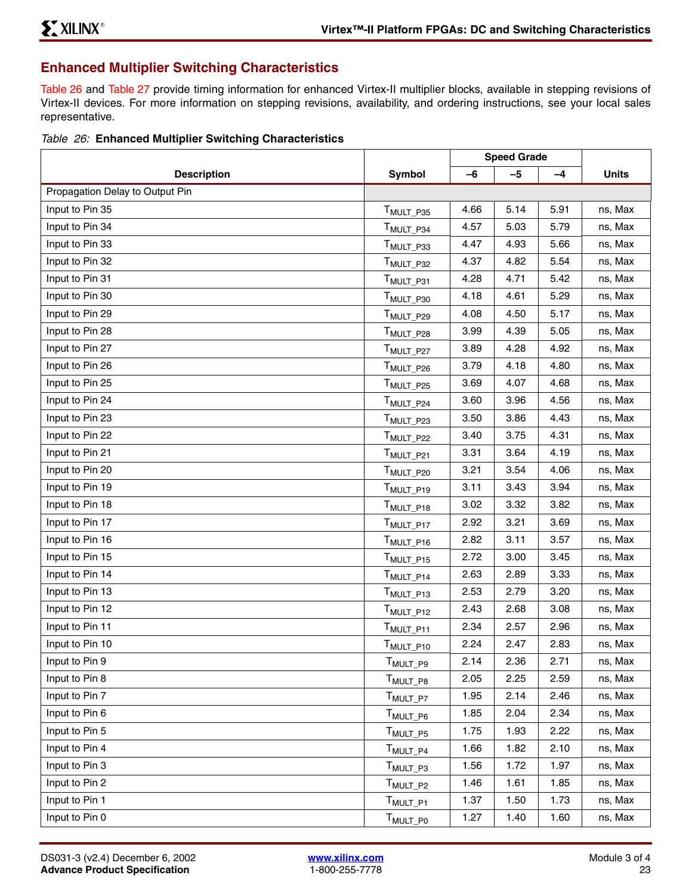## <span id="page-22-1"></span>**Enhanced Multiplier Switching Characteristics**

[Table 26](#page-22-0) and [Table 27](#page-23-0) provide timing information for enhanced Virtex-II multiplier blocks, available in stepping revisions of Virtex-II devices. For more information on stepping revisions, availability, and ordering instructions, see your local sales representative.

### <span id="page-22-0"></span>*Table 26:* **Enhanced Multiplier Switching Characteristics**

|                                 |                         | <b>Speed Grade</b> |      |      |              |
|---------------------------------|-------------------------|--------------------|------|------|--------------|
| <b>Description</b>              | Symbol                  | $-6$               | $-5$ | $-4$ | <b>Units</b> |
| Propagation Delay to Output Pin |                         |                    |      |      |              |
| Input to Pin 35                 | T <sub>MULT_P35</sub>   | 4.66               | 5.14 | 5.91 | ns, Max      |
| Input to Pin 34                 | T <sub>MULT_P34</sub>   | 4.57               | 5.03 | 5.79 | ns, Max      |
| Input to Pin 33                 | T <sub>MULT_P33</sub>   | 4.47               | 4.93 | 5.66 | ns, Max      |
| Input to Pin 32                 | T <sub>MULT_P32</sub>   | 4.37               | 4.82 | 5.54 | ns, Max      |
| Input to Pin 31                 | T <sub>MULT_P31</sub>   | 4.28               | 4.71 | 5.42 | ns, Max      |
| Input to Pin 30                 | T <sub>MULT_P30</sub>   | 4.18               | 4.61 | 5.29 | ns, Max      |
| Input to Pin 29                 | T <sub>MULT_P29</sub>   | 4.08               | 4.50 | 5.17 | ns, Max      |
| Input to Pin 28                 | T <sub>MULT_P28</sub>   | 3.99               | 4.39 | 5.05 | ns, Max      |
| Input to Pin 27                 | T <sub>MULT_P27</sub>   | 3.89               | 4.28 | 4.92 | ns, Max      |
| Input to Pin 26                 | T <sub>MULT_P26</sub>   | 3.79               | 4.18 | 4.80 | ns, Max      |
| Input to Pin 25                 | T <sub>MULT_P25</sub>   | 3.69               | 4.07 | 4.68 | ns, Max      |
| Input to Pin 24                 | T <sub>MULT_P24</sub>   | 3.60               | 3.96 | 4.56 | ns, Max      |
| Input to Pin 23                 | T <sub>MULT_P23</sub>   | 3.50               | 3.86 | 4.43 | ns, Max      |
| Input to Pin 22                 | T <sub>MULT_P22</sub>   | 3.40               | 3.75 | 4.31 | ns, Max      |
| Input to Pin 21                 | T <sub>MULT_P21</sub>   | 3.31               | 3.64 | 4.19 | ns, Max      |
| Input to Pin 20                 | T <sub>MULT_P20</sub>   | 3.21               | 3.54 | 4.06 | ns, Max      |
| Input to Pin 19                 | T <sub>MULT_P19</sub>   | 3.11               | 3.43 | 3.94 | ns, Max      |
| Input to Pin 18                 | T <sub>MULT_P18</sub>   | 3.02               | 3.32 | 3.82 | ns, Max      |
| Input to Pin 17                 | T <sub>MULT_P17</sub>   | 2.92               | 3.21 | 3.69 | ns, Max      |
| Input to Pin 16                 | T <sub>MULT_P16</sub>   | 2.82               | 3.11 | 3.57 | ns, Max      |
| Input to Pin 15                 | T <sub>MULT_P15</sub>   | 2.72               | 3.00 | 3.45 | ns, Max      |
| Input to Pin 14                 | T <sub>MULT_P14</sub>   | 2.63               | 2.89 | 3.33 | ns, Max      |
| Input to Pin 13                 | T <sub>MULT_P13</sub>   | 2.53               | 2.79 | 3.20 | ns, Max      |
| Input to Pin 12                 | T <sub>MULT_P12</sub>   | 2.43               | 2.68 | 3.08 | ns, Max      |
| Input to Pin 11                 | T <sub>MULT_P11</sub>   | 2.34               | 2.57 | 2.96 | ns, Max      |
| Input to Pin 10                 | T <sub>MULT_P10</sub>   | 2.24               | 2.47 | 2.83 | ns, Max      |
| Input to Pin 9                  | T <sub>MULT_P9</sub>    | 2.14               | 2.36 | 2.71 | ns, Max      |
| Input to Pin 8                  | T <sub>MULT_P8</sub>    | 2.05               | 2.25 | 2.59 | ns, Max      |
| Input to Pin 7                  | T <sub>MULT_P7</sub>    | 1.95               | 2.14 | 2.46 | ns, Max      |
| Input to Pin 6                  | $T_{\mathsf{MULT\_PG}}$ | 1.85               | 2.04 | 2.34 | ns, Max      |
| Input to Pin 5                  | $T_{MULT\_PS}$          | 1.75               | 1.93 | 2.22 | ns, Max      |
| Input to Pin 4                  | $T_{\mathsf{MULT\_P4}}$ | 1.66               | 1.82 | 2.10 | ns, Max      |
| Input to Pin 3                  | $T_{MULT_P3}$           | 1.56               | 1.72 | 1.97 | ns, Max      |
| Input to Pin 2                  | T <sub>MULT_P2</sub>    | 1.46               | 1.61 | 1.85 | ns, Max      |
| Input to Pin 1                  | T <sub>MULT_P1</sub>    | 1.37               | 1.50 | 1.73 | ns, Max      |
| Input to Pin 0                  | T <sub>MULT_P0</sub>    | 1.27               | 1.40 | 1.60 | ns, Max      |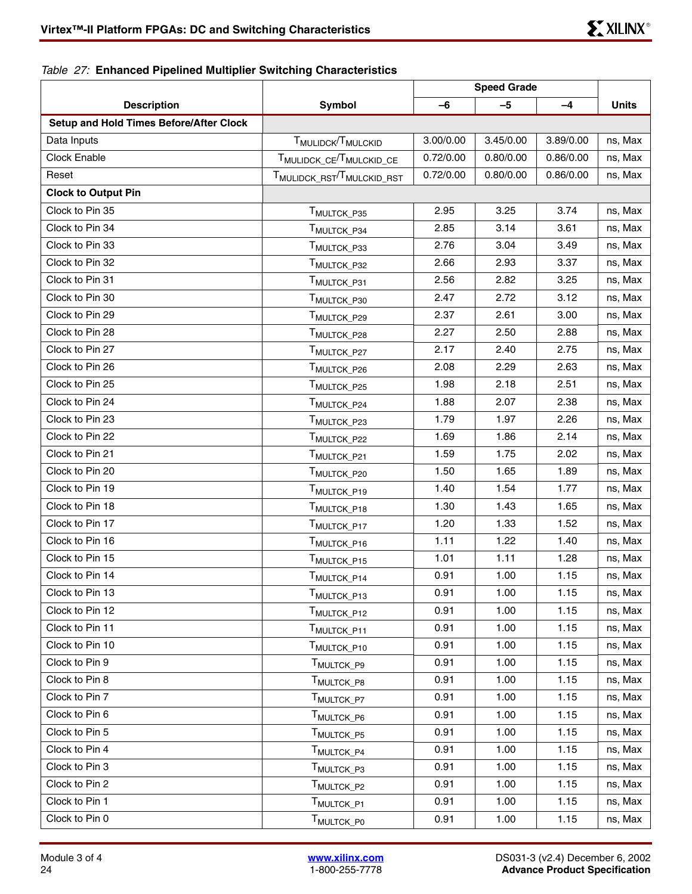<span id="page-23-0"></span>*Table 27:* **Enhanced Pipelined Multiplier Switching Characteristics**

|                                                |                                            | <b>Speed Grade</b> |           |           |              |
|------------------------------------------------|--------------------------------------------|--------------------|-----------|-----------|--------------|
| <b>Description</b>                             | <b>Symbol</b>                              | $-6$               | $-5$      | -4        | <b>Units</b> |
| <b>Setup and Hold Times Before/After Clock</b> |                                            |                    |           |           |              |
| Data Inputs                                    | T <sub>MULIDCK</sub> /T <sub>MULCKID</sub> | 3.00/0.00          | 3.45/0.00 | 3.89/0.00 | ns, Max      |
| Clock Enable                                   | TMULIDCK_CE <sup>/T</sup> MULCKID_CE       | 0.72/0.00          | 0.80/0.00 | 0.86/0.00 | ns, Max      |
| Reset                                          | TMULIDCK_RST <sup>/T</sup> MULCKID_RST     | 0.72/0.00          | 0.80/0.00 | 0.86/0.00 | ns, Max      |
| <b>Clock to Output Pin</b>                     |                                            |                    |           |           |              |
| Clock to Pin 35                                | T <sub>MULTCK_P35</sub>                    | 2.95               | 3.25      | 3.74      | ns, Max      |
| Clock to Pin 34                                | T <sub>MULTCK_P34</sub>                    | 2.85               | 3.14      | 3.61      | ns, Max      |
| Clock to Pin 33                                | T <sub>MULTCK_P33</sub>                    | 2.76               | 3.04      | 3.49      | ns, Max      |
| Clock to Pin 32                                | T <sub>MULTCK_P32</sub>                    | 2.66               | 2.93      | 3.37      | ns, Max      |
| Clock to Pin 31                                | T <sub>MULTCK_P31</sub>                    | 2.56               | 2.82      | 3.25      | ns, Max      |
| Clock to Pin 30                                | T <sub>MULTCK_P30</sub>                    | 2.47               | 2.72      | 3.12      | ns, Max      |
| Clock to Pin 29                                | T <sub>MULTCK_P29</sub>                    | 2.37               | 2.61      | 3.00      | ns, Max      |
| Clock to Pin 28                                | T <sub>MULTCK_P28</sub>                    | 2.27               | 2.50      | 2.88      | ns, Max      |
| Clock to Pin 27                                | T <sub>MULTCK_P27</sub>                    | 2.17               | 2.40      | 2.75      | ns, Max      |
| Clock to Pin 26                                | T <sub>MULTCK_P26</sub>                    | 2.08               | 2.29      | 2.63      | ns, Max      |
| Clock to Pin 25                                | T <sub>MULTCK_P25</sub>                    | 1.98               | 2.18      | 2.51      | ns, Max      |
| Clock to Pin 24                                | T <sub>MULTCK_P24</sub>                    | 1.88               | 2.07      | 2.38      | ns, Max      |
| Clock to Pin 23                                | T <sub>MULTCK_P23</sub>                    | 1.79               | 1.97      | 2.26      | ns, Max      |
| Clock to Pin 22                                | T <sub>MULTCK_P22</sub>                    | 1.69               | 1.86      | 2.14      | ns, Max      |
| Clock to Pin 21                                | TMULTCK_P21                                | 1.59               | 1.75      | 2.02      | ns, Max      |
| Clock to Pin 20                                | T <sub>MULTCK_P20</sub>                    | 1.50               | 1.65      | 1.89      | ns, Max      |
| Clock to Pin 19                                | T <sub>MULTCK_P19</sub>                    | 1.40               | 1.54      | 1.77      | ns, Max      |
| Clock to Pin 18                                | T <sub>MULTCK_P18</sub>                    | 1.30               | 1.43      | 1.65      | ns, Max      |
| Clock to Pin 17                                | T <sub>MULTCK_P17</sub>                    | 1.20               | 1.33      | 1.52      | ns, Max      |
| Clock to Pin 16                                | T <sub>MULTCK_P16</sub>                    | 1.11               | 1.22      | 1.40      | ns, Max      |
| Clock to Pin 15                                | T <sub>MULTCK_P15</sub>                    | 1.01               | 1.11      | 1.28      | ns, Max      |
| Clock to Pin 14                                | T <sub>MULTCK_P14</sub>                    | 0.91               | 1.00      | 1.15      | ns, Max      |
| Clock to Pin 13                                | MULTCK_P13                                 | 0.91               | 1.00      | 1.15      | ns, Max      |
| Clock to Pin 12                                | T <sub>MULTCK</sub> _P12                   | 0.91               | 1.00      | 1.15      | ns, Max      |
| Clock to Pin 11                                | T <sub>MULTCK_P11</sub>                    | 0.91               | 1.00      | 1.15      | ns, Max      |
| Clock to Pin 10                                | T <sub>MULTCK_P10</sub>                    | 0.91               | 1.00      | 1.15      | ns, Max      |
| Clock to Pin 9                                 | T <sub>MULTCK_P9</sub>                     | 0.91               | 1.00      | 1.15      | ns, Max      |
| Clock to Pin 8                                 | T <sub>MULTCK_P8</sub>                     | 0.91               | 1.00      | 1.15      | ns, Max      |
| Clock to Pin 7                                 | T <sub>MULTCK_P7</sub>                     | 0.91               | 1.00      | 1.15      | ns, Max      |
| Clock to Pin 6                                 | T <sub>MULTCK_P6</sub>                     | 0.91               | 1.00      | 1.15      | ns, Max      |
| Clock to Pin 5                                 | T <sub>MULTCK_P5</sub>                     | 0.91               | 1.00      | 1.15      | ns, Max      |
| Clock to Pin 4                                 | T <sub>MULTCK_P4</sub>                     | 0.91               | 1.00      | 1.15      | ns, Max      |
| Clock to Pin 3                                 | T <sub>MULTCK_P3</sub>                     | 0.91               | 1.00      | 1.15      | ns, Max      |
| Clock to Pin 2                                 | T <sub>MULTCK_P2</sub>                     | 0.91               | 1.00      | 1.15      | ns, Max      |
| Clock to Pin 1                                 | T <sub>MULTCK_P1</sub>                     | 0.91               | 1.00      | 1.15      | ns, Max      |
| Clock to Pin 0                                 | T <sub>MULTCK_P0</sub>                     | 0.91               | 1.00      | 1.15      | ns, Max      |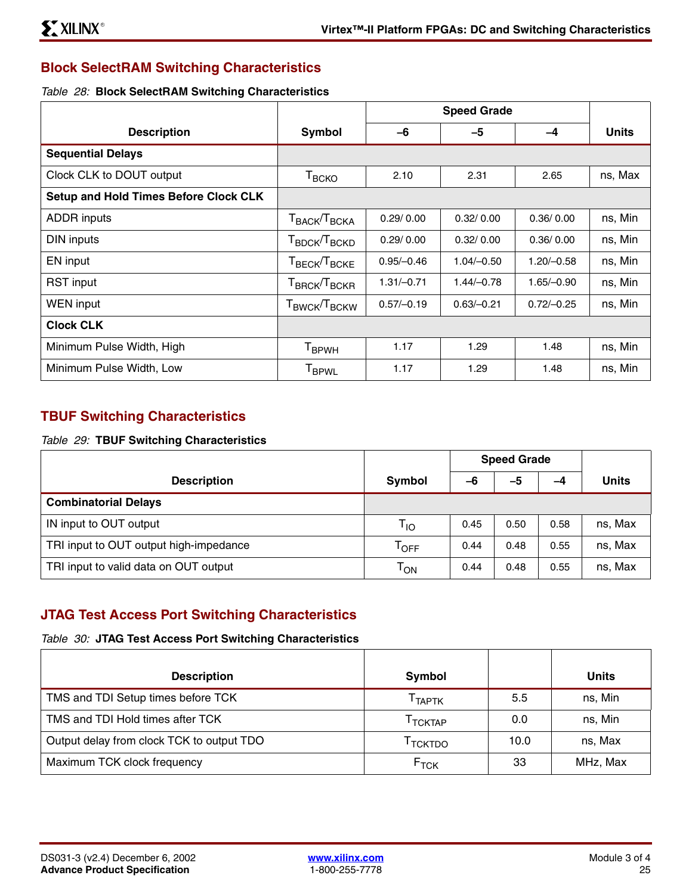## **Block SelectRAM Switching Characteristics**

### *Table 28:* **Block SelectRAM Switching Characteristics**

|                                              |                                                               |              | <b>Speed Grade</b> |              |              |
|----------------------------------------------|---------------------------------------------------------------|--------------|--------------------|--------------|--------------|
| <b>Description</b>                           | Symbol                                                        | $-6$         | $-5$               | $-4$         | <b>Units</b> |
| <b>Sequential Delays</b>                     |                                                               |              |                    |              |              |
| Clock CLK to DOUT output                     | $T_{\tiny{\text{BCKO}}}$                                      | 2.10         | 2.31               | 2.65         | ns, Max      |
| <b>Setup and Hold Times Before Clock CLK</b> |                                                               |              |                    |              |              |
| <b>ADDR</b> inputs                           | $\mathsf{T}_{\mathsf{BACK}}\!/\!\mathsf{T}_{\mathsf{BCKA}}$   | 0.29/0.00    | 0.32/0.00          | 0.36/0.00    | ns, Min      |
| DIN inputs                                   | $\mathsf{T}_{\mathsf{BDCK}}$ / $\mathsf{T}_{\mathsf{BCKD}}$   | 0.29/0.00    | 0.32/0.00          | 0.36/0.00    | ns, Min      |
| EN input                                     | ${\mathsf T}_{\mathsf{BECK}}$ / ${\mathsf T}_{\mathsf{BCKE}}$ | $0.95/-0.46$ | $1.04/-0.50$       | $1.20/-0.58$ | ns, Min      |
| <b>RST</b> input                             | $\mathsf{T}_{\mathsf{BRCK}}$ / $\mathsf{T}_{\mathsf{BCKR}}$   | $1.31/-0.71$ | $1.44/-0.78$       | $1.65/-0.90$ | ns, Min      |
| <b>WEN</b> input                             | ${\sf T}_{\sf BWCK}/{\sf T}_{\sf BCKW}$                       | $0.57/-0.19$ | $0.63/-0.21$       | $0.72/-0.25$ | ns, Min      |
| <b>Clock CLK</b>                             |                                                               |              |                    |              |              |
| Minimum Pulse Width, High                    | T <sub>BPWH</sub>                                             | 1.17         | 1.29               | 1.48         | ns, Min      |
| Minimum Pulse Width, Low                     | <b>I</b> BPWL                                                 | 1.17         | 1.29               | 1.48         | ns, Min      |

## **TBUF Switching Characteristics**

### *Table 29:* **TBUF Switching Characteristics**

|                                        |                             | <b>Speed Grade</b> |      |      |              |
|----------------------------------------|-----------------------------|--------------------|------|------|--------------|
| <b>Description</b>                     | Symbol                      | -6                 | -5   | -4   | <b>Units</b> |
| <b>Combinatorial Delays</b>            |                             |                    |      |      |              |
| IN input to OUT output                 | $T_{10}$                    | 0.45               | 0.50 | 0.58 | ns, Max      |
| TRI input to OUT output high-impedance | $\mathsf{T}_{\mathsf{OFF}}$ | 0.44               | 0.48 | 0.55 | ns, Max      |
| TRI input to valid data on OUT output  | $\mathsf{T}_\mathsf{ON}$    | 0.44               | 0.48 | 0.55 | ns, Max      |

## **JTAG Test Access Port Switching Characteristics**

## *Table 30:* **JTAG Test Access Port Switching Characteristics**

| <b>Description</b>                        | Symbol              |      | <b>Units</b> |
|-------------------------------------------|---------------------|------|--------------|
| TMS and TDI Setup times before TCK        | Т <sub>ТАРТК</sub>  | 5.5  | ns, Min      |
| TMS and TDI Hold times after TCK          | <sup>I</sup> TCKTAP | 0.0  | ns, Min      |
| Output delay from clock TCK to output TDO | <sup>I</sup> TCKTDO | 10.0 | ns, Max      |
| Maximum TCK clock frequency               | $F_{TCK}$           | 33   | MHz, Max     |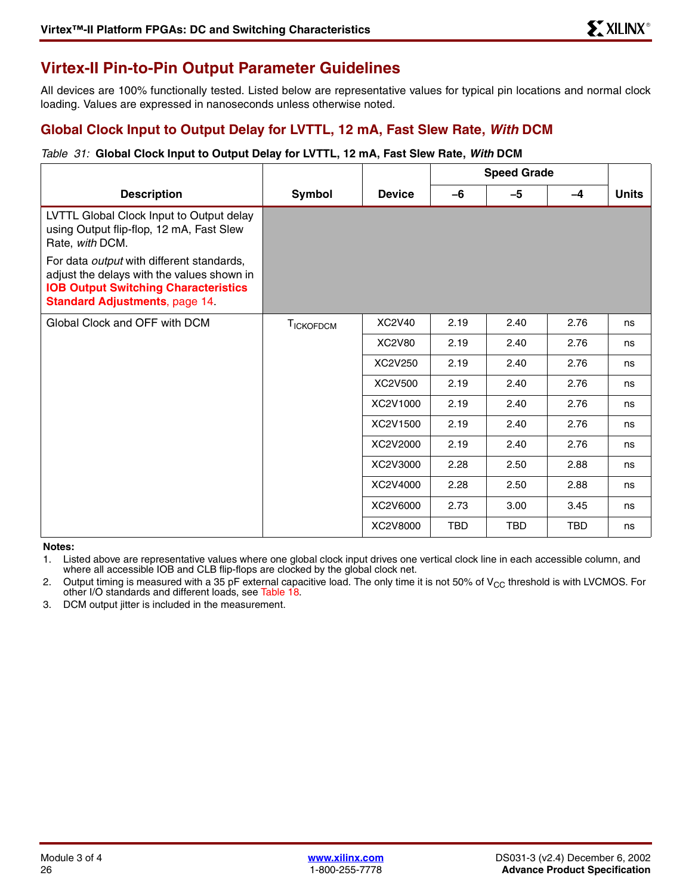# <span id="page-25-0"></span>**Virtex-II Pin-to-Pin Output Parameter Guidelines**

All devices are 100% functionally tested. Listed below are representative values for typical pin locations and normal clock loading. Values are expressed in nanoseconds unless otherwise noted.

## **Global Clock Input to Output Delay for LVTTL, 12 mA, Fast Slew Rate,** *With* **DCM**

### *Table 31:* **Global Clock Input to Output Delay for LVTTL, 12 mA, Fast Slew Rate,** *With* **DCM**

|                                                                                                                                                                                 |                  |               | <b>Speed Grade</b> |            |            |              |
|---------------------------------------------------------------------------------------------------------------------------------------------------------------------------------|------------------|---------------|--------------------|------------|------------|--------------|
| <b>Description</b>                                                                                                                                                              | <b>Symbol</b>    | <b>Device</b> | -6                 | -5         | $-4$       | <b>Units</b> |
| LVTTL Global Clock Input to Output delay<br>using Output flip-flop, 12 mA, Fast Slew<br>Rate, with DCM.                                                                         |                  |               |                    |            |            |              |
| For data output with different standards,<br>adjust the delays with the values shown in<br><b>IOB Output Switching Characteristics</b><br><b>Standard Adjustments, page 14.</b> |                  |               |                    |            |            |              |
| Global Clock and OFF with DCM                                                                                                                                                   | <b>TICKOFDCM</b> | XC2V40        | 2.19               | 2.40       | 2.76       | ns           |
|                                                                                                                                                                                 |                  | XC2V80        | 2.19               | 2.40       | 2.76       | ns           |
|                                                                                                                                                                                 |                  | XC2V250       | 2.19               | 2.40       | 2.76       | ns           |
|                                                                                                                                                                                 |                  | XC2V500       | 2.19               | 2.40       | 2.76       | ns           |
|                                                                                                                                                                                 |                  | XC2V1000      | 2.19               | 2.40       | 2.76       | ns           |
|                                                                                                                                                                                 |                  | XC2V1500      | 2.19               | 2.40       | 2.76       | ns           |
|                                                                                                                                                                                 |                  | XC2V2000      | 2.19               | 2.40       | 2.76       | ns           |
|                                                                                                                                                                                 |                  | XC2V3000      | 2.28               | 2.50       | 2.88       | ns           |
|                                                                                                                                                                                 |                  | XC2V4000      | 2.28               | 2.50       | 2.88       | ns           |
|                                                                                                                                                                                 |                  | XC2V6000      | 2.73               | 3.00       | 3.45       | ns           |
|                                                                                                                                                                                 |                  | XC2V8000      | <b>TBD</b>         | <b>TBD</b> | <b>TBD</b> | ns           |

**Notes:** 

1. Listed above are representative values where one global clock input drives one vertical clock line in each accessible column, and where all accessible IOB and CLB flip-flops are clocked by the global clock net.

2. Output timing is measured with a 35 pF external capacitive load. The only time it is not 50% of  $V_{CC}$  threshold is with LVCMOS. For other I/O standards and different loads, see [Table 18.](#page-16-0)

3. DCM output jitter is included in the measurement.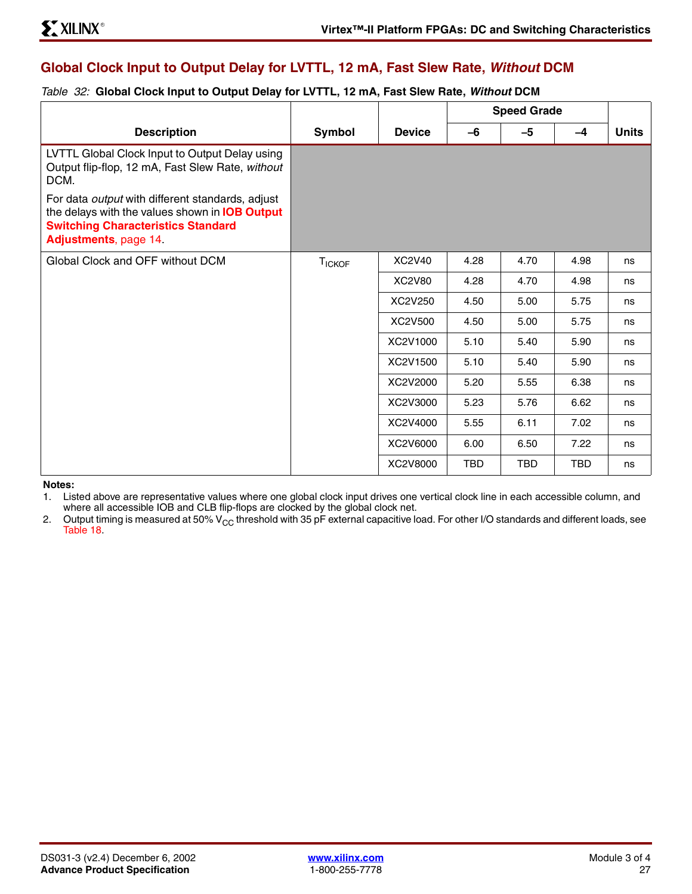## **Global Clock Input to Output Delay for LVTTL, 12 mA, Fast Slew Rate,** *Without* **DCM**

### *Table 32:* **Global Clock Input to Output Delay for LVTTL, 12 mA, Fast Slew Rate,** *Without* **DCM**

|                                                                                                                                                                                        |               |               | <b>Speed Grade</b> |            |      |              |
|----------------------------------------------------------------------------------------------------------------------------------------------------------------------------------------|---------------|---------------|--------------------|------------|------|--------------|
| <b>Description</b>                                                                                                                                                                     | Symbol        | <b>Device</b> | $-6$               | $-5$       | $-4$ | <b>Units</b> |
| LVTTL Global Clock Input to Output Delay using<br>Output flip-flop, 12 mA, Fast Slew Rate, without<br>DCM.                                                                             |               |               |                    |            |      |              |
| For data <i>output</i> with different standards, adjust<br>the delays with the values shown in <b>IOB Output</b><br><b>Switching Characteristics Standard</b><br>Adjustments, page 14. |               |               |                    |            |      |              |
| Global Clock and OFF without DCM                                                                                                                                                       | <b>TICKOF</b> | <b>XC2V40</b> | 4.28               | 4.70       | 4.98 | ns           |
|                                                                                                                                                                                        |               | <b>XC2V80</b> | 4.28               | 4.70       | 4.98 | ns           |
|                                                                                                                                                                                        |               | XC2V250       | 4.50               | 5.00       | 5.75 | ns           |
|                                                                                                                                                                                        |               | XC2V500       | 4.50               | 5.00       | 5.75 | ns           |
|                                                                                                                                                                                        |               | XC2V1000      | 5.10               | 5.40       | 5.90 | ns           |
|                                                                                                                                                                                        |               | XC2V1500      | 5.10               | 5.40       | 5.90 | ns           |
|                                                                                                                                                                                        |               | XC2V2000      | 5.20               | 5.55       | 6.38 | ns           |
|                                                                                                                                                                                        |               | XC2V3000      | 5.23               | 5.76       | 6.62 | ns           |
|                                                                                                                                                                                        |               | XC2V4000      | 5.55               | 6.11       | 7.02 | ns           |
|                                                                                                                                                                                        |               | XC2V6000      | 6.00               | 6.50       | 7.22 | ns           |
|                                                                                                                                                                                        |               | XC2V8000      | <b>TBD</b>         | <b>TBD</b> | TBD  | ns           |

**Notes:** 

1. Listed above are representative values where one global clock input drives one vertical clock line in each accessible column, and where all accessible IOB and CLB flip-flops are clocked by the global clock net.

2. Output timing is measured at 50%  $V_{CC}$  threshold with 35 pF external capacitive load. For other I/O standards and different loads, see [Table 18.](#page-16-0)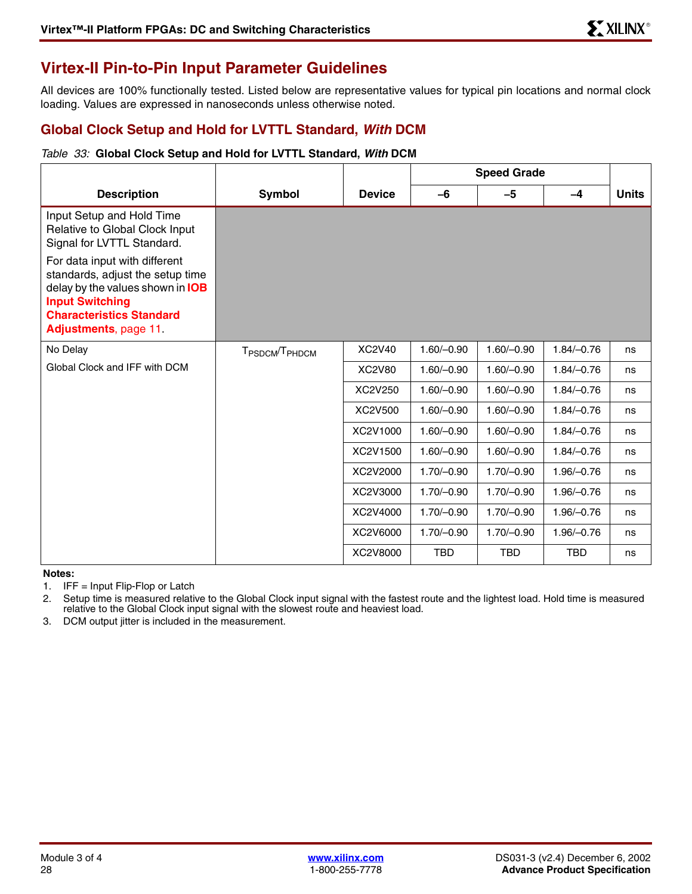# <span id="page-27-0"></span>**Virtex-II Pin-to-Pin Input Parameter Guidelines**

All devices are 100% functionally tested. Listed below are representative values for typical pin locations and normal clock loading. Values are expressed in nanoseconds unless otherwise noted.

## **Global Clock Setup and Hold for LVTTL Standard,** *With* **DCM**

### *Table 33:* **Global Clock Setup and Hold for LVTTL Standard,** *With* **DCM**

|                                                                                                                                                                                                    |                                        |               | <b>Speed Grade</b> |              |              |              |
|----------------------------------------------------------------------------------------------------------------------------------------------------------------------------------------------------|----------------------------------------|---------------|--------------------|--------------|--------------|--------------|
| <b>Description</b>                                                                                                                                                                                 | Symbol                                 | <b>Device</b> | $-6$               | $-5$         | $-4$         | <b>Units</b> |
| Input Setup and Hold Time<br>Relative to Global Clock Input<br>Signal for LVTTL Standard.                                                                                                          |                                        |               |                    |              |              |              |
| For data input with different<br>standards, adjust the setup time<br>delay by the values shown in <b>IOB</b><br><b>Input Switching</b><br><b>Characteristics Standard</b><br>Adjustments, page 11. |                                        |               |                    |              |              |              |
| No Delay                                                                                                                                                                                           | T <sub>PSDCM</sub> /T <sub>PHDCM</sub> | XC2V40        | $1.60/-0.90$       | $1.60/-0.90$ | $1.84/-0.76$ | ns           |
| Global Clock and IFF with DCM                                                                                                                                                                      |                                        | <b>XC2V80</b> | $1.60/-0.90$       | $1.60/-0.90$ | $1.84/-0.76$ | ns           |
|                                                                                                                                                                                                    |                                        | XC2V250       | $1.60/-0.90$       | $1.60/-0.90$ | $1.84/-0.76$ | ns           |
|                                                                                                                                                                                                    |                                        | XC2V500       | $1.60/-0.90$       | $1.60/-0.90$ | $1.84/-0.76$ | ns           |
|                                                                                                                                                                                                    |                                        | XC2V1000      | $1.60/-0.90$       | $1.60/-0.90$ | $1.84/-0.76$ | ns           |
|                                                                                                                                                                                                    |                                        | XC2V1500      | $1.60/-0.90$       | $1.60/-0.90$ | $1.84/-0.76$ | ns           |
|                                                                                                                                                                                                    |                                        | XC2V2000      | $1.70/-0.90$       | $1.70/-0.90$ | $1.96/-0.76$ | ns           |
|                                                                                                                                                                                                    |                                        | XC2V3000      | $1.70/-0.90$       | $1.70/-0.90$ | $1.96/-0.76$ | ns           |
|                                                                                                                                                                                                    |                                        | XC2V4000      | $1.70/-0.90$       | $1.70/-0.90$ | $1.96/-0.76$ | ns           |
|                                                                                                                                                                                                    |                                        | XC2V6000      | $1.70/-0.90$       | $1.70/-0.90$ | $1.96/-0.76$ | ns           |
|                                                                                                                                                                                                    |                                        | XC2V8000      | <b>TBD</b>         | <b>TBD</b>   | <b>TBD</b>   | ns           |

#### **Notes:**

1. IFF = Input Flip-Flop or Latch

2. Setup time is measured relative to the Global Clock input signal with the fastest route and the lightest load. Hold time is measured relative to the Global Clock input signal with the slowest route and heaviest load.

3. DCM output jitter is included in the measurement.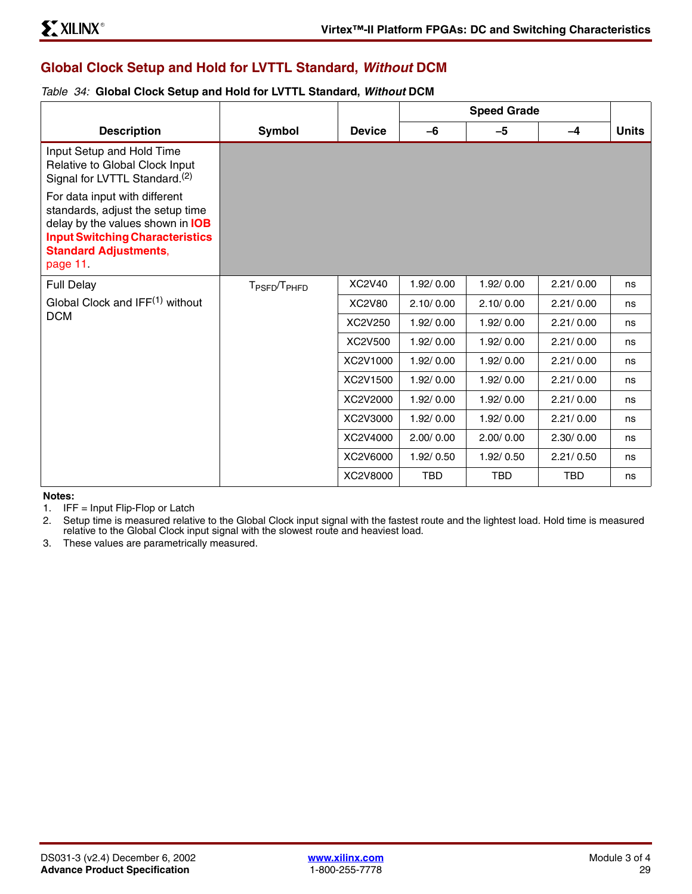## **Global Clock Setup and Hold for LVTTL Standard,** *Without* **DCM**

### <span id="page-28-0"></span>*Table 34:* **Global Clock Setup and Hold for LVTTL Standard,** *Without* **DCM**

| <b>Description</b>                                                                                                                                                                         | Symbol                               | <b>Device</b> | $-6$       | $-5$       | $-4$       | <b>Units</b> |
|--------------------------------------------------------------------------------------------------------------------------------------------------------------------------------------------|--------------------------------------|---------------|------------|------------|------------|--------------|
| Input Setup and Hold Time<br>Relative to Global Clock Input<br>Signal for LVTTL Standard. <sup>(2)</sup>                                                                                   |                                      |               |            |            |            |              |
| For data input with different<br>standards, adjust the setup time<br>delay by the values shown in IOB<br><b>Input Switching Characteristics</b><br><b>Standard Adjustments,</b><br>page 11 |                                      |               |            |            |            |              |
| <b>Full Delay</b>                                                                                                                                                                          | T <sub>PSFD</sub> /T <sub>PHFD</sub> | XC2V40        | 1.92/0.00  | 1.92/0.00  | 2.21/0.00  | ns           |
| Global Clock and IFF <sup>(1)</sup> without                                                                                                                                                |                                      | <b>XC2V80</b> | 2.10/0.00  | 2.10/0.00  | 2.21/0.00  | ns           |
| <b>DCM</b>                                                                                                                                                                                 |                                      | XC2V250       | 1.92/0.00  | 1.92/0.00  | 2.21/0.00  | ns           |
|                                                                                                                                                                                            |                                      | XC2V500       | 1.92/0.00  | 1.92/0.00  | 2.21/0.00  | ns           |
|                                                                                                                                                                                            |                                      | XC2V1000      | 1.92/0.00  | 1.92/0.00  | 2.21/0.00  | ns           |
|                                                                                                                                                                                            |                                      | XC2V1500      | 1.92/0.00  | 1.92/0.00  | 2.21/0.00  | ns           |
|                                                                                                                                                                                            |                                      | XC2V2000      | 1.92/0.00  | 1.92/0.00  | 2.21/0.00  | ns           |
|                                                                                                                                                                                            |                                      | XC2V3000      | 1.92/0.00  | 1.92/0.00  | 2.21/0.00  | ns           |
|                                                                                                                                                                                            |                                      | XC2V4000      | 2.00/0.00  | 2.00/0.00  | 2.30/0.00  | ns           |
|                                                                                                                                                                                            |                                      | XC2V6000      | 1.92/0.50  | 1.92/0.50  | 2.21/0.50  | ns           |
|                                                                                                                                                                                            |                                      | XC2V8000      | <b>TBD</b> | <b>TBD</b> | <b>TBD</b> | ns           |

### **Notes:**

1. IFF = Input Flip-Flop or Latch

2. Setup time is measured relative to the Global Clock input signal with the fastest route and the lightest load. Hold time is measured relative to the Global Clock input signal with the slowest route and heaviest load.

3. These values are parametrically measured.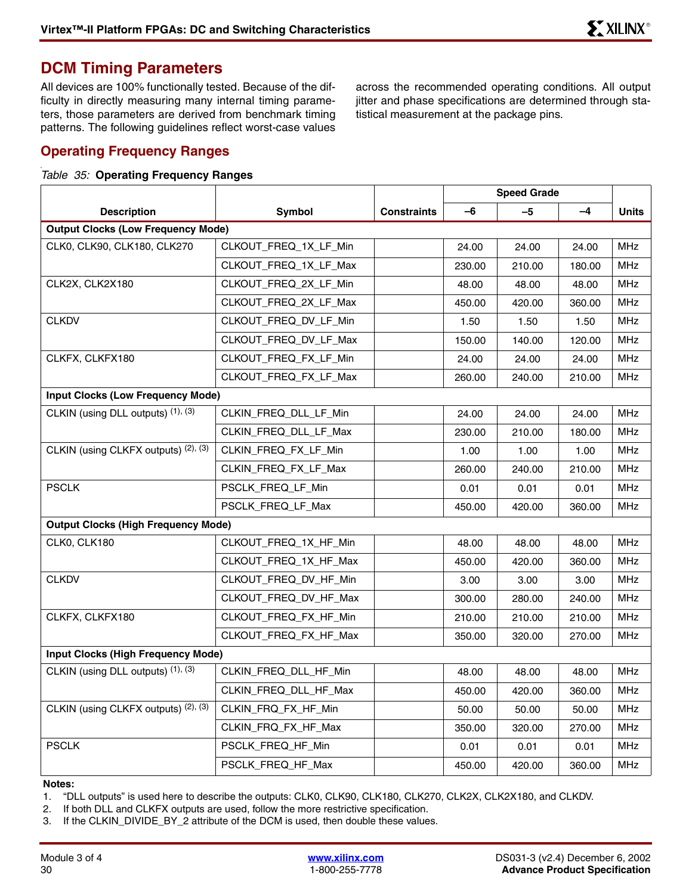## <span id="page-29-0"></span>**DCM Timing Parameters**

All devices are 100% functionally tested. Because of the difficulty in directly measuring many internal timing parameters, those parameters are derived from benchmark timing patterns. The following guidelines reflect worst-case values

across the recommended operating conditions. All output jitter and phase specifications are determined through statistical measurement at the package pins.

## **Operating Frequency Ranges**

### *Table 35:* **Operating Frequency Ranges**

|                                            |                       |                    | <b>Speed Grade</b> |        |        |              |
|--------------------------------------------|-----------------------|--------------------|--------------------|--------|--------|--------------|
| <b>Description</b>                         | Symbol                | <b>Constraints</b> | $-6$               | $-5$   | -4     | <b>Units</b> |
| <b>Output Clocks (Low Frequency Mode)</b>  |                       |                    |                    |        |        |              |
| CLK0, CLK90, CLK180, CLK270                | CLKOUT_FREQ_1X_LF_Min |                    | 24.00              | 24.00  | 24.00  | <b>MHz</b>   |
|                                            | CLKOUT_FREQ_1X_LF_Max |                    | 230.00             | 210.00 | 180.00 | <b>MHz</b>   |
| CLK2X, CLK2X180                            | CLKOUT_FREQ_2X_LF_Min |                    | 48.00              | 48.00  | 48.00  | <b>MHz</b>   |
|                                            | CLKOUT FREQ 2X LF Max |                    | 450.00             | 420.00 | 360.00 | <b>MHz</b>   |
| <b>CLKDV</b>                               | CLKOUT FREQ DV LF Min |                    | 1.50               | 1.50   | 1.50   | <b>MHz</b>   |
|                                            | CLKOUT FREQ DV LF Max |                    | 150.00             | 140.00 | 120.00 | <b>MHz</b>   |
| CLKFX, CLKFX180                            | CLKOUT FREQ FX LF Min |                    | 24.00              | 24.00  | 24.00  | <b>MHz</b>   |
|                                            | CLKOUT_FREQ_FX_LF_Max |                    | 260.00             | 240.00 | 210.00 | <b>MHz</b>   |
| <b>Input Clocks (Low Frequency Mode)</b>   |                       |                    |                    |        |        |              |
| CLKIN (using DLL outputs) (1), (3)         | CLKIN_FREQ_DLL_LF_Min |                    | 24.00              | 24.00  | 24.00  | <b>MHz</b>   |
|                                            | CLKIN_FREQ_DLL_LF_Max |                    | 230.00             | 210.00 | 180.00 | <b>MHz</b>   |
| CLKIN (using CLKFX outputs) (2), (3)       | CLKIN FREQ FX LF Min  |                    | 1.00               | 1.00   | 1.00   | <b>MHz</b>   |
|                                            | CLKIN_FREQ_FX_LF_Max  |                    | 260.00             | 240.00 | 210.00 | <b>MHz</b>   |
| PSCLK                                      | PSCLK_FREQ_LF_Min     |                    | 0.01               | 0.01   | 0.01   | <b>MHz</b>   |
|                                            | PSCLK FREQ LF Max     |                    | 450.00             | 420.00 | 360.00 | <b>MHz</b>   |
| <b>Output Clocks (High Frequency Mode)</b> |                       |                    |                    |        |        |              |
| CLK0, CLK180                               | CLKOUT_FREQ_1X_HF_Min |                    | 48.00              | 48.00  | 48.00  | <b>MHz</b>   |
|                                            | CLKOUT_FREQ_1X_HF_Max |                    | 450.00             | 420.00 | 360.00 | <b>MHz</b>   |
| <b>CLKDV</b>                               | CLKOUT_FREQ_DV_HF_Min |                    | 3.00               | 3.00   | 3.00   | <b>MHz</b>   |
|                                            | CLKOUT_FREQ_DV_HF_Max |                    | 300.00             | 280.00 | 240.00 | <b>MHz</b>   |
| CLKFX, CLKFX180                            | CLKOUT_FREQ_FX_HF_Min |                    | 210.00             | 210.00 | 210.00 | <b>MHz</b>   |
|                                            | CLKOUT_FREQ_FX_HF_Max |                    | 350.00             | 320.00 | 270.00 | <b>MHz</b>   |
| <b>Input Clocks (High Frequency Mode)</b>  |                       |                    |                    |        |        |              |
| CLKIN (using DLL outputs) (1), (3)         | CLKIN_FREQ_DLL_HF_Min |                    | 48.00              | 48.00  | 48.00  | <b>MHz</b>   |
|                                            | CLKIN_FREQ_DLL_HF_Max |                    | 450.00             | 420.00 | 360.00 | <b>MHz</b>   |
| CLKIN (using CLKFX outputs) (2), (3)       | CLKIN_FRQ_FX_HF_Min   |                    | 50.00              | 50.00  | 50.00  | <b>MHz</b>   |
|                                            | CLKIN_FRQ_FX_HF_Max   |                    | 350.00             | 320.00 | 270.00 | <b>MHz</b>   |
| <b>PSCLK</b>                               | PSCLK_FREQ_HF_Min     |                    | 0.01               | 0.01   | 0.01   | <b>MHz</b>   |
|                                            | PSCLK FREQ HF Max     |                    | 450.00             | 420.00 | 360.00 | <b>MHz</b>   |

**Notes:** 

1. "DLL outputs" is used here to describe the outputs: CLK0, CLK90, CLK180, CLK270, CLK2X, CLK2X180, and CLKDV.

2. If both DLL and CLKFX outputs are used, follow the more restrictive specification.

3. If the CLKIN\_DIVIDE\_BY\_2 attribute of the DCM is used, then double these values.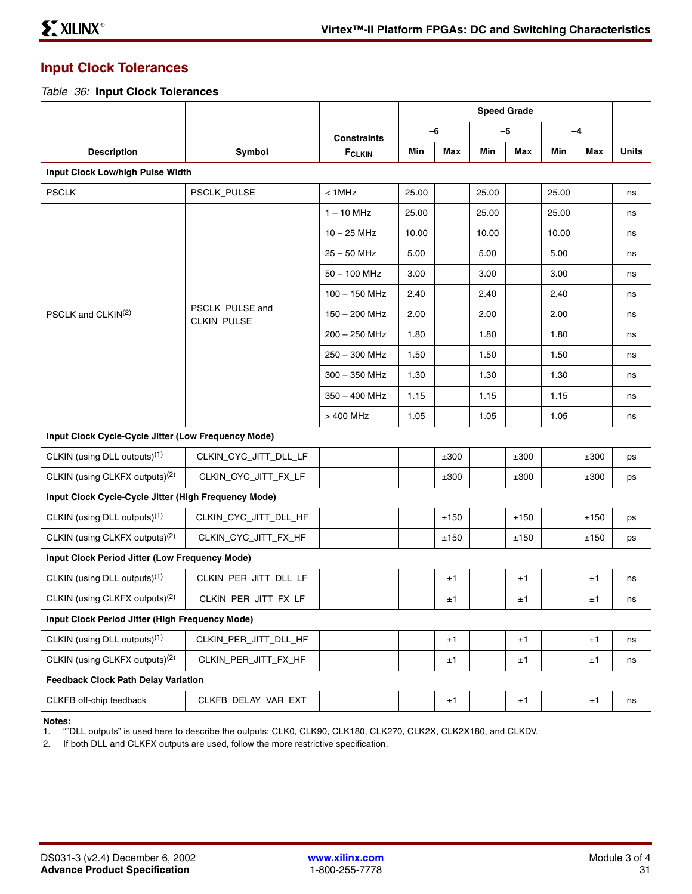## **Input Clock Tolerances**

*Table 36:* **Input Clock Tolerances**

|                                                      |                                |                    | <b>Speed Grade</b> |      |       |      |       |      |              |
|------------------------------------------------------|--------------------------------|--------------------|--------------------|------|-------|------|-------|------|--------------|
|                                                      |                                | <b>Constraints</b> |                    | $-6$ |       | $-5$ |       | $-4$ |              |
| <b>Description</b>                                   | Symbol                         | $F_{CLKIN}$        | Min                | Max  | Min   | Max  | Min   | Max  | <b>Units</b> |
| Input Clock Low/high Pulse Width                     |                                |                    |                    |      |       |      |       |      |              |
| <b>PSCLK</b>                                         | PSCLK_PULSE                    | $< 1$ MHz          | 25.00              |      | 25.00 |      | 25.00 |      | ns           |
|                                                      |                                | $1 - 10$ MHz       | 25.00              |      | 25.00 |      | 25.00 |      | ns           |
|                                                      |                                | $10 - 25$ MHz      | 10.00              |      | 10.00 |      | 10.00 |      | ns           |
|                                                      |                                | $25 - 50$ MHz      | 5.00               |      | 5.00  |      | 5.00  |      | ns           |
|                                                      |                                | $50 - 100$ MHz     | 3.00               |      | 3.00  |      | 3.00  |      | ns           |
|                                                      |                                | $100 - 150$ MHz    | 2.40               |      | 2.40  |      | 2.40  |      | ns           |
| PSCLK and CLKIN <sup>(2)</sup>                       | PSCLK PULSE and<br>CLKIN_PULSE | $150 - 200$ MHz    | 2.00               |      | 2.00  |      | 2.00  |      | ns           |
|                                                      |                                | $200 - 250$ MHz    | 1.80               |      | 1.80  |      | 1.80  |      | ns           |
|                                                      |                                | 250 - 300 MHz      | 1.50               |      | 1.50  |      | 1.50  |      | ns           |
|                                                      |                                | $300 - 350$ MHz    | 1.30               |      | 1.30  |      | 1.30  |      | ns           |
|                                                      |                                | $350 - 400$ MHz    | 1.15               |      | 1.15  |      | 1.15  |      | ns           |
|                                                      |                                | > 400 MHz          | 1.05               |      | 1.05  |      | 1.05  |      | ns           |
| Input Clock Cycle-Cycle Jitter (Low Frequency Mode)  |                                |                    |                    |      |       |      |       |      |              |
| CLKIN (using DLL outputs) <sup>(1)</sup>             | CLKIN_CYC_JITT_DLL_LF          |                    |                    | ±300 |       | ±300 |       | ±300 | ps           |
| CLKIN (using CLKFX outputs) <sup>(2)</sup>           | CLKIN_CYC_JITT_FX_LF           |                    |                    | ±300 |       | ±300 |       | ±300 | ps           |
| Input Clock Cycle-Cycle Jitter (High Frequency Mode) |                                |                    |                    |      |       |      |       |      |              |
| CLKIN (using DLL outputs) <sup>(1)</sup>             | CLKIN_CYC_JITT_DLL_HF          |                    |                    | ±150 |       | ±150 |       | ±150 | ps           |
| CLKIN (using CLKFX outputs) <sup>(2)</sup>           | CLKIN_CYC_JITT_FX_HF           |                    |                    | ±150 |       | ±150 |       | ±150 | ps           |
| Input Clock Period Jitter (Low Frequency Mode)       |                                |                    |                    |      |       |      |       |      |              |
| CLKIN (using DLL outputs) <sup>(1)</sup>             | CLKIN PER JITT DLL LF          |                    |                    | ±1   |       | ±1   |       | ±1   | ns           |
| CLKIN (using CLKFX outputs) <sup>(2)</sup>           | CLKIN_PER_JITT_FX_LF           |                    |                    | ±1   |       | ±1   |       | ±1   | ns           |
| Input Clock Period Jitter (High Frequency Mode)      |                                |                    |                    |      |       |      |       |      |              |
| CLKIN (using DLL outputs) <sup>(1)</sup>             | CLKIN_PER_JITT_DLL_HF          |                    |                    | ±1   |       | ±1   |       | ±1   | ns           |
| CLKIN (using CLKFX outputs) <sup>(2)</sup>           | CLKIN_PER_JITT_FX_HF           |                    |                    | ±1   |       | ±1   |       | ±1   | ns           |
| <b>Feedback Clock Path Delay Variation</b>           |                                |                    |                    |      |       |      |       |      |              |
| CLKFB off-chip feedback                              | CLKFB_DELAY_VAR_EXT            |                    |                    | ±1   |       | ±1   |       | ±1   | ns           |

#### **Notes:**

1. ""DLL outputs" is used here to describe the outputs: CLK0, CLK90, CLK180, CLK270, CLK2X, CLK2X180, and CLKDV.

2. If both DLL and CLKFX outputs are used, follow the more restrictive specification.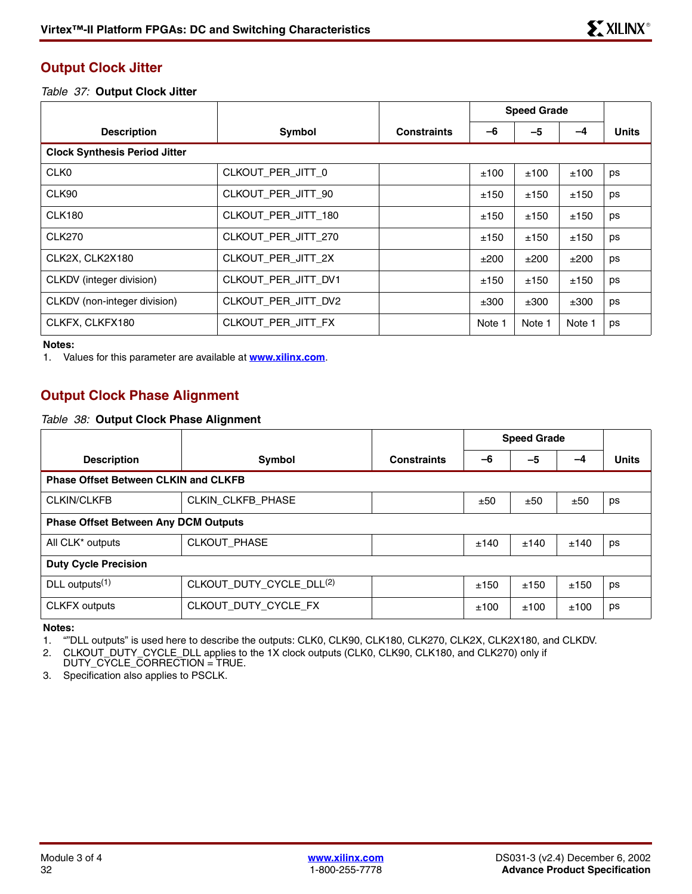## **Output Clock Jitter**

*Table 37:* **Output Clock Jitter**

|                                      |                     |                    | <b>Speed Grade</b> |        |        |              |
|--------------------------------------|---------------------|--------------------|--------------------|--------|--------|--------------|
| <b>Description</b>                   | Symbol              | <b>Constraints</b> | -6                 | $-5$   | -4     | <b>Units</b> |
| <b>Clock Synthesis Period Jitter</b> |                     |                    |                    |        |        |              |
| CLK <sub>0</sub>                     | CLKOUT_PER_JITT_0   |                    | ±100               | ±100   | ±100   | ps           |
| CLK90                                | CLKOUT PER JITT 90  |                    | ±150               | ±150   | ±150   | ps           |
| <b>CLK180</b>                        | CLKOUT PER JITT 180 |                    | ±150               | ±150   | ±150   | ps           |
| <b>CLK270</b>                        | CLKOUT PER JITT 270 |                    | ±150               | ±150   | ±150   | ps           |
| CLK2X, CLK2X180                      | CLKOUT_PER_JITT_2X  |                    | ±200               | ±200   | ±200   | ps           |
| CLKDV (integer division)             | CLKOUT PER JITT DV1 |                    | ±150               | ±150   | ±150   | ps           |
| CLKDV (non-integer division)         | CLKOUT PER JITT DV2 |                    | ±300               | ±300   | ±300   | ps           |
| CLKFX, CLKFX180                      | CLKOUT_PER_JITT_FX  |                    | Note 1             | Note 1 | Note 1 | ps           |

**Notes:** 

1. Values for this parameter are available at **[www.xilinx.com](http://www.xilinx.com)**.

## **Output Clock Phase Alignment**

### <span id="page-31-0"></span>*Table 38:* **Output Clock Phase Alignment**

|                                             |                                      |                    | <b>Speed Grade</b> |      |      |              |  |
|---------------------------------------------|--------------------------------------|--------------------|--------------------|------|------|--------------|--|
| <b>Description</b>                          | Symbol                               | <b>Constraints</b> | -6                 | -5   | -4   | <b>Units</b> |  |
| <b>Phase Offset Between CLKIN and CLKFB</b> |                                      |                    |                    |      |      |              |  |
| <b>CLKIN/CLKFB</b>                          | CLKIN_CLKFB_PHASE                    |                    | ±50                | ±50  | ±50  | ps           |  |
| <b>Phase Offset Between Any DCM Outputs</b> |                                      |                    |                    |      |      |              |  |
| All CLK <sup>*</sup> outputs                | CLKOUT_PHASE                         |                    | ±140               | ±140 | ±140 | ps           |  |
| <b>Duty Cycle Precision</b>                 |                                      |                    |                    |      |      |              |  |
| DLL outputs $(1)$                           | CLKOUT_DUTY_CYCLE_DLL <sup>(2)</sup> |                    | ±150               | ±150 | ±150 | ps           |  |
| <b>CLKFX outputs</b>                        | CLKOUT DUTY CYCLE FX                 |                    | ±100               | ±100 | ±100 | ps           |  |

**Notes:** 

1. ""DLL outputs" is used here to describe the outputs: CLK0, CLK90, CLK180, CLK270, CLK2X, CLK2X180, and CLKDV.

2. CLKOUT\_DUTY\_CYCLE\_DLL applies to the 1X clock outputs (CLK0, CLK90, CLK180, and CLK270) only if

DUTY\_CYCLE\_CORRECTION = TRUE. 3. Specification also applies to PSCLK.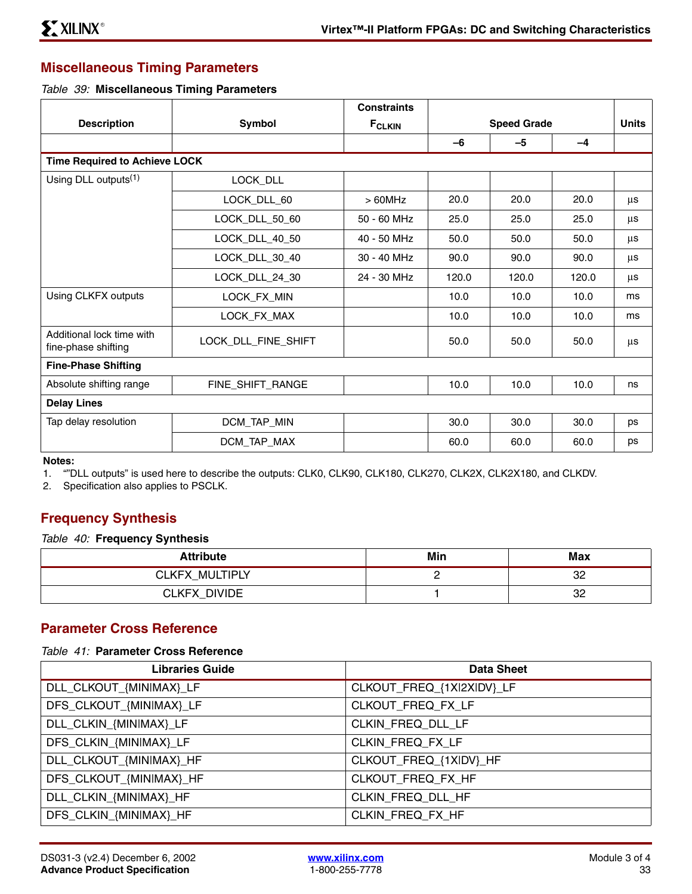## **Miscellaneous Timing Parameters**

### *Table 39:* **Miscellaneous Timing Parameters**

|                                                  |                                      | <b>Constraints</b> |                    |       |       |              |  |  |
|--------------------------------------------------|--------------------------------------|--------------------|--------------------|-------|-------|--------------|--|--|
| <b>Description</b>                               | <b>Symbol</b>                        | <b>FCLKIN</b>      | <b>Speed Grade</b> |       |       | <b>Units</b> |  |  |
|                                                  |                                      |                    | $-6$               | $-5$  | $-4$  |              |  |  |
|                                                  | <b>Time Required to Achieve LOCK</b> |                    |                    |       |       |              |  |  |
| Using DLL outputs <sup>(1)</sup>                 | LOCK_DLL                             |                    |                    |       |       |              |  |  |
|                                                  | LOCK_DLL_60                          | $>60$ MHz          | 20.0               | 20.0  | 20.0  | μs           |  |  |
|                                                  | LOCK_DLL_50_60                       | 50 - 60 MHz        | 25.0               | 25.0  | 25.0  | μs           |  |  |
|                                                  | LOCK_DLL_40_50                       | 40 - 50 MHz        | 50.0               | 50.0  | 50.0  | μs           |  |  |
|                                                  | LOCK_DLL_30_40                       | 30 - 40 MHz        | 90.0               | 90.0  | 90.0  | μs           |  |  |
|                                                  | LOCK_DLL_24_30                       | 24 - 30 MHz        | 120.0              | 120.0 | 120.0 | μs           |  |  |
| Using CLKFX outputs                              | LOCK_FX_MIN                          |                    | 10.0               | 10.0  | 10.0  | ms           |  |  |
|                                                  | LOCK_FX_MAX                          |                    | 10.0               | 10.0  | 10.0  | ms           |  |  |
| Additional lock time with<br>fine-phase shifting | LOCK_DLL_FINE_SHIFT                  |                    | 50.0               | 50.0  | 50.0  | μs           |  |  |
| <b>Fine-Phase Shifting</b>                       |                                      |                    |                    |       |       |              |  |  |
| Absolute shifting range                          | FINE_SHIFT_RANGE                     |                    | 10.0               | 10.0  | 10.0  | ns           |  |  |
| <b>Delay Lines</b>                               |                                      |                    |                    |       |       |              |  |  |
| Tap delay resolution                             | DCM_TAP_MIN                          |                    | 30.0               | 30.0  | 30.0  | ps           |  |  |
|                                                  | DCM_TAP_MAX                          |                    | 60.0               | 60.0  | 60.0  | ps           |  |  |

#### **Notes:**

1. ""DLL outputs" is used here to describe the outputs: CLK0, CLK90, CLK180, CLK270, CLK2X, CLK2X180, and CLKDV.

2. Specification also applies to PSCLK.

## <span id="page-32-0"></span>**Frequency Synthesis**

### *Table 40:* **Frequency Synthesis**

| <b>Attribute</b>    | Min | Max |
|---------------------|-----|-----|
| CLKFX MULTIPLY      |     | 32  |
| <b>CLKFX DIVIDE</b> |     | 32  |

## **Parameter Cross Reference**

### *Table 41:* **Parameter Cross Reference**

| <b>Libraries Guide</b>  | <b>Data Sheet</b>         |
|-------------------------|---------------------------|
| DLL_CLKOUT_{MINIMAX}_LF | CLKOUT_FREQ_{1X 2X DV}_LF |
| DFS_CLKOUT_{MINIMAX}_LF | CLKOUT_FREQ_FX_LF         |
| DLL_CLKIN_{MINIMAX}_LF  | CLKIN FREQ DLL LF         |
| DFS_CLKIN_{MINIMAX}_LF  | CLKIN FREQ FX LF          |
| DLL_CLKOUT_{MINIMAX}_HF | CLKOUT_FREQ_{1XIDV}_HF    |
| DFS_CLKOUT_{MINIMAX}_HF | CLKOUT_FREQ_FX_HF         |
| DLL_CLKIN_{MINIMAX}_HF  | CLKIN FREQ DLL HF         |
| DFS_CLKIN_{MINIMAX}_HF  | CLKIN FREQ FX HF          |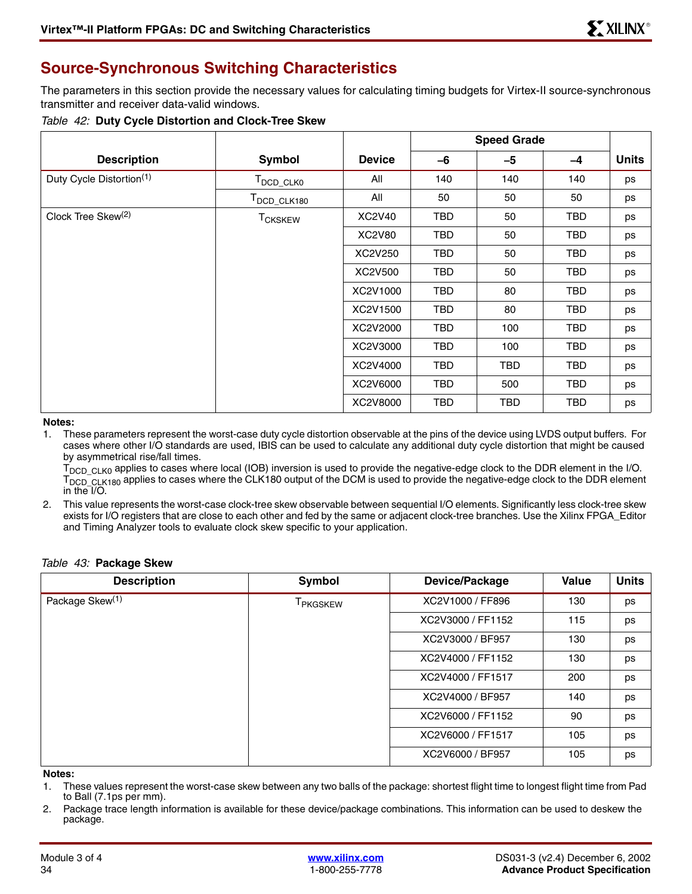# <span id="page-33-0"></span>**Source-Synchronous Switching Characteristics**

The parameters in this section provide the necessary values for calculating timing budgets for Virtex-II source-synchronous transmitter and receiver data-valid windows.

### <span id="page-33-1"></span>*Table 42:* **Duty Cycle Distortion and Clock-Tree Skew**

|                                |                         |               | <b>Speed Grade</b> |            |            |              |
|--------------------------------|-------------------------|---------------|--------------------|------------|------------|--------------|
| <b>Description</b>             | Symbol                  | <b>Device</b> | -6                 | -5         | $-4$       | <b>Units</b> |
| Duty Cycle Distortion(1)       | T <sub>DCD_CLK0</sub>   | All           | 140                | 140        | 140        | ps           |
|                                | T <sub>DCD_CLK180</sub> | All           | 50                 | 50         | 50         | ps           |
| Clock Tree Skew <sup>(2)</sup> | <b>TCKSKEW</b>          | XC2V40        | TBD                | 50         | TBD        | ps           |
|                                |                         | <b>XC2V80</b> | TBD                | 50         | TBD        | ps           |
|                                |                         | XC2V250       | <b>TBD</b>         | 50         | <b>TBD</b> | ps           |
|                                |                         | XC2V500       | TBD                | 50         | TBD        | ps           |
|                                |                         | XC2V1000      | TBD                | 80         | TBD        | ps           |
|                                |                         | XC2V1500      | TBD                | 80         | TBD        | ps           |
|                                |                         | XC2V2000      | TBD                | 100        | TBD        | ps           |
|                                |                         | XC2V3000      | TBD                | 100        | TBD        | ps           |
|                                |                         | XC2V4000      | TBD                | <b>TBD</b> | <b>TBD</b> | ps           |
|                                |                         | XC2V6000      | TBD                | 500        | TBD        | ps           |
|                                |                         | XC2V8000      | <b>TBD</b>         | <b>TBD</b> | TBD        | ps           |

#### **Notes:**

1. These parameters represent the worst-case duty cycle distortion observable at the pins of the device using LVDS output buffers. For cases where other I/O standards are used, IBIS can be used to calculate any additional duty cycle distortion that might be caused by asymmetrical rise/fall times.

T<sub>DCD</sub> CLK0 applies to cases where local (IOB) inversion is used to provide the negative-edge clock to the DDR element in the I/O.  $T_{\text{DCD}_{\text{CLK180}}}$  applies to cases where the CLK180 output of the DCM is used to provide the negative-edge clock to the DDR element in the  $I/O$ .

2. This value represents the worst-case clock-tree skew observable between sequential I/O elements. Significantly less clock-tree skew exists for I/O registers that are close to each other and fed by the same or adjacent clock-tree branches. Use the Xilinx FPGA\_Editor and Timing Analyzer tools to evaluate clock skew specific to your application.

### *Table 43:* **Package Skew**

| <b>Description</b>          | Symbol                      | Device/Package    | Value | <b>Units</b> |
|-----------------------------|-----------------------------|-------------------|-------|--------------|
| Package Skew <sup>(1)</sup> | <b>T</b> <sub>PKGSKEW</sub> | XC2V1000 / FF896  | 130   | ps           |
|                             |                             | XC2V3000 / FF1152 | 115   | ps           |
|                             |                             | XC2V3000 / BF957  | 130   | ps           |
|                             |                             | XC2V4000 / FF1152 | 130   | ps           |
|                             |                             | XC2V4000 / FF1517 | 200   | ps           |
|                             |                             | XC2V4000 / BF957  | 140   | ps           |
|                             |                             | XC2V6000 / FF1152 | 90    | ps           |
|                             |                             | XC2V6000 / FF1517 | 105   | ps           |
|                             |                             | XC2V6000 / BF957  | 105   | ps           |

#### **Notes:**

- 1. These values represent the worst-case skew between any two balls of the package: shortest flight time to longest flight time from Pad to Ball (7.1ps per mm).
- 2. Package trace length information is available for these device/package combinations. This information can be used to deskew the package.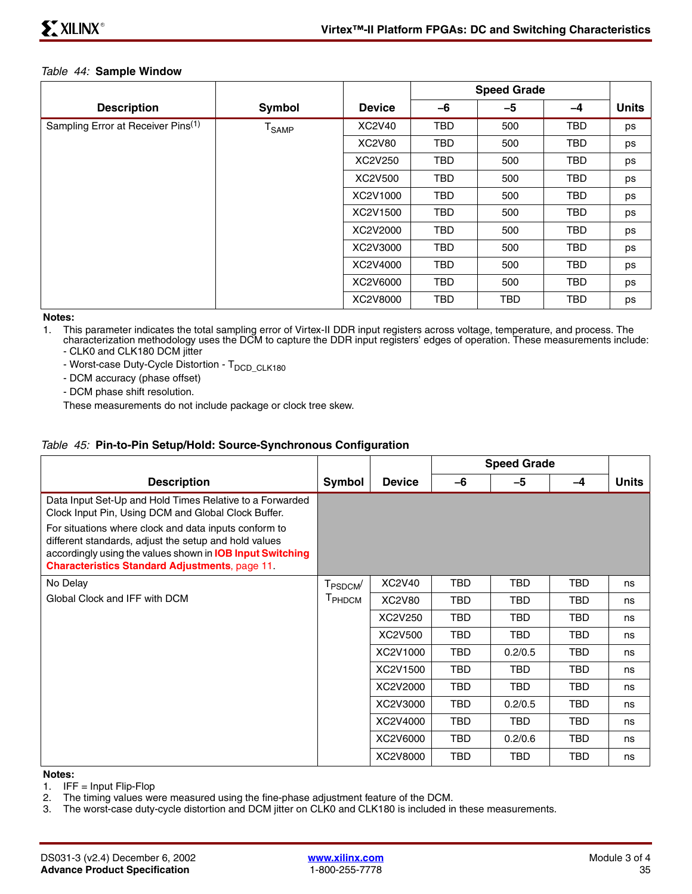### *Table 44:* **Sample Window**

|                                                |                      |               | <b>Speed Grade</b> |            |            |              |
|------------------------------------------------|----------------------|---------------|--------------------|------------|------------|--------------|
| <b>Description</b>                             | Symbol               | <b>Device</b> | -6                 | -5         | $-4$       | <b>Units</b> |
| Sampling Error at Receiver Pins <sup>(1)</sup> | ${\tt T}_{\sf SAMP}$ | XC2V40        | <b>TBD</b>         | 500        | <b>TBD</b> | ps           |
|                                                |                      | <b>XC2V80</b> | <b>TBD</b>         | 500        | <b>TBD</b> | ps           |
|                                                |                      | XC2V250       | <b>TBD</b>         | 500        | <b>TBD</b> | ps           |
|                                                |                      | XC2V500       | TBD                | 500        | <b>TBD</b> | ps           |
|                                                |                      | XC2V1000      | <b>TBD</b>         | 500        | <b>TBD</b> | ps           |
|                                                |                      | XC2V1500      | <b>TBD</b>         | 500        | <b>TBD</b> | ps           |
|                                                |                      | XC2V2000      | <b>TBD</b>         | 500        | <b>TBD</b> | ps           |
|                                                |                      | XC2V3000      | <b>TBD</b>         | 500        | <b>TBD</b> | ps           |
|                                                |                      | XC2V4000      | TBD                | 500        | <b>TBD</b> | ps           |
|                                                |                      | XC2V6000      | <b>TBD</b>         | 500        | <b>TBD</b> | ps           |
|                                                |                      | XC2V8000      | <b>TBD</b>         | <b>TBD</b> | <b>TBD</b> | ps           |

**Notes:** 

1. This parameter indicates the total sampling error of Virtex-II DDR input registers across voltage, temperature, and process. The characterization methodology uses the DCM to capture the DDR input registers' edges of operation. These measurements include: - CLK0 and CLK180 DCM jitter

- Worst-case Duty-Cycle Distortion - T<sub>DCD\_CLK180</sub>

- DCM accuracy (phase offset)

- DCM phase shift resolution.

These measurements do not include package or clock tree skew.

### *Table 45:* **Pin-to-Pin Setup/Hold: Source-Synchronous Configuration**

|                                                                                                                                                                                                                                             |                      |               | <b>Speed Grade</b> |            |            |       |
|---------------------------------------------------------------------------------------------------------------------------------------------------------------------------------------------------------------------------------------------|----------------------|---------------|--------------------|------------|------------|-------|
| <b>Description</b>                                                                                                                                                                                                                          | Symbol               | <b>Device</b> | -6                 | $-5$       | $-4$       | Units |
| Data Input Set-Up and Hold Times Relative to a Forwarded<br>Clock Input Pin, Using DCM and Global Clock Buffer.                                                                                                                             |                      |               |                    |            |            |       |
| For situations where clock and data inputs conform to<br>different standards, adjust the setup and hold values<br>accordingly using the values shown in <b>IOB Input Switching</b><br><b>Characteristics Standard Adjustments, page 11.</b> |                      |               |                    |            |            |       |
| No Delay                                                                                                                                                                                                                                    | T <sub>PSDCM</sub> / | XC2V40        | TBD                | TBD        | TBD        | ns    |
| Global Clock and IFF with DCM                                                                                                                                                                                                               | T <sub>PHDCM</sub>   | XC2V80        | TBD                | TBD        | TBD        | ns    |
|                                                                                                                                                                                                                                             |                      | XC2V250       | TBD                | <b>TBD</b> | <b>TBD</b> | ns    |
|                                                                                                                                                                                                                                             |                      | XC2V500       | <b>TBD</b>         | TBD.       | <b>TBD</b> | ns    |
|                                                                                                                                                                                                                                             |                      | XC2V1000      | TBD                | 0.2/0.5    | TBD        | ns    |
|                                                                                                                                                                                                                                             |                      | XC2V1500      | TBD                | <b>TBD</b> | TBD        | ns    |
|                                                                                                                                                                                                                                             |                      | XC2V2000      | <b>TBD</b>         | TBD.       | TBD.       | ns    |
|                                                                                                                                                                                                                                             |                      | XC2V3000      | TBD                | 0.2/0.5    | TBD        | ns    |
|                                                                                                                                                                                                                                             |                      | XC2V4000      | <b>TBD</b>         | <b>TBD</b> | TBD.       | ns    |
|                                                                                                                                                                                                                                             |                      | XC2V6000      | TBD                | 0.2/0.6    | <b>TBD</b> | ns    |
|                                                                                                                                                                                                                                             |                      | XC2V8000      | <b>TBD</b>         | <b>TBD</b> | <b>TBD</b> | ns    |

#### **Notes:**

1. IFF =  $Input$  Flip-Flop

2. The timing values were measured using the fine-phase adjustment feature of the DCM.

3. The worst-case duty-cycle distortion and DCM jitter on CLK0 and CLK180 is included in these measurements.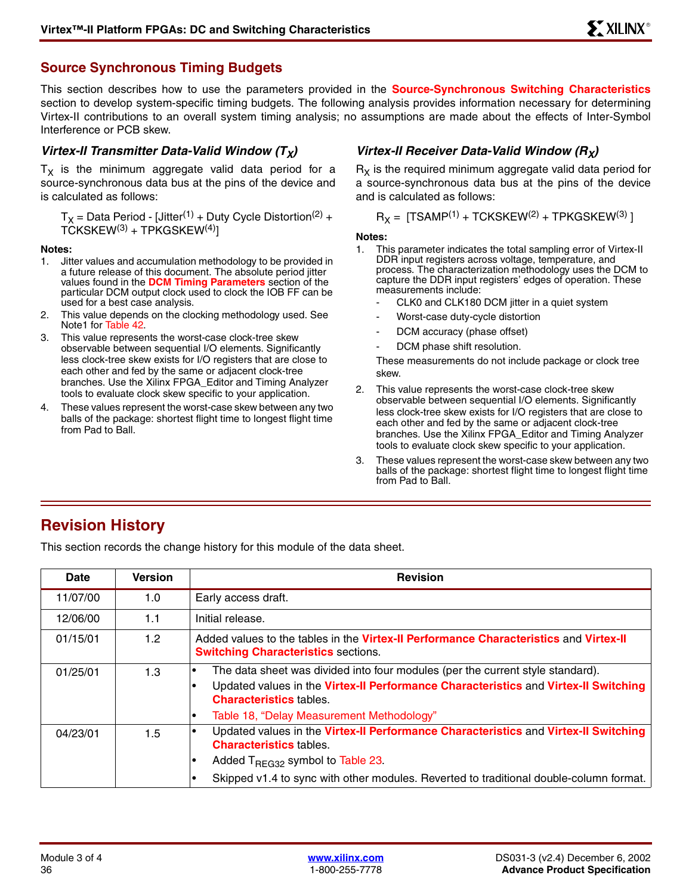## **Source Synchronous Timing Budgets**

This section describes how to use the parameters provided in the **[Source-Synchronous Switching Characteristics](#page-33-0)** section to develop system-specific timing budgets. The following analysis provides information necessary for determining Virtex-II contributions to an overall system timing analysis; no assumptions are made about the effects of Inter-Symbol Interference or PCB skew.

### *Virtex-II Transmitter Data-Valid Window (T<sub>x</sub>)*

 $T<sub>X</sub>$  is the minimum aggregate valid data period for a source-synchronous data bus at the pins of the device and is calculated as follows:

 $T_X$  = Data Period - [Jitter<sup>(1)</sup> + Duty Cycle Distortion<sup>(2)</sup> +  $TCKSKEW^{(3)} + TPKGSKEW^{(4)}$ ]

### **Notes:**

- 1. Jitter values and accumulation methodology to be provided in a future release of this document. The absolute period jitter values found in the **[DCM Timing Parameters](#page-29-0)** section of the particular DCM output clock used to clock the IOB FF can be used for a best case analysis.
- 2. This value depends on the clocking methodology used. See Note1 for [Table 42.](#page-33-1)
- 3. This value represents the worst-case clock-tree skew observable between sequential I/O elements. Significantly less clock-tree skew exists for I/O registers that are close to each other and fed by the same or adjacent clock-tree branches. Use the Xilinx FPGA\_Editor and Timing Analyzer tools to evaluate clock skew specific to your application.
- 4. These values represent the worst-case skew between any two balls of the package: shortest flight time to longest flight time from Pad to Ball.

## *Virtex-II Receiver Data-Valid Window (R<sub>X</sub>)*

 $R<sub>X</sub>$  is the required minimum aggregate valid data period for a source-synchronous data bus at the pins of the device and is calculated as follows:

$$
R_X = [TSAMP^{(1)} + TCKSKEW^{(2)} + TPKGSKEW^{(3)}]
$$

#### **Notes:**

- 1. This parameter indicates the total sampling error of Virtex-II DDR input registers across voltage, temperature, and process. The characterization methodology uses the DCM to capture the DDR input registers' edges of operation. These measurements include:
	- CLK0 and CLK180 DCM jitter in a quiet system
	- Worst-case duty-cycle distortion
	- DCM accuracy (phase offset)
	- DCM phase shift resolution.

These measurements do not include package or clock tree skew.

- 2. This value represents the worst-case clock-tree skew observable between sequential I/O elements. Significantly less clock-tree skew exists for I/O registers that are close to each other and fed by the same or adjacent clock-tree branches. Use the Xilinx FPGA\_Editor and Timing Analyzer tools to evaluate clock skew specific to your application.
- 3. These values represent the worst-case skew between any two balls of the package: shortest flight time to longest flight time from Pad to Ball.

# **Revision History**

This section records the change history for this module of the data sheet.

| Date     | <b>Version</b> | <b>Revision</b>                                                                                                                                                                                                                                                 |
|----------|----------------|-----------------------------------------------------------------------------------------------------------------------------------------------------------------------------------------------------------------------------------------------------------------|
| 11/07/00 | 1.0            | Early access draft.                                                                                                                                                                                                                                             |
| 12/06/00 | 1.1            | Initial release.                                                                                                                                                                                                                                                |
| 01/15/01 | 1.2            | Added values to the tables in the Virtex-II Performance Characteristics and Virtex-II<br><b>Switching Characteristics sections.</b>                                                                                                                             |
| 01/25/01 | 1.3            | The data sheet was divided into four modules (per the current style standard).<br>Updated values in the Virtex-II Performance Characteristics and Virtex-II Switching<br><b>Characteristics tables.</b><br>Table 18, "Delay Measurement Methodology"            |
| 04/23/01 | 1.5            | Updated values in the Virtex-II Performance Characteristics and Virtex-II Switching<br><b>Characteristics tables.</b><br>Added $T_{\text{REG32}}$ symbol to Table 23.<br>Skipped v1.4 to sync with other modules. Reverted to traditional double-column format. |